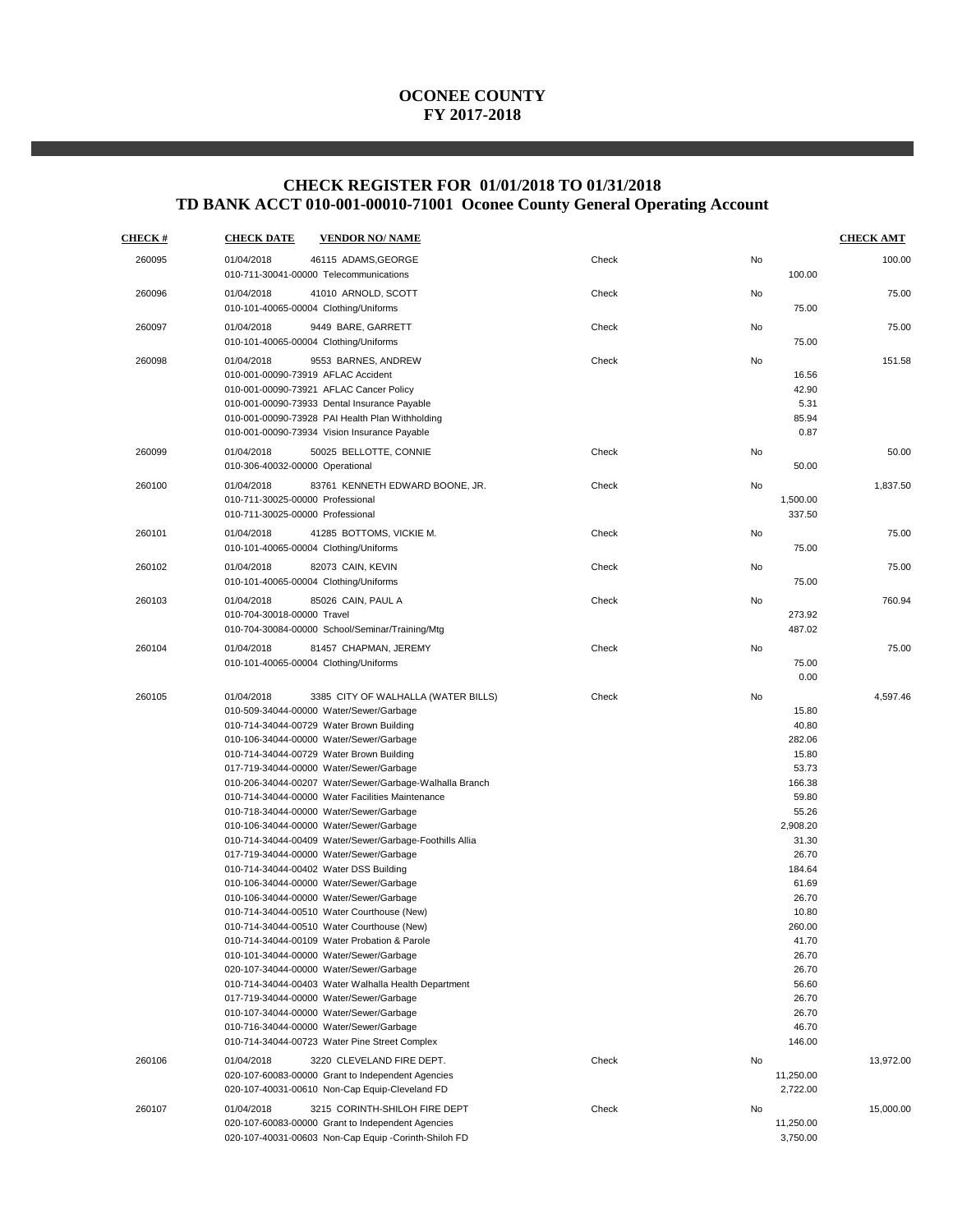## **CHECK REGISTER FOR 01/01/2018 TO 01/31/2018 TD BANK ACCT 010-001-00010-71001 Oconee County General Operating Account**

| <b>CHECK#</b> | <b>CHECK DATE</b><br><b>VENDOR NO/ NAME</b>                                                                                                                                                                                                                                                                                                                                                                                                                                                                                                                                                                                                                                                                                                                                                                                                                                                                                                                                                                                                                                                                                                                                                       |       |                                                                                                                                                                                                                                    | <b>CHECK AMT</b> |
|---------------|---------------------------------------------------------------------------------------------------------------------------------------------------------------------------------------------------------------------------------------------------------------------------------------------------------------------------------------------------------------------------------------------------------------------------------------------------------------------------------------------------------------------------------------------------------------------------------------------------------------------------------------------------------------------------------------------------------------------------------------------------------------------------------------------------------------------------------------------------------------------------------------------------------------------------------------------------------------------------------------------------------------------------------------------------------------------------------------------------------------------------------------------------------------------------------------------------|-------|------------------------------------------------------------------------------------------------------------------------------------------------------------------------------------------------------------------------------------|------------------|
| 260095        | 01/04/2018<br>46115 ADAMS, GEORGE<br>010-711-30041-00000 Telecommunications                                                                                                                                                                                                                                                                                                                                                                                                                                                                                                                                                                                                                                                                                                                                                                                                                                                                                                                                                                                                                                                                                                                       | Check | No<br>100.00                                                                                                                                                                                                                       | 100.00           |
| 260096        | 01/04/2018<br>41010 ARNOLD, SCOTT<br>010-101-40065-00004 Clothing/Uniforms                                                                                                                                                                                                                                                                                                                                                                                                                                                                                                                                                                                                                                                                                                                                                                                                                                                                                                                                                                                                                                                                                                                        | Check | No<br>75.00                                                                                                                                                                                                                        | 75.00            |
| 260097        | 01/04/2018<br>9449 BARE, GARRETT<br>010-101-40065-00004 Clothing/Uniforms                                                                                                                                                                                                                                                                                                                                                                                                                                                                                                                                                                                                                                                                                                                                                                                                                                                                                                                                                                                                                                                                                                                         | Check | No<br>75.00                                                                                                                                                                                                                        | 75.00            |
| 260098        | 01/04/2018<br>9553 BARNES, ANDREW<br>010-001-00090-73919 AFLAC Accident<br>010-001-00090-73921 AFLAC Cancer Policy<br>010-001-00090-73933 Dental Insurance Payable<br>010-001-00090-73928 PAI Health Plan Withholding<br>010-001-00090-73934 Vision Insurance Payable                                                                                                                                                                                                                                                                                                                                                                                                                                                                                                                                                                                                                                                                                                                                                                                                                                                                                                                             | Check | No<br>16.56<br>42.90<br>5.31<br>85.94<br>0.87                                                                                                                                                                                      | 151.58           |
| 260099        | 50025 BELLOTTE, CONNIE<br>01/04/2018<br>010-306-40032-00000 Operational                                                                                                                                                                                                                                                                                                                                                                                                                                                                                                                                                                                                                                                                                                                                                                                                                                                                                                                                                                                                                                                                                                                           | Check | No<br>50.00                                                                                                                                                                                                                        | 50.00            |
| 260100        | 01/04/2018<br>83761 KENNETH EDWARD BOONE, JR.<br>010-711-30025-00000 Professional<br>010-711-30025-00000 Professional                                                                                                                                                                                                                                                                                                                                                                                                                                                                                                                                                                                                                                                                                                                                                                                                                                                                                                                                                                                                                                                                             | Check | No<br>1,500.00<br>337.50                                                                                                                                                                                                           | 1,837.50         |
| 260101        | 01/04/2018<br>41285 BOTTOMS, VICKIE M.<br>010-101-40065-00004 Clothing/Uniforms                                                                                                                                                                                                                                                                                                                                                                                                                                                                                                                                                                                                                                                                                                                                                                                                                                                                                                                                                                                                                                                                                                                   | Check | No<br>75.00                                                                                                                                                                                                                        | 75.00            |
| 260102        | 01/04/2018<br>82073 CAIN, KEVIN<br>010-101-40065-00004 Clothing/Uniforms                                                                                                                                                                                                                                                                                                                                                                                                                                                                                                                                                                                                                                                                                                                                                                                                                                                                                                                                                                                                                                                                                                                          | Check | No<br>75.00                                                                                                                                                                                                                        | 75.00            |
| 260103        | 01/04/2018<br>85026 CAIN, PAUL A<br>010-704-30018-00000 Travel<br>010-704-30084-00000 School/Seminar/Training/Mtg                                                                                                                                                                                                                                                                                                                                                                                                                                                                                                                                                                                                                                                                                                                                                                                                                                                                                                                                                                                                                                                                                 | Check | No<br>273.92<br>487.02                                                                                                                                                                                                             | 760.94           |
| 260104        | 01/04/2018<br>81457 CHAPMAN, JEREMY<br>010-101-40065-00004 Clothing/Uniforms                                                                                                                                                                                                                                                                                                                                                                                                                                                                                                                                                                                                                                                                                                                                                                                                                                                                                                                                                                                                                                                                                                                      | Check | No<br>75.00<br>0.00                                                                                                                                                                                                                | 75.00            |
| 260105        | 01/04/2018<br>3385 CITY OF WALHALLA (WATER BILLS)<br>010-509-34044-00000 Water/Sewer/Garbage<br>010-714-34044-00729 Water Brown Building<br>010-106-34044-00000 Water/Sewer/Garbage<br>010-714-34044-00729 Water Brown Building<br>017-719-34044-00000 Water/Sewer/Garbage<br>010-206-34044-00207 Water/Sewer/Garbage-Walhalla Branch<br>010-714-34044-00000 Water Facilities Maintenance<br>010-718-34044-00000 Water/Sewer/Garbage<br>010-106-34044-00000 Water/Sewer/Garbage<br>010-714-34044-00409 Water/Sewer/Garbage-Foothills Allia<br>017-719-34044-00000 Water/Sewer/Garbage<br>010-714-34044-00402 Water DSS Building<br>010-106-34044-00000 Water/Sewer/Garbage<br>010-106-34044-00000 Water/Sewer/Garbage<br>010-714-34044-00510 Water Courthouse (New)<br>010-714-34044-00510 Water Courthouse (New)<br>010-714-34044-00109 Water Probation & Parole<br>010-101-34044-00000 Water/Sewer/Garbage<br>020-107-34044-00000 Water/Sewer/Garbage<br>010-714-34044-00403 Water Walhalla Health Department<br>017-719-34044-00000 Water/Sewer/Garbage<br>010-107-34044-00000 Water/Sewer/Garbage<br>010-716-34044-00000 Water/Sewer/Garbage<br>010-714-34044-00723 Water Pine Street Complex | Check | No<br>15.80<br>40.80<br>282.06<br>15.80<br>53.73<br>166.38<br>59.80<br>55.26<br>2,908.20<br>31.30<br>26.70<br>184.64<br>61.69<br>26.70<br>10.80<br>260.00<br>41.70<br>26.70<br>26.70<br>56.60<br>26.70<br>26.70<br>46.70<br>146.00 | 4,597.46         |
| 260106        | 01/04/2018<br>3220 CLEVELAND FIRE DEPT.<br>020-107-60083-00000 Grant to Independent Agencies<br>020-107-40031-00610 Non-Cap Equip-Cleveland FD                                                                                                                                                                                                                                                                                                                                                                                                                                                                                                                                                                                                                                                                                                                                                                                                                                                                                                                                                                                                                                                    | Check | No<br>11,250.00<br>2,722.00                                                                                                                                                                                                        | 13,972.00        |
| 260107        | 3215 CORINTH-SHILOH FIRE DEPT<br>01/04/2018<br>020-107-60083-00000 Grant to Independent Agencies<br>020-107-40031-00603 Non-Cap Equip -Corinth-Shiloh FD                                                                                                                                                                                                                                                                                                                                                                                                                                                                                                                                                                                                                                                                                                                                                                                                                                                                                                                                                                                                                                          | Check | No<br>11,250.00<br>3,750.00                                                                                                                                                                                                        | 15,000.00        |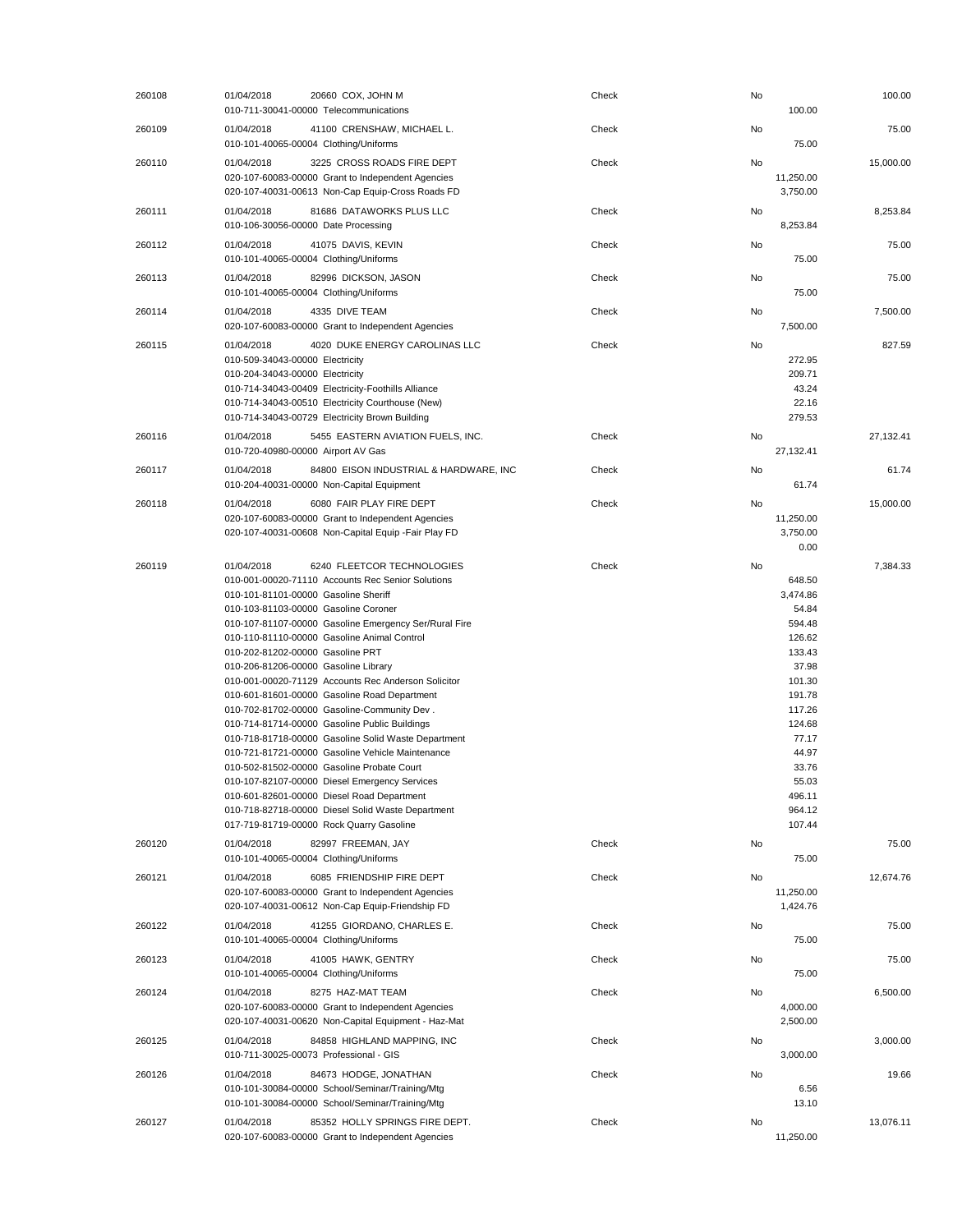| 260108 | 01/04/2018                                                                                                                     | 20660 COX, JOHN M<br>010-711-30041-00000 Telecommunications                                                                                                                                                                                                                                                                                                                                                                                                                                                                                                                                                                                                                                                                                                                                     | Check | No | 100.00                                                                                                                                                                       | 100.00    |
|--------|--------------------------------------------------------------------------------------------------------------------------------|-------------------------------------------------------------------------------------------------------------------------------------------------------------------------------------------------------------------------------------------------------------------------------------------------------------------------------------------------------------------------------------------------------------------------------------------------------------------------------------------------------------------------------------------------------------------------------------------------------------------------------------------------------------------------------------------------------------------------------------------------------------------------------------------------|-------|----|------------------------------------------------------------------------------------------------------------------------------------------------------------------------------|-----------|
| 260109 | 01/04/2018                                                                                                                     | 41100 CRENSHAW, MICHAEL L.<br>010-101-40065-00004 Clothing/Uniforms                                                                                                                                                                                                                                                                                                                                                                                                                                                                                                                                                                                                                                                                                                                             | Check | No | 75.00                                                                                                                                                                        | 75.00     |
| 260110 | 01/04/2018                                                                                                                     | 3225 CROSS ROADS FIRE DEPT<br>020-107-60083-00000 Grant to Independent Agencies<br>020-107-40031-00613 Non-Cap Equip-Cross Roads FD                                                                                                                                                                                                                                                                                                                                                                                                                                                                                                                                                                                                                                                             | Check | No | 11,250.00<br>3,750.00                                                                                                                                                        | 15,000.00 |
| 260111 | 01/04/2018<br>010-106-30056-00000 Date Processing                                                                              | 81686 DATAWORKS PLUS LLC                                                                                                                                                                                                                                                                                                                                                                                                                                                                                                                                                                                                                                                                                                                                                                        | Check | No | 8,253.84                                                                                                                                                                     | 8,253.84  |
| 260112 | 01/04/2018                                                                                                                     | 41075 DAVIS, KEVIN<br>010-101-40065-00004 Clothing/Uniforms                                                                                                                                                                                                                                                                                                                                                                                                                                                                                                                                                                                                                                                                                                                                     | Check | No | 75.00                                                                                                                                                                        | 75.00     |
| 260113 | 01/04/2018                                                                                                                     | 82996 DICKSON, JASON<br>010-101-40065-00004 Clothing/Uniforms                                                                                                                                                                                                                                                                                                                                                                                                                                                                                                                                                                                                                                                                                                                                   | Check | No | 75.00                                                                                                                                                                        | 75.00     |
| 260114 | 01/04/2018                                                                                                                     | 4335 DIVE TEAM<br>020-107-60083-00000 Grant to Independent Agencies                                                                                                                                                                                                                                                                                                                                                                                                                                                                                                                                                                                                                                                                                                                             | Check | No | 7,500.00                                                                                                                                                                     | 7,500.00  |
| 260115 | 01/04/2018<br>010-509-34043-00000 Electricity<br>010-204-34043-00000 Electricity                                               | 4020 DUKE ENERGY CAROLINAS LLC<br>010-714-34043-00409 Electricity-Foothills Alliance<br>010-714-34043-00510 Electricity Courthouse (New)<br>010-714-34043-00729 Electricity Brown Building                                                                                                                                                                                                                                                                                                                                                                                                                                                                                                                                                                                                      | Check | No | 272.95<br>209.71<br>43.24<br>22.16<br>279.53                                                                                                                                 | 827.59    |
| 260116 | 01/04/2018<br>010-720-40980-00000 Airport AV Gas                                                                               | 5455 EASTERN AVIATION FUELS, INC.                                                                                                                                                                                                                                                                                                                                                                                                                                                                                                                                                                                                                                                                                                                                                               | Check | No | 27,132.41                                                                                                                                                                    | 27,132.41 |
| 260117 | 01/04/2018                                                                                                                     | 84800 EISON INDUSTRIAL & HARDWARE, INC<br>010-204-40031-00000 Non-Capital Equipment                                                                                                                                                                                                                                                                                                                                                                                                                                                                                                                                                                                                                                                                                                             | Check | No | 61.74                                                                                                                                                                        | 61.74     |
| 260118 | 01/04/2018                                                                                                                     | 6080 FAIR PLAY FIRE DEPT<br>020-107-60083-00000 Grant to Independent Agencies<br>020-107-40031-00608 Non-Capital Equip - Fair Play FD                                                                                                                                                                                                                                                                                                                                                                                                                                                                                                                                                                                                                                                           | Check | No | 11,250.00<br>3,750.00<br>0.00                                                                                                                                                | 15,000.00 |
| 260119 | 01/04/2018<br>010-101-81101-00000 Gasoline Sheriff<br>010-202-81202-00000 Gasoline PRT<br>010-206-81206-00000 Gasoline Library | 6240 FLEETCOR TECHNOLOGIES<br>010-001-00020-71110 Accounts Rec Senior Solutions<br>010-103-81103-00000 Gasoline Coroner<br>010-107-81107-00000 Gasoline Emergency Ser/Rural Fire<br>010-110-81110-00000 Gasoline Animal Control<br>010-001-00020-71129 Accounts Rec Anderson Solicitor<br>010-601-81601-00000 Gasoline Road Department<br>010-702-81702-00000 Gasoline-Community Dev.<br>010-714-81714-00000 Gasoline Public Buildings<br>010-718-81718-00000 Gasoline Solid Waste Department<br>010-721-81721-00000 Gasoline Vehicle Maintenance<br>010-502-81502-00000 Gasoline Probate Court<br>010-107-82107-00000 Diesel Emergency Services<br>010-601-82601-00000 Diesel Road Department<br>010-718-82718-00000 Diesel Solid Waste Department<br>017-719-81719-00000 Rock Quarry Gasoline | Check | No | 648.50<br>3,474.86<br>54.84<br>594.48<br>126.62<br>133.43<br>37.98<br>101.30<br>191.78<br>117.26<br>124.68<br>77.17<br>44.97<br>33.76<br>55.03<br>496.11<br>964.12<br>107.44 | 7,384.33  |
| 260120 | 01/04/2018                                                                                                                     | 82997 FREEMAN, JAY<br>010-101-40065-00004 Clothing/Uniforms                                                                                                                                                                                                                                                                                                                                                                                                                                                                                                                                                                                                                                                                                                                                     | Check | No | 75.00                                                                                                                                                                        | 75.00     |
| 260121 | 01/04/2018                                                                                                                     | 6085 FRIENDSHIP FIRE DEPT<br>020-107-60083-00000 Grant to Independent Agencies<br>020-107-40031-00612 Non-Cap Equip-Friendship FD                                                                                                                                                                                                                                                                                                                                                                                                                                                                                                                                                                                                                                                               | Check | No | 11,250.00<br>1,424.76                                                                                                                                                        | 12,674.76 |
| 260122 | 01/04/2018                                                                                                                     | 41255 GIORDANO, CHARLES E.<br>010-101-40065-00004 Clothing/Uniforms                                                                                                                                                                                                                                                                                                                                                                                                                                                                                                                                                                                                                                                                                                                             | Check | No | 75.00                                                                                                                                                                        | 75.00     |
| 260123 | 01/04/2018                                                                                                                     | 41005 HAWK, GENTRY<br>010-101-40065-00004 Clothing/Uniforms                                                                                                                                                                                                                                                                                                                                                                                                                                                                                                                                                                                                                                                                                                                                     | Check | No | 75.00                                                                                                                                                                        | 75.00     |
| 260124 | 01/04/2018                                                                                                                     | 8275 HAZ-MAT TEAM<br>020-107-60083-00000 Grant to Independent Agencies<br>020-107-40031-00620 Non-Capital Equipment - Haz-Mat                                                                                                                                                                                                                                                                                                                                                                                                                                                                                                                                                                                                                                                                   | Check | No | 4,000.00<br>2,500.00                                                                                                                                                         | 6,500.00  |
| 260125 | 01/04/2018                                                                                                                     | 84858 HIGHLAND MAPPING, INC<br>010-711-30025-00073 Professional - GIS                                                                                                                                                                                                                                                                                                                                                                                                                                                                                                                                                                                                                                                                                                                           | Check | No | 3,000.00                                                                                                                                                                     | 3,000.00  |
| 260126 | 01/04/2018                                                                                                                     | 84673 HODGE, JONATHAN<br>010-101-30084-00000 School/Seminar/Training/Mtg<br>010-101-30084-00000 School/Seminar/Training/Mtg                                                                                                                                                                                                                                                                                                                                                                                                                                                                                                                                                                                                                                                                     | Check | No | 6.56<br>13.10                                                                                                                                                                | 19.66     |
| 260127 | 01/04/2018                                                                                                                     | 85352 HOLLY SPRINGS FIRE DEPT.<br>020-107-60083-00000 Grant to Independent Agencies                                                                                                                                                                                                                                                                                                                                                                                                                                                                                                                                                                                                                                                                                                             | Check | No | 11,250.00                                                                                                                                                                    | 13,076.11 |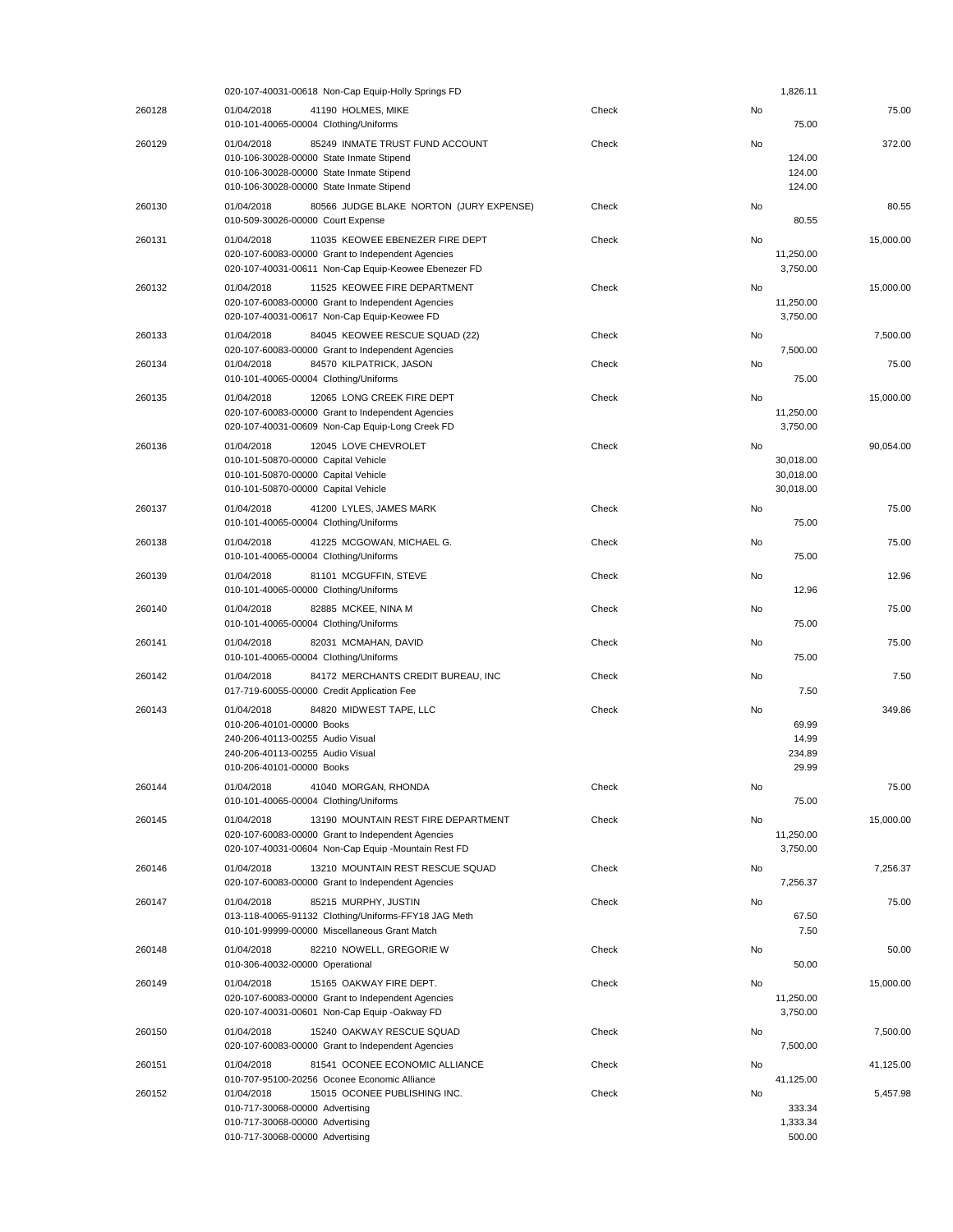|        | 020-107-40031-00618 Non-Cap Equip-Holly Springs FD                                                                                                                                |       |           | 1,826.11                            |           |
|--------|-----------------------------------------------------------------------------------------------------------------------------------------------------------------------------------|-------|-----------|-------------------------------------|-----------|
| 260128 | 01/04/2018<br>41190 HOLMES, MIKE<br>010-101-40065-00004 Clothing/Uniforms                                                                                                         | Check | No        | 75.00                               | 75.00     |
| 260129 | 85249 INMATE TRUST FUND ACCOUNT<br>01/04/2018<br>010-106-30028-00000 State Inmate Stipend<br>010-106-30028-00000 State Inmate Stipend<br>010-106-30028-00000 State Inmate Stipend | Check | No        | 124.00<br>124.00<br>124.00          | 372.00    |
| 260130 | 01/04/2018<br>80566 JUDGE BLAKE NORTON (JURY EXPENSE)<br>010-509-30026-00000 Court Expense                                                                                        | Check | <b>No</b> | 80.55                               | 80.55     |
| 260131 | 01/04/2018<br>11035 KEOWEE EBENEZER FIRE DEPT<br>020-107-60083-00000 Grant to Independent Agencies<br>020-107-40031-00611 Non-Cap Equip-Keowee Ebenezer FD                        | Check | No        | 11,250.00<br>3,750.00               | 15,000.00 |
| 260132 | 01/04/2018<br>11525 KEOWEE FIRE DEPARTMENT<br>020-107-60083-00000 Grant to Independent Agencies<br>020-107-40031-00617 Non-Cap Equip-Keowee FD                                    | Check | No        | 11,250.00<br>3,750.00               | 15,000.00 |
| 260133 | 01/04/2018<br>84045 KEOWEE RESCUE SQUAD (22)<br>020-107-60083-00000 Grant to Independent Agencies                                                                                 | Check | No        | 7,500.00                            | 7,500.00  |
| 260134 | 01/04/2018<br>84570 KILPATRICK, JASON<br>010-101-40065-00004 Clothing/Uniforms                                                                                                    | Check | <b>No</b> | 75.00                               | 75.00     |
| 260135 | 12065 LONG CREEK FIRE DEPT<br>01/04/2018<br>020-107-60083-00000 Grant to Independent Agencies<br>020-107-40031-00609 Non-Cap Equip-Long Creek FD                                  | Check | No        | 11,250.00<br>3,750.00               | 15,000.00 |
| 260136 | 01/04/2018<br>12045 LOVE CHEVROLET<br>010-101-50870-00000 Capital Vehicle<br>010-101-50870-00000 Capital Vehicle<br>010-101-50870-00000 Capital Vehicle                           | Check | <b>No</b> | 30.018.00<br>30,018.00<br>30,018.00 | 90,054.00 |
| 260137 | 01/04/2018<br>41200 LYLES, JAMES MARK<br>010-101-40065-00004 Clothing/Uniforms                                                                                                    | Check | No        | 75.00                               | 75.00     |
| 260138 | 01/04/2018<br>41225 MCGOWAN, MICHAEL G.<br>010-101-40065-00004 Clothing/Uniforms                                                                                                  | Check | No        | 75.00                               | 75.00     |
| 260139 | 01/04/2018<br>81101 MCGUFFIN, STEVE<br>010-101-40065-00000 Clothing/Uniforms                                                                                                      | Check | No        | 12.96                               | 12.96     |
| 260140 | 01/04/2018<br>82885 MCKEE, NINA M<br>010-101-40065-00004 Clothing/Uniforms                                                                                                        | Check | No        | 75.00                               | 75.00     |
| 260141 | 01/04/2018<br>82031 MCMAHAN, DAVID<br>010-101-40065-00004 Clothing/Uniforms                                                                                                       | Check | No        | 75.00                               | 75.00     |
| 260142 | 01/04/2018<br>84172 MERCHANTS CREDIT BUREAU, INC<br>017-719-60055-00000 Credit Application Fee                                                                                    | Check | No        | 7.50                                | 7.50      |
| 260143 | 01/04/2018<br>84820 MIDWEST TAPE, LLC<br>010-206-40101-00000 Books<br>240-206-40113-00255 Audio Visual<br>240-206-40113-00255 Audio Visual<br>010-206-40101-00000 Books           | Check | No        | 69.99<br>14.99<br>234.89<br>29.99   | 349.86    |
| 260144 | 01/04/2018<br>41040 MORGAN, RHONDA<br>010-101-40065-00004 Clothing/Uniforms                                                                                                       | Check | No        | 75.00                               | 75.00     |
| 260145 | 13190 MOUNTAIN REST FIRE DEPARTMENT<br>01/04/2018<br>020-107-60083-00000 Grant to Independent Agencies<br>020-107-40031-00604 Non-Cap Equip -Mountain Rest FD                     | Check | No        | 11,250.00<br>3,750.00               | 15,000.00 |
| 260146 | 01/04/2018<br>13210 MOUNTAIN REST RESCUE SQUAD<br>020-107-60083-00000 Grant to Independent Agencies                                                                               | Check | No        | 7,256.37                            | 7,256.37  |
| 260147 | 01/04/2018<br>85215 MURPHY, JUSTIN<br>013-118-40065-91132 Clothing/Uniforms-FFY18 JAG Meth<br>010-101-99999-00000 Miscellaneous Grant Match                                       | Check | No        | 67.50<br>7.50                       | 75.00     |
| 260148 | 82210 NOWELL, GREGORIE W<br>01/04/2018<br>010-306-40032-00000 Operational                                                                                                         | Check | No        | 50.00                               | 50.00     |
| 260149 | 01/04/2018<br>15165 OAKWAY FIRE DEPT.<br>020-107-60083-00000 Grant to Independent Agencies<br>020-107-40031-00601 Non-Cap Equip -Oakway FD                                        | Check | No        | 11,250.00<br>3,750.00               | 15,000.00 |
| 260150 | 01/04/2018<br>15240 OAKWAY RESCUE SQUAD<br>020-107-60083-00000 Grant to Independent Agencies                                                                                      | Check | No        | 7,500.00                            | 7,500.00  |
| 260151 | 81541 OCONEE ECONOMIC ALLIANCE<br>01/04/2018<br>010-707-95100-20256 Oconee Economic Alliance                                                                                      | Check | No        | 41,125.00                           | 41,125.00 |
| 260152 | 15015 OCONEE PUBLISHING INC.<br>01/04/2018<br>010-717-30068-00000 Advertising<br>010-717-30068-00000 Advertising<br>010-717-30068-00000 Advertising                               | Check | No        | 333.34<br>1,333.34<br>500.00        | 5,457.98  |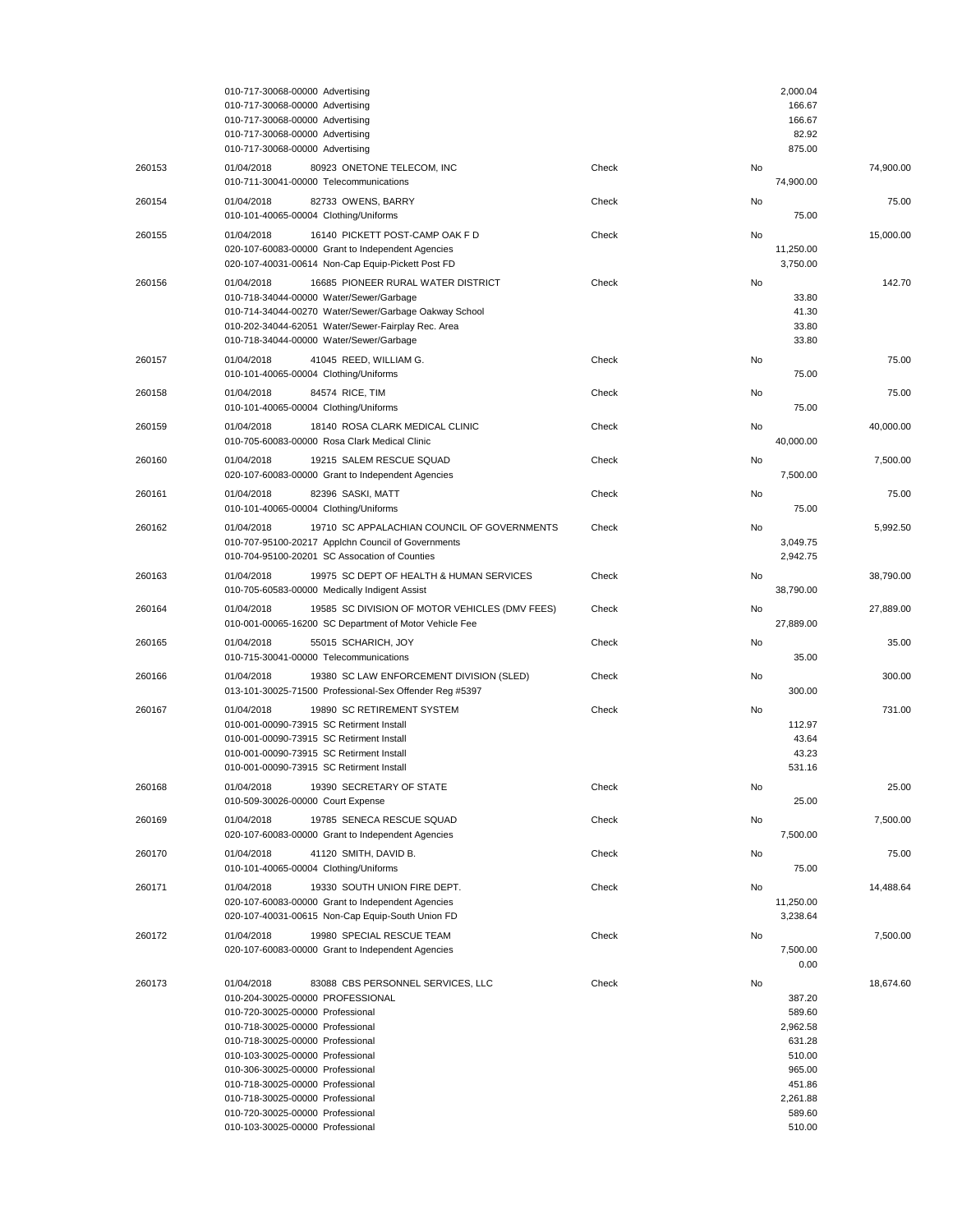|        | 010-717-30068-00000 Advertising<br>010-717-30068-00000 Advertising<br>010-717-30068-00000 Advertising<br>010-717-30068-00000 Advertising                                                                                                                                                                                                                                                                                |       |    | 2,000.04<br>166.67<br>166.67<br>82.92<br>875.00                                                      |           |
|--------|-------------------------------------------------------------------------------------------------------------------------------------------------------------------------------------------------------------------------------------------------------------------------------------------------------------------------------------------------------------------------------------------------------------------------|-------|----|------------------------------------------------------------------------------------------------------|-----------|
| 260153 | 010-717-30068-00000 Advertising<br>01/04/2018<br>80923 ONETONE TELECOM, INC<br>010-711-30041-00000 Telecommunications                                                                                                                                                                                                                                                                                                   | Check | No | 74,900.00                                                                                            | 74.900.00 |
| 260154 | 01/04/2018<br>82733 OWENS, BARRY<br>010-101-40065-00004 Clothing/Uniforms                                                                                                                                                                                                                                                                                                                                               | Check | No | 75.00                                                                                                | 75.00     |
| 260155 | 16140 PICKETT POST-CAMP OAK F D<br>01/04/2018<br>020-107-60083-00000 Grant to Independent Agencies<br>020-107-40031-00614 Non-Cap Equip-Pickett Post FD                                                                                                                                                                                                                                                                 | Check | No | 11,250.00<br>3,750.00                                                                                | 15.000.00 |
| 260156 | 16685 PIONEER RURAL WATER DISTRICT<br>01/04/2018<br>010-718-34044-00000 Water/Sewer/Garbage<br>010-714-34044-00270 Water/Sewer/Garbage Oakway School<br>010-202-34044-62051 Water/Sewer-Fairplay Rec. Area<br>010-718-34044-00000 Water/Sewer/Garbage                                                                                                                                                                   | Check | No | 33.80<br>41.30<br>33.80<br>33.80                                                                     | 142.70    |
| 260157 | 01/04/2018<br>41045 REED, WILLIAM G.<br>010-101-40065-00004 Clothing/Uniforms                                                                                                                                                                                                                                                                                                                                           | Check | No | 75.00                                                                                                | 75.00     |
| 260158 | 01/04/2018<br>84574 RICE, TIM<br>010-101-40065-00004 Clothing/Uniforms                                                                                                                                                                                                                                                                                                                                                  | Check | No | 75.00                                                                                                | 75.00     |
| 260159 | 01/04/2018<br>18140 ROSA CLARK MEDICAL CLINIC<br>010-705-60083-00000 Rosa Clark Medical Clinic                                                                                                                                                                                                                                                                                                                          | Check | No | 40,000.00                                                                                            | 40.000.00 |
| 260160 | 01/04/2018<br>19215 SALEM RESCUE SQUAD<br>020-107-60083-00000 Grant to Independent Agencies                                                                                                                                                                                                                                                                                                                             | Check | No | 7,500.00                                                                                             | 7,500.00  |
| 260161 | 01/04/2018<br>82396 SASKI, MATT<br>010-101-40065-00004 Clothing/Uniforms                                                                                                                                                                                                                                                                                                                                                | Check | No | 75.00                                                                                                | 75.00     |
| 260162 | 19710 SC APPALACHIAN COUNCIL OF GOVERNMENTS<br>01/04/2018<br>010-707-95100-20217 Applchn Council of Governments<br>010-704-95100-20201 SC Assocation of Counties                                                                                                                                                                                                                                                        | Check | No | 3,049.75<br>2,942.75                                                                                 | 5.992.50  |
| 260163 | 01/04/2018<br>19975 SC DEPT OF HEALTH & HUMAN SERVICES<br>010-705-60583-00000 Medically Indigent Assist                                                                                                                                                                                                                                                                                                                 | Check | No | 38,790.00                                                                                            | 38,790.00 |
| 260164 | 01/04/2018<br>19585 SC DIVISION OF MOTOR VEHICLES (DMV FEES)<br>010-001-00065-16200 SC Department of Motor Vehicle Fee                                                                                                                                                                                                                                                                                                  | Check | No | 27,889.00                                                                                            | 27,889.00 |
| 260165 | 01/04/2018<br>55015 SCHARICH, JOY<br>010-715-30041-00000 Telecommunications                                                                                                                                                                                                                                                                                                                                             | Check | No | 35.00                                                                                                | 35.00     |
| 260166 | 01/04/2018<br>19380 SC LAW ENFORCEMENT DIVISION (SLED)<br>013-101-30025-71500 Professional-Sex Offender Reg #5397                                                                                                                                                                                                                                                                                                       | Check | No | 300.00                                                                                               | 300.00    |
| 260167 | 01/04/2018<br>19890 SC RETIREMENT SYSTEM<br>010-001-00090-73915 SC Retirment Install<br>010-001-00090-73915 SC Retirment Install<br>010-001-00090-73915 SC Retirment Install<br>010-001-00090-73915 SC Retirment Install                                                                                                                                                                                                | Check | No | 112.97<br>43.64<br>43.23<br>531.16                                                                   | 731.00    |
| 260168 | 01/04/2018<br>19390 SECRETARY OF STATE<br>010-509-30026-00000 Court Expense                                                                                                                                                                                                                                                                                                                                             | Check | No | 25.00                                                                                                | 25.00     |
| 260169 | 01/04/2018<br>19785 SENECA RESCUE SQUAD<br>020-107-60083-00000 Grant to Independent Agencies                                                                                                                                                                                                                                                                                                                            | Check | No | 7,500.00                                                                                             | 7,500.00  |
| 260170 | 01/04/2018<br>41120 SMITH, DAVID B.<br>010-101-40065-00004 Clothing/Uniforms                                                                                                                                                                                                                                                                                                                                            | Check | No | 75.00                                                                                                | 75.00     |
| 260171 | 19330 SOUTH UNION FIRE DEPT.<br>01/04/2018<br>020-107-60083-00000 Grant to Independent Agencies<br>020-107-40031-00615 Non-Cap Equip-South Union FD                                                                                                                                                                                                                                                                     | Check | No | 11,250.00<br>3,238.64                                                                                | 14,488.64 |
| 260172 | 01/04/2018<br>19980 SPECIAL RESCUE TEAM<br>020-107-60083-00000 Grant to Independent Agencies                                                                                                                                                                                                                                                                                                                            | Check | No | 7,500.00<br>0.00                                                                                     | 7,500.00  |
| 260173 | 01/04/2018<br>83088 CBS PERSONNEL SERVICES, LLC<br>010-204-30025-00000 PROFESSIONAL<br>010-720-30025-00000 Professional<br>010-718-30025-00000 Professional<br>010-718-30025-00000 Professional<br>010-103-30025-00000 Professional<br>010-306-30025-00000 Professional<br>010-718-30025-00000 Professional<br>010-718-30025-00000 Professional<br>010-720-30025-00000 Professional<br>010-103-30025-00000 Professional | Check | No | 387.20<br>589.60<br>2,962.58<br>631.28<br>510.00<br>965.00<br>451.86<br>2,261.88<br>589.60<br>510.00 | 18,674.60 |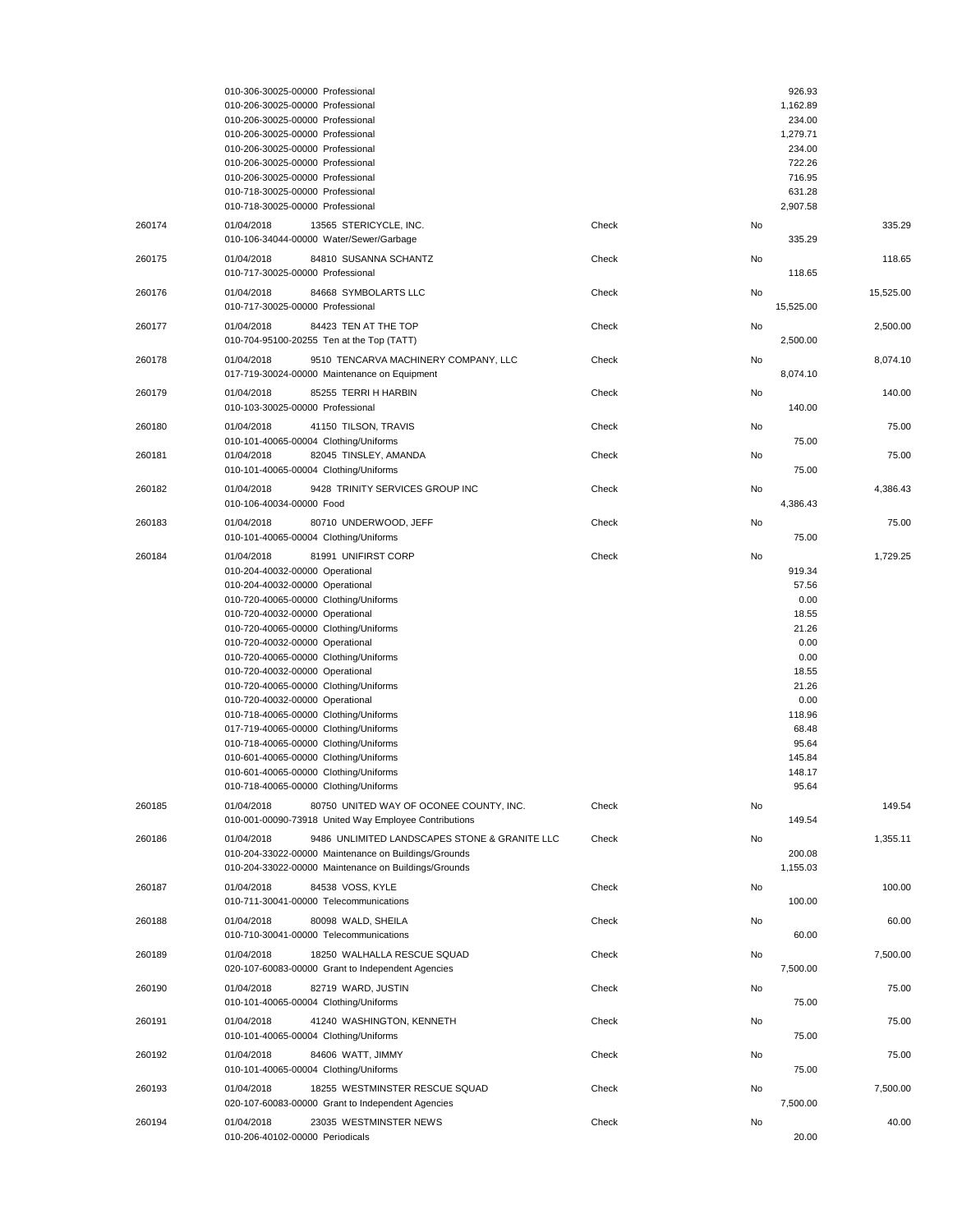|        | 010-306-30025-00000 Professional                                                                                    |       | 926.93           |           |
|--------|---------------------------------------------------------------------------------------------------------------------|-------|------------------|-----------|
|        | 010-206-30025-00000 Professional                                                                                    |       | 1,162.89         |           |
|        | 010-206-30025-00000 Professional                                                                                    |       | 234.00           |           |
|        | 010-206-30025-00000 Professional                                                                                    |       | 1,279.71         |           |
|        | 010-206-30025-00000 Professional<br>010-206-30025-00000 Professional                                                |       | 234.00<br>722.26 |           |
|        | 010-206-30025-00000 Professional                                                                                    |       | 716.95           |           |
|        | 010-718-30025-00000 Professional                                                                                    |       | 631.28           |           |
|        | 010-718-30025-00000 Professional                                                                                    |       | 2,907.58         |           |
| 260174 | 01/04/2018<br>13565 STERICYCLE, INC.                                                                                | Check | No               | 335.29    |
|        | 010-106-34044-00000 Water/Sewer/Garbage                                                                             |       | 335.29           |           |
| 260175 | 01/04/2018<br>84810 SUSANNA SCHANTZ                                                                                 | Check | No               | 118.65    |
|        | 010-717-30025-00000 Professional                                                                                    |       | 118.65           |           |
| 260176 | 84668 SYMBOLARTS LLC<br>01/04/2018                                                                                  | Check | No               | 15,525.00 |
|        | 010-717-30025-00000 Professional                                                                                    |       | 15,525.00        |           |
| 260177 | 01/04/2018<br>84423 TEN AT THE TOP                                                                                  | Check | No               | 2,500.00  |
|        | 010-704-95100-20255 Ten at the Top (TATT)                                                                           |       | 2,500.00         |           |
| 260178 | 01/04/2018<br>9510 TENCARVA MACHINERY COMPANY, LLC                                                                  | Check | No               | 8,074.10  |
|        | 017-719-30024-00000 Maintenance on Equipment                                                                        |       | 8,074.10         |           |
| 260179 | 85255 TERRI H HARBIN<br>01/04/2018                                                                                  | Check | No               | 140.00    |
|        | 010-103-30025-00000 Professional                                                                                    |       | 140.00           |           |
| 260180 | 01/04/2018<br>41150 TILSON, TRAVIS                                                                                  | Check | No               | 75.00     |
|        | 010-101-40065-00004 Clothing/Uniforms                                                                               |       | 75.00            |           |
| 260181 | 01/04/2018<br>82045 TINSLEY, AMANDA                                                                                 | Check | No               | 75.00     |
|        | 010-101-40065-00004 Clothing/Uniforms                                                                               |       | 75.00            |           |
| 260182 | 9428 TRINITY SERVICES GROUP INC<br>01/04/2018                                                                       | Check | No               | 4,386.43  |
|        | 010-106-40034-00000 Food                                                                                            |       | 4,386.43         |           |
| 260183 | 80710 UNDERWOOD, JEFF<br>01/04/2018                                                                                 | Check | No               | 75.00     |
|        | 010-101-40065-00004 Clothing/Uniforms                                                                               |       | 75.00            |           |
| 260184 | 01/04/2018<br>81991 UNIFIRST CORP                                                                                   | Check | No               | 1,729.25  |
|        | 010-204-40032-00000 Operational                                                                                     |       | 919.34           |           |
|        | 010-204-40032-00000 Operational                                                                                     |       | 57.56            |           |
|        | 010-720-40065-00000 Clothing/Uniforms                                                                               |       | 0.00             |           |
|        | 010-720-40032-00000 Operational                                                                                     |       | 18.55            |           |
|        | 010-720-40065-00000 Clothing/Uniforms                                                                               |       | 21.26            |           |
|        | 010-720-40032-00000 Operational                                                                                     |       | 0.00             |           |
|        | 010-720-40065-00000 Clothing/Uniforms<br>010-720-40032-00000 Operational                                            |       | 0.00<br>18.55    |           |
|        | 010-720-40065-00000 Clothing/Uniforms                                                                               |       | 21.26            |           |
|        | 010-720-40032-00000 Operational                                                                                     |       | 0.00             |           |
|        | 010-718-40065-00000 Clothing/Uniforms                                                                               |       | 118.96           |           |
|        | 017-719-40065-00000 Clothing/Uniforms                                                                               |       | 68.48            |           |
|        | 010-718-40065-00000 Clothing/Uniforms                                                                               |       | 95.64            |           |
|        | 010-601-40065-00000 Clothing/Uniforms                                                                               |       | 145.84<br>148.17 |           |
|        | 010-601-40065-00000 Clothing/Uniforms<br>010-718-40065-00000 Clothing/Uniforms                                      |       | 95.64            |           |
|        |                                                                                                                     |       |                  |           |
| 260185 | 80750 UNITED WAY OF OCONEE COUNTY, INC.<br>01/04/2018<br>010-001-00090-73918 United Way Employee Contributions      | Check | No<br>149.54     | 149.54    |
|        |                                                                                                                     |       |                  |           |
| 260186 | 01/04/2018<br>9486 UNLIMITED LANDSCAPES STONE & GRANITE LLC<br>010-204-33022-00000 Maintenance on Buildings/Grounds | Check | No<br>200.08     | 1,355.11  |
|        | 010-204-33022-00000 Maintenance on Buildings/Grounds                                                                |       | 1,155.03         |           |
|        |                                                                                                                     |       |                  |           |
| 260187 | 01/04/2018<br>84538 VOSS, KYLE<br>010-711-30041-00000 Telecommunications                                            | Check | No<br>100.00     | 100.00    |
|        |                                                                                                                     |       |                  |           |
| 260188 | 01/04/2018<br>80098 WALD, SHEILA<br>010-710-30041-00000 Telecommunications                                          | Check | No<br>60.00      | 60.00     |
|        |                                                                                                                     |       |                  |           |
| 260189 | 01/04/2018<br>18250 WALHALLA RESCUE SQUAD                                                                           | Check | No<br>7,500.00   | 7,500.00  |
|        | 020-107-60083-00000 Grant to Independent Agencies                                                                   |       |                  |           |
| 260190 | 01/04/2018<br>82719 WARD, JUSTIN                                                                                    | Check | No<br>75.00      | 75.00     |
|        | 010-101-40065-00004 Clothing/Uniforms                                                                               |       |                  |           |
| 260191 | 01/04/2018<br>41240 WASHINGTON, KENNETH                                                                             | Check | No               | 75.00     |
|        | 010-101-40065-00004 Clothing/Uniforms                                                                               |       | 75.00            |           |
| 260192 | 84606 WATT, JIMMY<br>01/04/2018                                                                                     | Check | No               | 75.00     |
|        | 010-101-40065-00004 Clothing/Uniforms                                                                               |       | 75.00            |           |
| 260193 | 01/04/2018<br>18255 WESTMINSTER RESCUE SQUAD                                                                        | Check | No               | 7,500.00  |
|        | 020-107-60083-00000 Grant to Independent Agencies                                                                   |       | 7,500.00         |           |
| 260194 | 01/04/2018<br>23035 WESTMINSTER NEWS                                                                                | Check | No               | 40.00     |
|        | 010-206-40102-00000 Periodicals                                                                                     |       | 20.00            |           |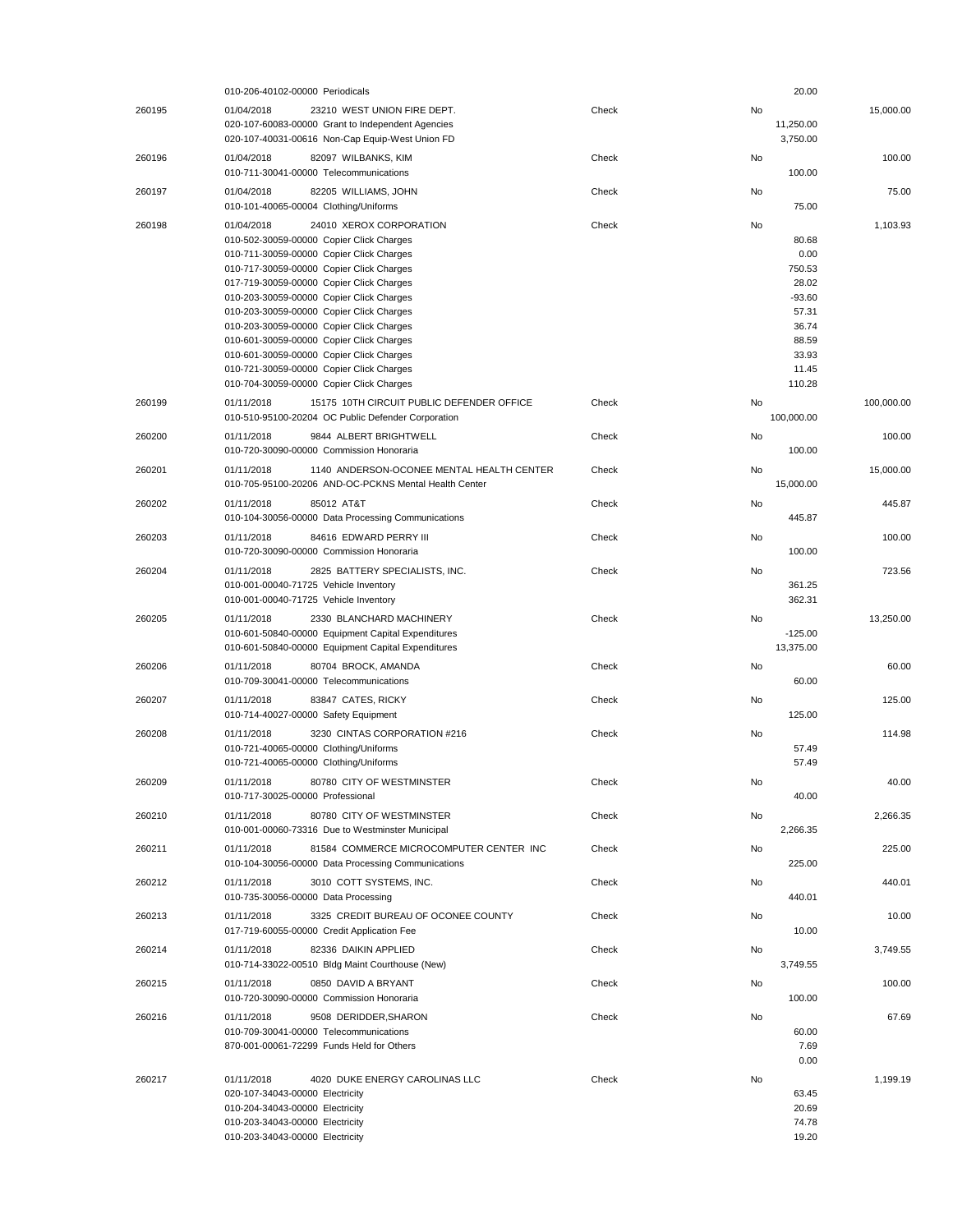|        | 010-206-40102-00000 Periodicals                                                                                  |       |           | 20.00                 |            |
|--------|------------------------------------------------------------------------------------------------------------------|-------|-----------|-----------------------|------------|
| 260195 | 01/04/2018<br>23210 WEST UNION FIRE DEPT.                                                                        | Check | No        |                       | 15,000.00  |
|        | 020-107-60083-00000 Grant to Independent Agencies<br>020-107-40031-00616 Non-Cap Equip-West Union FD             |       |           | 11,250.00<br>3,750.00 |            |
| 260196 | 01/04/2018<br>82097 WILBANKS, KIM                                                                                | Check | <b>No</b> |                       | 100.00     |
|        | 010-711-30041-00000 Telecommunications                                                                           |       |           | 100.00                |            |
| 260197 | 82205 WILLIAMS, JOHN<br>01/04/2018                                                                               | Check | No        | 75.00                 | 75.00      |
|        | 010-101-40065-00004 Clothing/Uniforms                                                                            |       |           |                       |            |
| 260198 | 01/04/2018<br>24010 XEROX CORPORATION<br>010-502-30059-00000 Copier Click Charges                                | Check | No        | 80.68                 | 1,103.93   |
|        | 010-711-30059-00000 Copier Click Charges                                                                         |       |           | 0.00                  |            |
|        | 010-717-30059-00000 Copier Click Charges                                                                         |       |           | 750.53                |            |
|        | 017-719-30059-00000 Copier Click Charges                                                                         |       |           | 28.02                 |            |
|        | 010-203-30059-00000 Copier Click Charges                                                                         |       |           | $-93.60$              |            |
|        | 010-203-30059-00000 Copier Click Charges                                                                         |       |           | 57.31                 |            |
|        | 010-203-30059-00000 Copier Click Charges                                                                         |       |           | 36.74                 |            |
|        | 010-601-30059-00000 Copier Click Charges                                                                         |       |           | 88.59                 |            |
|        | 010-601-30059-00000 Copier Click Charges                                                                         |       |           | 33.93<br>11.45        |            |
|        | 010-721-30059-00000 Copier Click Charges<br>010-704-30059-00000 Copier Click Charges                             |       |           | 110.28                |            |
|        |                                                                                                                  |       |           |                       |            |
| 260199 | 01/11/2018<br>15175 10TH CIRCUIT PUBLIC DEFENDER OFFICE<br>010-510-95100-20204 OC Public Defender Corporation    | Check | No        | 100,000.00            | 100,000.00 |
|        |                                                                                                                  |       |           |                       |            |
| 260200 | 9844 ALBERT BRIGHTWELL<br>01/11/2018<br>010-720-30090-00000 Commission Honoraria                                 | Check | No        | 100.00                | 100.00     |
|        |                                                                                                                  |       |           |                       |            |
| 260201 | 01/11/2018<br>1140 ANDERSON-OCONEE MENTAL HEALTH CENTER<br>010-705-95100-20206 AND-OC-PCKNS Mental Health Center | Check | No        | 15,000.00             | 15,000.00  |
|        |                                                                                                                  |       |           |                       |            |
| 260202 | 01/11/2018<br>85012 AT&T<br>010-104-30056-00000 Data Processing Communications                                   | Check | No        | 445.87                | 445.87     |
|        |                                                                                                                  |       |           |                       |            |
| 260203 | 01/11/2018<br>84616 EDWARD PERRY III<br>010-720-30090-00000 Commission Honoraria                                 | Check | No        | 100.00                | 100.00     |
|        |                                                                                                                  |       |           |                       |            |
| 260204 | 01/11/2018<br>2825 BATTERY SPECIALISTS, INC.<br>010-001-00040-71725 Vehicle Inventory                            | Check | No        | 361.25                | 723.56     |
|        | 010-001-00040-71725 Vehicle Inventory                                                                            |       |           | 362.31                |            |
|        |                                                                                                                  |       |           |                       |            |
| 260205 | 01/11/2018<br>2330 BLANCHARD MACHINERY<br>010-601-50840-00000 Equipment Capital Expenditures                     | Check | No        | $-125.00$             | 13,250.00  |
|        | 010-601-50840-00000 Equipment Capital Expenditures                                                               |       |           | 13,375.00             |            |
| 260206 | 01/11/2018<br>80704 BROCK, AMANDA                                                                                | Check | No        |                       | 60.00      |
|        | 010-709-30041-00000 Telecommunications                                                                           |       |           | 60.00                 |            |
| 260207 | 01/11/2018<br>83847 CATES, RICKY                                                                                 | Check | No        |                       | 125.00     |
|        | 010-714-40027-00000 Safety Equipment                                                                             |       |           | 125.00                |            |
| 260208 | 3230 CINTAS CORPORATION #216<br>01/11/2018                                                                       | Check | No        |                       | 114.98     |
|        | 010-721-40065-00000 Clothing/Uniforms                                                                            |       |           | 57.49                 |            |
|        | 010-721-40065-00000 Clothing/Uniforms                                                                            |       |           | 57.49                 |            |
| 260209 | 01/11/2018<br>80780 CITY OF WESTMINSTER                                                                          | Check | No        |                       | 40.00      |
|        | 010-717-30025-00000 Professional                                                                                 |       |           | 40.00                 |            |
| 260210 | 01/11/2018<br>80780 CITY OF WESTMINSTER                                                                          | Check | No        |                       | 2,266.35   |
|        | 010-001-00060-73316 Due to Westminster Municipal                                                                 |       |           | 2,266.35              |            |
| 260211 | 01/11/2018<br>81584 COMMERCE MICROCOMPUTER CENTER INC                                                            | Check | No        |                       | 225.00     |
|        | 010-104-30056-00000 Data Processing Communications                                                               |       |           | 225.00                |            |
| 260212 | 01/11/2018<br>3010 COTT SYSTEMS, INC.                                                                            | Check | No        |                       | 440.01     |
|        | 010-735-30056-00000 Data Processing                                                                              |       |           | 440.01                |            |
| 260213 | 01/11/2018<br>3325 CREDIT BUREAU OF OCONEE COUNTY                                                                | Check | No        |                       | 10.00      |
|        | 017-719-60055-00000 Credit Application Fee                                                                       |       |           | 10.00                 |            |
| 260214 | 01/11/2018<br>82336 DAIKIN APPLIED                                                                               | Check | No        |                       | 3,749.55   |
|        | 010-714-33022-00510 Bldg Maint Courthouse (New)                                                                  |       |           | 3,749.55              |            |
| 260215 | 01/11/2018<br>0850 DAVID A BRYANT                                                                                | Check | No        |                       | 100.00     |
|        | 010-720-30090-00000 Commission Honoraria                                                                         |       |           | 100.00                |            |
| 260216 | 01/11/2018<br>9508 DERIDDER, SHARON                                                                              | Check | No        |                       | 67.69      |
|        | 010-709-30041-00000 Telecommunications                                                                           |       |           | 60.00                 |            |
|        | 870-001-00061-72299 Funds Held for Others                                                                        |       |           | 7.69                  |            |
|        |                                                                                                                  |       |           | 0.00                  |            |
| 260217 | 4020 DUKE ENERGY CAROLINAS LLC<br>01/11/2018                                                                     | Check | No        |                       | 1,199.19   |
|        | 020-107-34043-00000 Electricity                                                                                  |       |           | 63.45                 |            |
|        | 010-204-34043-00000 Electricity                                                                                  |       |           | 20.69                 |            |
|        | 010-203-34043-00000 Electricity<br>010-203-34043-00000 Electricity                                               |       |           | 74.78<br>19.20        |            |
|        |                                                                                                                  |       |           |                       |            |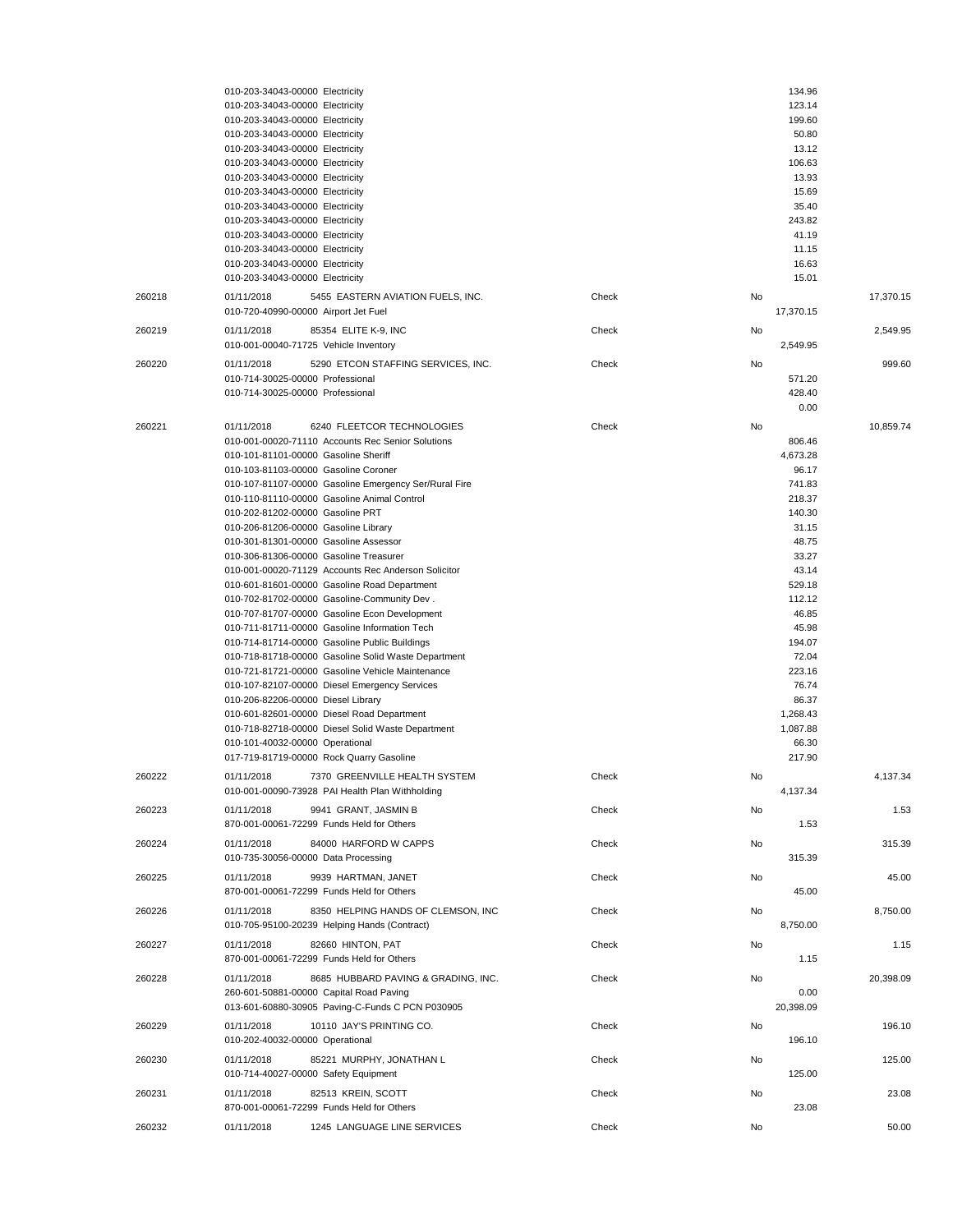|        | 010-203-34043-00000 Electricity                                                                         |    | 134.96            |           |
|--------|---------------------------------------------------------------------------------------------------------|----|-------------------|-----------|
|        | 010-203-34043-00000 Electricity<br>010-203-34043-00000 Electricity                                      |    | 123.14<br>199.60  |           |
|        | 010-203-34043-00000 Electricity                                                                         |    | 50.80             |           |
|        | 010-203-34043-00000 Electricity                                                                         |    | 13.12             |           |
|        | 010-203-34043-00000 Electricity                                                                         |    | 106.63            |           |
|        | 010-203-34043-00000 Electricity                                                                         |    | 13.93             |           |
|        | 010-203-34043-00000 Electricity                                                                         |    | 15.69             |           |
|        | 010-203-34043-00000 Electricity                                                                         |    | 35.40             |           |
|        | 010-203-34043-00000 Electricity                                                                         |    | 243.82            |           |
|        | 010-203-34043-00000 Electricity                                                                         |    | 41.19             |           |
|        | 010-203-34043-00000 Electricity                                                                         |    | 11.15             |           |
|        | 010-203-34043-00000 Electricity                                                                         |    | 16.63             |           |
|        | 010-203-34043-00000 Electricity                                                                         |    | 15.01             |           |
| 260218 | 01/11/2018<br>5455 EASTERN AVIATION FUELS, INC.<br>Check                                                | No |                   | 17,370.15 |
|        | 010-720-40990-00000 Airport Jet Fuel                                                                    |    | 17,370.15         |           |
| 260219 | 01/11/2018<br>85354 ELITE K-9, INC<br>Check                                                             | No |                   | 2,549.95  |
|        | 010-001-00040-71725 Vehicle Inventory                                                                   |    | 2,549.95          |           |
| 260220 | 01/11/2018<br>5290 ETCON STAFFING SERVICES, INC.<br>Check                                               | No |                   | 999.60    |
|        | 010-714-30025-00000 Professional                                                                        |    | 571.20            |           |
|        | 010-714-30025-00000 Professional                                                                        |    | 428.40            |           |
|        |                                                                                                         |    | 0.00              |           |
| 260221 | 01/11/2018<br>6240 FLEETCOR TECHNOLOGIES<br>Check                                                       | No |                   | 10,859.74 |
|        | 010-001-00020-71110 Accounts Rec Senior Solutions                                                       |    | 806.46            |           |
|        | 010-101-81101-00000 Gasoline Sheriff                                                                    |    | 4,673.28          |           |
|        | 010-103-81103-00000 Gasoline Coroner                                                                    |    | 96.17             |           |
|        | 010-107-81107-00000 Gasoline Emergency Ser/Rural Fire                                                   |    | 741.83            |           |
|        | 010-110-81110-00000 Gasoline Animal Control                                                             |    | 218.37            |           |
|        | 010-202-81202-00000 Gasoline PRT                                                                        |    | 140.30            |           |
|        | 010-206-81206-00000 Gasoline Library<br>010-301-81301-00000 Gasoline Assessor                           |    | 31.15<br>48.75    |           |
|        | 010-306-81306-00000 Gasoline Treasurer                                                                  |    | 33.27             |           |
|        | 010-001-00020-71129 Accounts Rec Anderson Solicitor                                                     |    | 43.14             |           |
|        | 010-601-81601-00000 Gasoline Road Department                                                            |    | 529.18            |           |
|        | 010-702-81702-00000 Gasoline-Community Dev.                                                             |    | 112.12            |           |
|        | 010-707-81707-00000 Gasoline Econ Development                                                           |    | 46.85             |           |
|        | 010-711-81711-00000 Gasoline Information Tech                                                           |    | 45.98             |           |
|        | 010-714-81714-00000 Gasoline Public Buildings                                                           |    | 194.07            |           |
|        | 010-718-81718-00000 Gasoline Solid Waste Department                                                     |    | 72.04             |           |
|        | 010-721-81721-00000 Gasoline Vehicle Maintenance                                                        |    | 223.16            |           |
|        | 010-107-82107-00000 Diesel Emergency Services                                                           |    | 76.74             |           |
|        | 010-206-82206-00000 Diesel Library                                                                      |    | 86.37             |           |
|        | 010-601-82601-00000 Diesel Road Department<br>010-718-82718-00000 Diesel Solid Waste Department         |    | 1,268.43          |           |
|        | 010-101-40032-00000 Operational                                                                         |    | 1,087.88<br>66.30 |           |
|        | 017-719-81719-00000 Rock Quarry Gasoline                                                                |    | 217.90            |           |
|        |                                                                                                         |    |                   |           |
| 260222 | 01/11/2018<br>7370 GREENVILLE HEALTH SYSTEM<br>Check<br>010-001-00090-73928 PAI Health Plan Withholding | No | 4,137.34          | 4.137.34  |
|        |                                                                                                         |    |                   |           |
| 260223 | 01/11/2018<br>9941 GRANT, JASMIN B<br>Check                                                             | No |                   | 1.53      |
|        | 870-001-00061-72299 Funds Held for Others                                                               |    | 1.53              |           |
| 260224 | 01/11/2018<br>84000 HARFORD W CAPPS<br>Check                                                            | No |                   | 315.39    |
|        | 010-735-30056-00000 Data Processing                                                                     |    | 315.39            |           |
| 260225 | 01/11/2018<br>9939 HARTMAN, JANET<br>Check                                                              | No |                   | 45.00     |
|        | 870-001-00061-72299 Funds Held for Others                                                               |    | 45.00             |           |
| 260226 | 01/11/2018<br>8350 HELPING HANDS OF CLEMSON, INC<br>Check                                               | No |                   | 8,750.00  |
|        | 010-705-95100-20239 Helping Hands (Contract)                                                            |    | 8,750.00          |           |
| 260227 | 82660 HINTON, PAT<br>01/11/2018<br>Check                                                                | No |                   | 1.15      |
|        | 870-001-00061-72299 Funds Held for Others                                                               |    | 1.15              |           |
| 260228 | 8685 HUBBARD PAVING & GRADING, INC.<br>01/11/2018<br>Check                                              | No |                   | 20,398.09 |
|        | 260-601-50881-00000 Capital Road Paving                                                                 |    | 0.00              |           |
|        | 013-601-60880-30905 Paving-C-Funds C PCN P030905                                                        |    | 20,398.09         |           |
| 260229 | 01/11/2018<br>10110 JAY'S PRINTING CO.<br>Check                                                         | No |                   | 196.10    |
|        | 010-202-40032-00000 Operational                                                                         |    | 196.10            |           |
|        | 01/11/2018<br>85221 MURPHY, JONATHAN L<br>Check                                                         | No |                   | 125.00    |
| 260230 | 010-714-40027-00000 Safety Equipment                                                                    |    | 125.00            |           |
|        |                                                                                                         |    |                   |           |
| 260231 | 01/11/2018<br>82513 KREIN, SCOTT<br>Check                                                               | No |                   | 23.08     |
|        | 870-001-00061-72299 Funds Held for Others                                                               |    | 23.08             |           |
| 260232 | 01/11/2018<br>1245 LANGUAGE LINE SERVICES<br>Check                                                      | No |                   | 50.00     |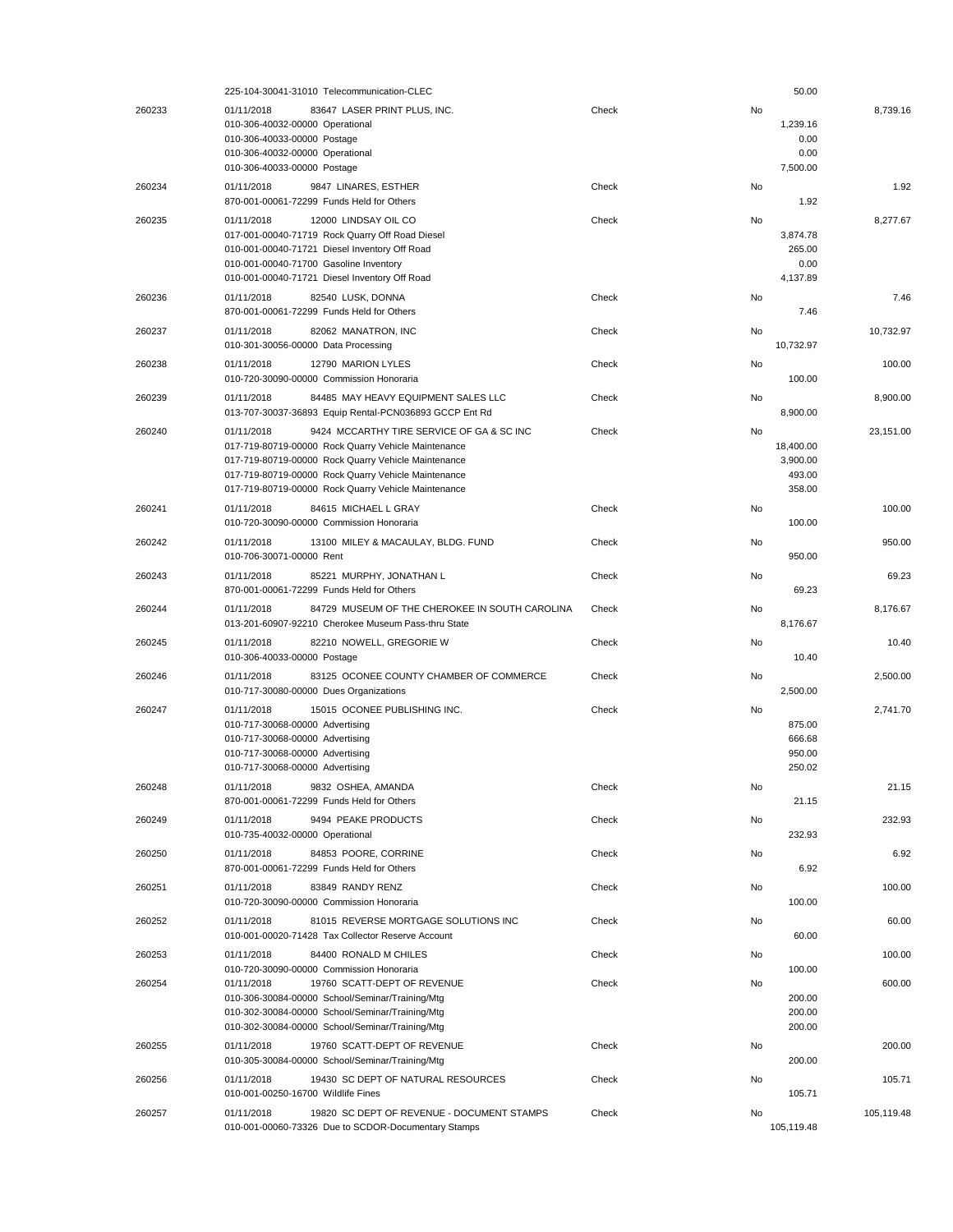|        | 225-104-30041-31010 Telecommunication-CLEC                                                                                                                                                                                                                                          |       |    | 50.00                                     |            |
|--------|-------------------------------------------------------------------------------------------------------------------------------------------------------------------------------------------------------------------------------------------------------------------------------------|-------|----|-------------------------------------------|------------|
| 260233 | 01/11/2018<br>83647 LASER PRINT PLUS, INC.<br>010-306-40032-00000 Operational<br>010-306-40033-00000 Postage<br>010-306-40032-00000 Operational<br>010-306-40033-00000 Postage                                                                                                      | Check | No | 1,239.16<br>0.00<br>0.00<br>7,500.00      | 8,739.16   |
| 260234 | 01/11/2018<br>9847 LINARES, ESTHER<br>870-001-00061-72299 Funds Held for Others                                                                                                                                                                                                     | Check | No | 1.92                                      | 1.92       |
| 260235 | 01/11/2018<br>12000 LINDSAY OIL CO<br>017-001-00040-71719 Rock Quarry Off Road Diesel<br>010-001-00040-71721 Diesel Inventory Off Road<br>010-001-00040-71700 Gasoline Inventory<br>010-001-00040-71721 Diesel Inventory Off Road                                                   | Check | No | 3,874.78<br>265.00<br>0.00<br>4,137.89    | 8,277.67   |
| 260236 | 01/11/2018<br>82540 LUSK, DONNA<br>870-001-00061-72299 Funds Held for Others                                                                                                                                                                                                        | Check | No | 7.46                                      | 7.46       |
| 260237 | 01/11/2018<br>82062 MANATRON, INC<br>010-301-30056-00000 Data Processing                                                                                                                                                                                                            | Check | No | 10,732.97                                 | 10,732.97  |
| 260238 | 01/11/2018<br>12790 MARION LYLES<br>010-720-30090-00000 Commission Honoraria                                                                                                                                                                                                        | Check | No | 100.00                                    | 100.00     |
| 260239 | 01/11/2018<br>84485 MAY HEAVY EQUIPMENT SALES LLC<br>013-707-30037-36893 Equip Rental-PCN036893 GCCP Ent Rd                                                                                                                                                                         | Check | No | 8,900.00                                  | 8,900.00   |
| 260240 | 01/11/2018<br>9424 MCCARTHY TIRE SERVICE OF GA & SC INC<br>017-719-80719-00000 Rock Quarry Vehicle Maintenance<br>017-719-80719-00000 Rock Quarry Vehicle Maintenance<br>017-719-80719-00000 Rock Quarry Vehicle Maintenance<br>017-719-80719-00000 Rock Quarry Vehicle Maintenance | Check | No | 18,400.00<br>3,900.00<br>493.00<br>358.00 | 23,151.00  |
| 260241 | 01/11/2018<br>84615 MICHAEL L GRAY<br>010-720-30090-00000 Commission Honoraria                                                                                                                                                                                                      | Check | No | 100.00                                    | 100.00     |
| 260242 | 01/11/2018<br>13100 MILEY & MACAULAY, BLDG. FUND<br>010-706-30071-00000 Rent                                                                                                                                                                                                        | Check | No | 950.00                                    | 950.00     |
| 260243 | 85221 MURPHY, JONATHAN L<br>01/11/2018<br>870-001-00061-72299 Funds Held for Others                                                                                                                                                                                                 | Check | No | 69.23                                     | 69.23      |
| 260244 | 01/11/2018<br>84729 MUSEUM OF THE CHEROKEE IN SOUTH CAROLINA<br>013-201-60907-92210 Cherokee Museum Pass-thru State                                                                                                                                                                 | Check | No | 8,176.67                                  | 8,176.67   |
| 260245 | 01/11/2018<br>82210 NOWELL, GREGORIE W<br>010-306-40033-00000 Postage                                                                                                                                                                                                               | Check | No | 10.40                                     | 10.40      |
| 260246 | 01/11/2018<br>83125 OCONEE COUNTY CHAMBER OF COMMERCE<br>010-717-30080-00000 Dues Organizations                                                                                                                                                                                     | Check | No | 2,500.00                                  | 2,500.00   |
| 260247 | 15015 OCONEE PUBLISHING INC.<br>01/11/2018<br>010-717-30068-00000 Advertising<br>010-717-30068-00000 Advertising<br>010-717-30068-00000 Advertising<br>010-717-30068-00000 Advertising                                                                                              | Check | No | 875.00<br>666.68<br>950.00<br>250.02      | 2,741.70   |
| 260248 | 01/11/2018<br>9832 OSHEA, AMANDA<br>870-001-00061-72299 Funds Held for Others                                                                                                                                                                                                       | Check | No | 21.15                                     | 21.15      |
| 260249 | 9494 PEAKE PRODUCTS<br>01/11/2018<br>010-735-40032-00000 Operational                                                                                                                                                                                                                | Check | No | 232.93                                    | 232.93     |
| 260250 | 84853 POORE, CORRINE<br>01/11/2018<br>870-001-00061-72299 Funds Held for Others                                                                                                                                                                                                     | Check | No | 6.92                                      | 6.92       |
| 260251 | 83849 RANDY RENZ<br>01/11/2018<br>010-720-30090-00000 Commission Honoraria                                                                                                                                                                                                          | Check | No | 100.00                                    | 100.00     |
| 260252 | 01/11/2018<br>81015 REVERSE MORTGAGE SOLUTIONS INC<br>010-001-00020-71428 Tax Collector Reserve Account                                                                                                                                                                             | Check | No | 60.00                                     | 60.00      |
| 260253 | 84400 RONALD M CHILES<br>01/11/2018<br>010-720-30090-00000 Commission Honoraria                                                                                                                                                                                                     | Check | No | 100.00                                    | 100.00     |
| 260254 | 19760 SCATT-DEPT OF REVENUE<br>01/11/2018<br>010-306-30084-00000 School/Seminar/Training/Mtg<br>010-302-30084-00000 School/Seminar/Training/Mtg<br>010-302-30084-00000 School/Seminar/Training/Mtg                                                                                  | Check | No | 200.00<br>200.00<br>200.00                | 600.00     |
| 260255 | 19760 SCATT-DEPT OF REVENUE<br>01/11/2018<br>010-305-30084-00000 School/Seminar/Training/Mtg                                                                                                                                                                                        | Check | No | 200.00                                    | 200.00     |
| 260256 | 01/11/2018<br>19430 SC DEPT OF NATURAL RESOURCES<br>010-001-00250-16700 Wildlife Fines                                                                                                                                                                                              | Check | No | 105.71                                    | 105.71     |
| 260257 | 19820 SC DEPT OF REVENUE - DOCUMENT STAMPS<br>01/11/2018<br>010-001-00060-73326 Due to SCDOR-Documentary Stamps                                                                                                                                                                     | Check | No | 105,119.48                                | 105,119.48 |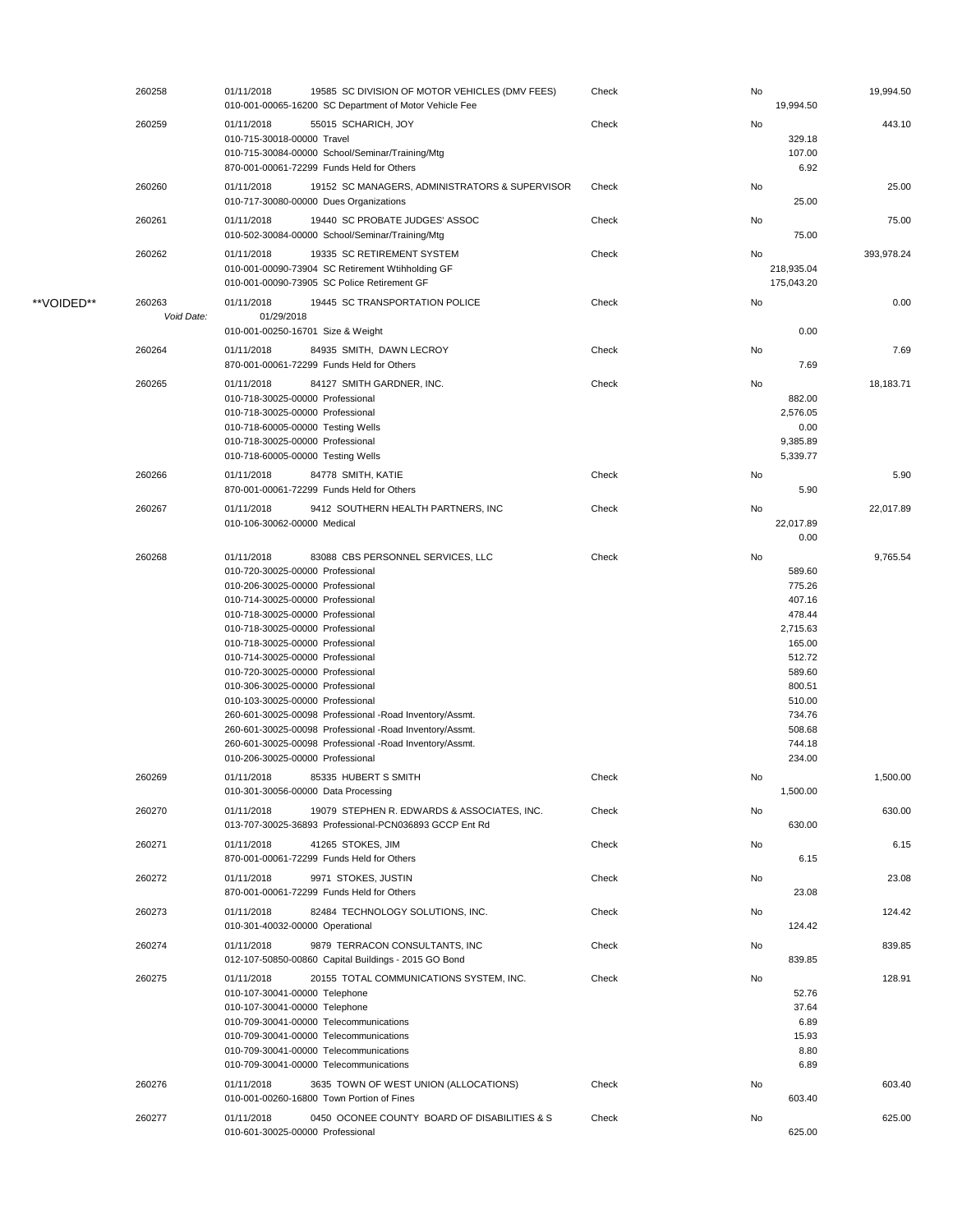|            | 260258               | 01/11/2018                                                                                                                                                                                                                                                                                                                                                                                                             | 19585 SC DIVISION OF MOTOR VEHICLES (DMV FEES)<br>010-001-00065-16200 SC Department of Motor Vehicle Fee                                                                                                           | Check | No | 19.994.50                                                                                                                                  | 19,994.50  |
|------------|----------------------|------------------------------------------------------------------------------------------------------------------------------------------------------------------------------------------------------------------------------------------------------------------------------------------------------------------------------------------------------------------------------------------------------------------------|--------------------------------------------------------------------------------------------------------------------------------------------------------------------------------------------------------------------|-------|----|--------------------------------------------------------------------------------------------------------------------------------------------|------------|
|            | 260259               | 01/11/2018<br>010-715-30018-00000 Travel                                                                                                                                                                                                                                                                                                                                                                               | 55015 SCHARICH, JOY<br>010-715-30084-00000 School/Seminar/Training/Mtg<br>870-001-00061-72299 Funds Held for Others                                                                                                | Check | No | 329.18<br>107.00<br>6.92                                                                                                                   | 443.10     |
|            | 260260               | 01/11/2018                                                                                                                                                                                                                                                                                                                                                                                                             | 19152 SC MANAGERS, ADMINISTRATORS & SUPERVISOR<br>010-717-30080-00000 Dues Organizations                                                                                                                           | Check | No | 25.00                                                                                                                                      | 25.00      |
|            | 260261               | 01/11/2018                                                                                                                                                                                                                                                                                                                                                                                                             | 19440 SC PROBATE JUDGES' ASSOC<br>010-502-30084-00000 School/Seminar/Training/Mtg                                                                                                                                  | Check | No | 75.00                                                                                                                                      | 75.00      |
|            | 260262               | 01/11/2018                                                                                                                                                                                                                                                                                                                                                                                                             | 19335 SC RETIREMENT SYSTEM<br>010-001-00090-73904 SC Retirement Wtihholding GF<br>010-001-00090-73905 SC Police Retirement GF                                                                                      | Check | No | 218,935.04<br>175,043.20                                                                                                                   | 393,978.24 |
| **VOIDED** | 260263<br>Void Date: | 01/11/2018<br>01/29/2018                                                                                                                                                                                                                                                                                                                                                                                               | 19445 SC TRANSPORTATION POLICE                                                                                                                                                                                     | Check | No |                                                                                                                                            | 0.00       |
|            | 260264               | 010-001-00250-16701 Size & Weight<br>01/11/2018                                                                                                                                                                                                                                                                                                                                                                        | 84935 SMITH, DAWN LECROY<br>870-001-00061-72299 Funds Held for Others                                                                                                                                              | Check | No | 0.00<br>7.69                                                                                                                               | 7.69       |
|            | 260265               | 01/11/2018<br>010-718-30025-00000 Professional<br>010-718-30025-00000 Professional<br>010-718-60005-00000 Testing Wells<br>010-718-30025-00000 Professional<br>010-718-60005-00000 Testing Wells                                                                                                                                                                                                                       | 84127 SMITH GARDNER, INC.                                                                                                                                                                                          | Check | No | 882.00<br>2,576.05<br>0.00<br>9,385.89<br>5,339.77                                                                                         | 18,183.71  |
|            | 260266               | 01/11/2018                                                                                                                                                                                                                                                                                                                                                                                                             | 84778 SMITH, KATIE<br>870-001-00061-72299 Funds Held for Others                                                                                                                                                    | Check | No | 5.90                                                                                                                                       | 5.90       |
|            | 260267               | 01/11/2018<br>010-106-30062-00000 Medical                                                                                                                                                                                                                                                                                                                                                                              | 9412 SOUTHERN HEALTH PARTNERS, INC                                                                                                                                                                                 | Check | No | 22,017.89<br>0.00                                                                                                                          | 22,017.89  |
|            | 260268               | 01/11/2018<br>010-720-30025-00000 Professional<br>010-206-30025-00000 Professional<br>010-714-30025-00000 Professional<br>010-718-30025-00000 Professional<br>010-718-30025-00000 Professional<br>010-718-30025-00000 Professional<br>010-714-30025-00000 Professional<br>010-720-30025-00000 Professional<br>010-306-30025-00000 Professional<br>010-103-30025-00000 Professional<br>010-206-30025-00000 Professional | 83088 CBS PERSONNEL SERVICES, LLC<br>260-601-30025-00098 Professional -Road Inventory/Assmt.<br>260-601-30025-00098 Professional -Road Inventory/Assmt.<br>260-601-30025-00098 Professional -Road Inventory/Assmt. | Check | No | 589.60<br>775.26<br>407.16<br>478.44<br>2,715.63<br>165.00<br>512.72<br>589.60<br>800.51<br>510.00<br>734.76<br>508.68<br>744.18<br>234.00 | 9,765.54   |
|            | 260269               | 01/11/2018                                                                                                                                                                                                                                                                                                                                                                                                             | 85335 HUBERT S SMITH<br>010-301-30056-00000 Data Processing                                                                                                                                                        | Check | No | 1,500.00                                                                                                                                   | 1,500.00   |
|            | 260270               | 01/11/2018                                                                                                                                                                                                                                                                                                                                                                                                             | 19079 STEPHEN R. EDWARDS & ASSOCIATES, INC.<br>013-707-30025-36893 Professional-PCN036893 GCCP Ent Rd                                                                                                              | Check | No | 630.00                                                                                                                                     | 630.00     |
|            | 260271               | 01/11/2018                                                                                                                                                                                                                                                                                                                                                                                                             | 41265 STOKES, JIM<br>870-001-00061-72299 Funds Held for Others                                                                                                                                                     | Check | No | 6.15                                                                                                                                       | 6.15       |
|            | 260272               | 01/11/2018                                                                                                                                                                                                                                                                                                                                                                                                             | 9971 STOKES, JUSTIN<br>870-001-00061-72299 Funds Held for Others                                                                                                                                                   | Check | No | 23.08                                                                                                                                      | 23.08      |
|            | 260273               | 01/11/2018<br>010-301-40032-00000 Operational                                                                                                                                                                                                                                                                                                                                                                          | 82484 TECHNOLOGY SOLUTIONS, INC.                                                                                                                                                                                   | Check | No | 124.42                                                                                                                                     | 124.42     |
|            | 260274               | 01/11/2018                                                                                                                                                                                                                                                                                                                                                                                                             | 9879 TERRACON CONSULTANTS, INC<br>012-107-50850-00860 Capital Buildings - 2015 GO Bond                                                                                                                             | Check | No | 839.85                                                                                                                                     | 839.85     |
|            | 260275               | 01/11/2018<br>010-107-30041-00000 Telephone<br>010-107-30041-00000 Telephone                                                                                                                                                                                                                                                                                                                                           | 20155 TOTAL COMMUNICATIONS SYSTEM, INC.<br>010-709-30041-00000 Telecommunications<br>010-709-30041-00000 Telecommunications<br>010-709-30041-00000 Telecommunications<br>010-709-30041-00000 Telecommunications    | Check | No | 52.76<br>37.64<br>6.89<br>15.93<br>8.80<br>6.89                                                                                            | 128.91     |
|            | 260276               | 01/11/2018                                                                                                                                                                                                                                                                                                                                                                                                             | 3635 TOWN OF WEST UNION (ALLOCATIONS)<br>010-001-00260-16800 Town Portion of Fines                                                                                                                                 | Check | No | 603.40                                                                                                                                     | 603.40     |
|            | 260277               | 01/11/2018<br>010-601-30025-00000 Professional                                                                                                                                                                                                                                                                                                                                                                         | 0450 OCONEE COUNTY BOARD OF DISABILITIES & S                                                                                                                                                                       | Check | No | 625.00                                                                                                                                     | 625.00     |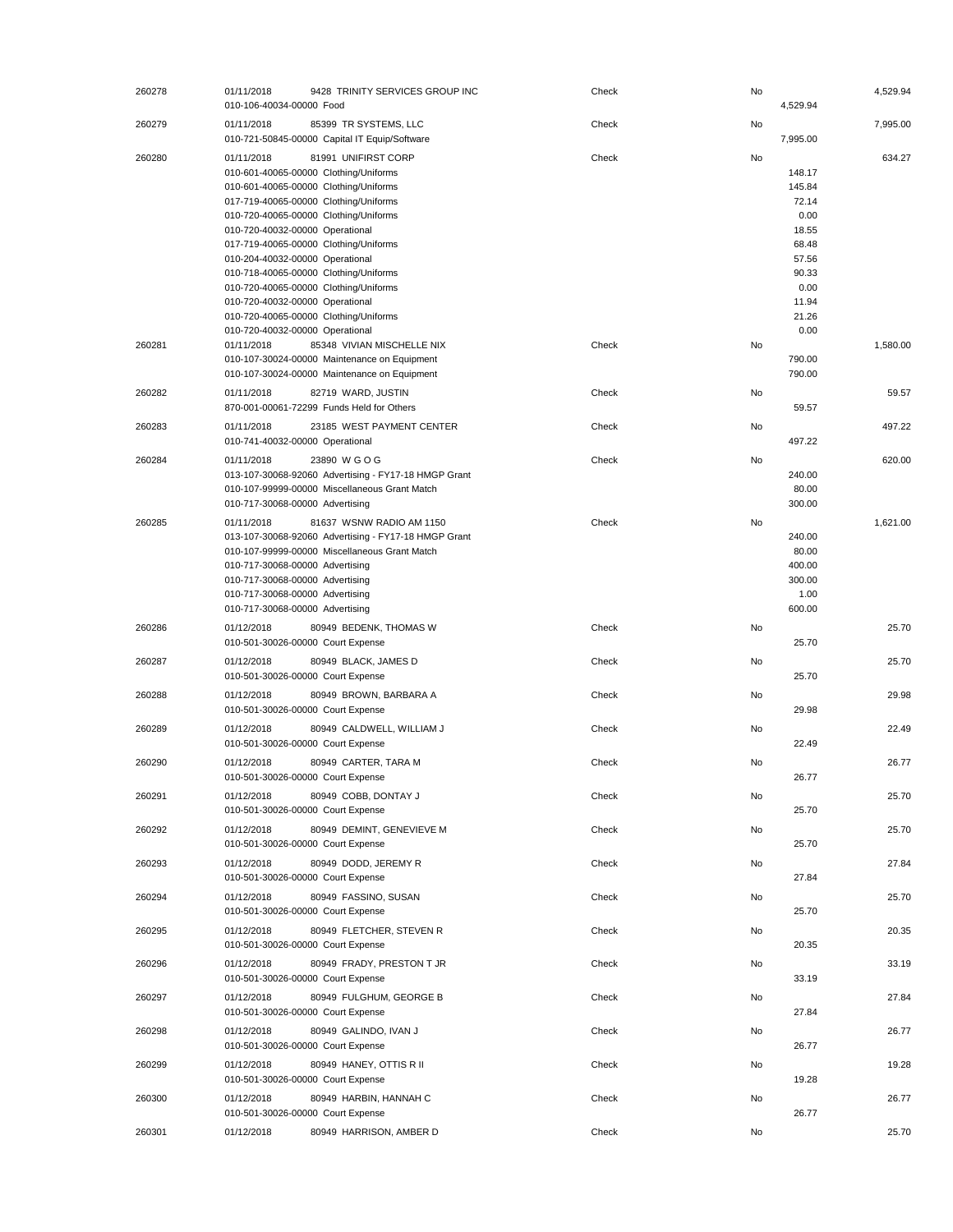| 260278 | 01/11/2018<br>010-106-40034-00000 Food                                                                                                                 | 9428 TRINITY SERVICES GROUP INC                                                                                                                                                                                                                                                                                                                             | Check | No | 4,529.94                                                                                                | 4,529.94 |
|--------|--------------------------------------------------------------------------------------------------------------------------------------------------------|-------------------------------------------------------------------------------------------------------------------------------------------------------------------------------------------------------------------------------------------------------------------------------------------------------------------------------------------------------------|-------|----|---------------------------------------------------------------------------------------------------------|----------|
| 260279 | 01/11/2018                                                                                                                                             | 85399 TR SYSTEMS, LLC<br>010-721-50845-00000 Capital IT Equip/Software                                                                                                                                                                                                                                                                                      | Check | No | 7,995.00                                                                                                | 7,995.00 |
| 260280 | 01/11/2018<br>010-720-40032-00000 Operational<br>010-204-40032-00000 Operational<br>010-720-40032-00000 Operational<br>010-720-40032-00000 Operational | 81991 UNIFIRST CORP<br>010-601-40065-00000 Clothing/Uniforms<br>010-601-40065-00000 Clothing/Uniforms<br>017-719-40065-00000 Clothing/Uniforms<br>010-720-40065-00000 Clothing/Uniforms<br>017-719-40065-00000 Clothing/Uniforms<br>010-718-40065-00000 Clothing/Uniforms<br>010-720-40065-00000 Clothing/Uniforms<br>010-720-40065-00000 Clothing/Uniforms | Check | No | 148.17<br>145.84<br>72.14<br>0.00<br>18.55<br>68.48<br>57.56<br>90.33<br>0.00<br>11.94<br>21.26<br>0.00 | 634.27   |
| 260281 | 01/11/2018                                                                                                                                             | 85348 VIVIAN MISCHELLE NIX<br>010-107-30024-00000 Maintenance on Equipment<br>010-107-30024-00000 Maintenance on Equipment                                                                                                                                                                                                                                  | Check | No | 790.00<br>790.00                                                                                        | 1,580.00 |
| 260282 | 01/11/2018                                                                                                                                             | 82719 WARD, JUSTIN<br>870-001-00061-72299 Funds Held for Others                                                                                                                                                                                                                                                                                             | Check | No | 59.57                                                                                                   | 59.57    |
| 260283 | 01/11/2018<br>010-741-40032-00000 Operational                                                                                                          | 23185 WEST PAYMENT CENTER                                                                                                                                                                                                                                                                                                                                   | Check | No | 497.22                                                                                                  | 497.22   |
| 260284 | 01/11/2018<br>010-717-30068-00000 Advertising                                                                                                          | 23890 W G O G<br>013-107-30068-92060 Advertising - FY17-18 HMGP Grant<br>010-107-99999-00000 Miscellaneous Grant Match                                                                                                                                                                                                                                      | Check | No | 240.00<br>80.00<br>300.00                                                                               | 620.00   |
| 260285 | 01/11/2018<br>010-717-30068-00000 Advertising<br>010-717-30068-00000 Advertising<br>010-717-30068-00000 Advertising                                    | 81637 WSNW RADIO AM 1150<br>013-107-30068-92060 Advertising - FY17-18 HMGP Grant<br>010-107-99999-00000 Miscellaneous Grant Match                                                                                                                                                                                                                           | Check | No | 240.00<br>80.00<br>400.00<br>300.00<br>1.00                                                             | 1,621.00 |
|        | 010-717-30068-00000 Advertising                                                                                                                        |                                                                                                                                                                                                                                                                                                                                                             |       |    | 600.00                                                                                                  |          |
| 260286 | 01/12/2018<br>010-501-30026-00000 Court Expense                                                                                                        | 80949 BEDENK, THOMAS W                                                                                                                                                                                                                                                                                                                                      | Check | No | 25.70                                                                                                   | 25.70    |
| 260287 | 01/12/2018<br>010-501-30026-00000 Court Expense                                                                                                        | 80949 BLACK, JAMES D                                                                                                                                                                                                                                                                                                                                        | Check | No | 25.70                                                                                                   | 25.70    |
| 260288 | 01/12/2018<br>010-501-30026-00000 Court Expense                                                                                                        | 80949 BROWN, BARBARA A                                                                                                                                                                                                                                                                                                                                      | Check | No | 29.98                                                                                                   | 29.98    |
| 260289 | 01/12/2018<br>010-501-30026-00000 Court Expense                                                                                                        | 80949 CALDWELL, WILLIAM J                                                                                                                                                                                                                                                                                                                                   | Check | No | 22.49                                                                                                   | 22.49    |
| 260290 | 01/12/2018<br>010-501-30026-00000 Court Expense                                                                                                        | 80949 CARTER, TARA M                                                                                                                                                                                                                                                                                                                                        | Check | No | 26.77                                                                                                   | 26.77    |
| 260291 | 01/12/2018<br>010-501-30026-00000 Court Expense                                                                                                        | 80949 COBB, DONTAY J                                                                                                                                                                                                                                                                                                                                        | Check | No | 25.70                                                                                                   | 25.70    |
| 260292 | 01/12/2018<br>010-501-30026-00000 Court Expense                                                                                                        | 80949 DEMINT, GENEVIEVE M                                                                                                                                                                                                                                                                                                                                   | Check | No | 25.70                                                                                                   | 25.70    |
| 260293 | 01/12/2018<br>010-501-30026-00000 Court Expense                                                                                                        | 80949 DODD, JEREMY R                                                                                                                                                                                                                                                                                                                                        | Check | No | 27.84                                                                                                   | 27.84    |
| 260294 | 01/12/2018<br>010-501-30026-00000 Court Expense                                                                                                        | 80949 FASSINO, SUSAN                                                                                                                                                                                                                                                                                                                                        | Check | No | 25.70                                                                                                   | 25.70    |
| 260295 | 01/12/2018<br>010-501-30026-00000 Court Expense                                                                                                        | 80949 FLETCHER, STEVEN R                                                                                                                                                                                                                                                                                                                                    | Check | No | 20.35                                                                                                   | 20.35    |
| 260296 | 01/12/2018<br>010-501-30026-00000 Court Expense                                                                                                        | 80949 FRADY, PRESTON T JR                                                                                                                                                                                                                                                                                                                                   | Check | No | 33.19                                                                                                   | 33.19    |
| 260297 | 01/12/2018<br>010-501-30026-00000 Court Expense                                                                                                        | 80949 FULGHUM, GEORGE B                                                                                                                                                                                                                                                                                                                                     | Check | No | 27.84                                                                                                   | 27.84    |
| 260298 | 01/12/2018<br>010-501-30026-00000 Court Expense                                                                                                        | 80949 GALINDO, IVAN J                                                                                                                                                                                                                                                                                                                                       | Check | No | 26.77                                                                                                   | 26.77    |
| 260299 | 01/12/2018<br>010-501-30026-00000 Court Expense                                                                                                        | 80949 HANEY, OTTIS R II                                                                                                                                                                                                                                                                                                                                     | Check | No | 19.28                                                                                                   | 19.28    |
| 260300 | 01/12/2018<br>010-501-30026-00000 Court Expense                                                                                                        | 80949 HARBIN, HANNAH C                                                                                                                                                                                                                                                                                                                                      | Check | No | 26.77                                                                                                   | 26.77    |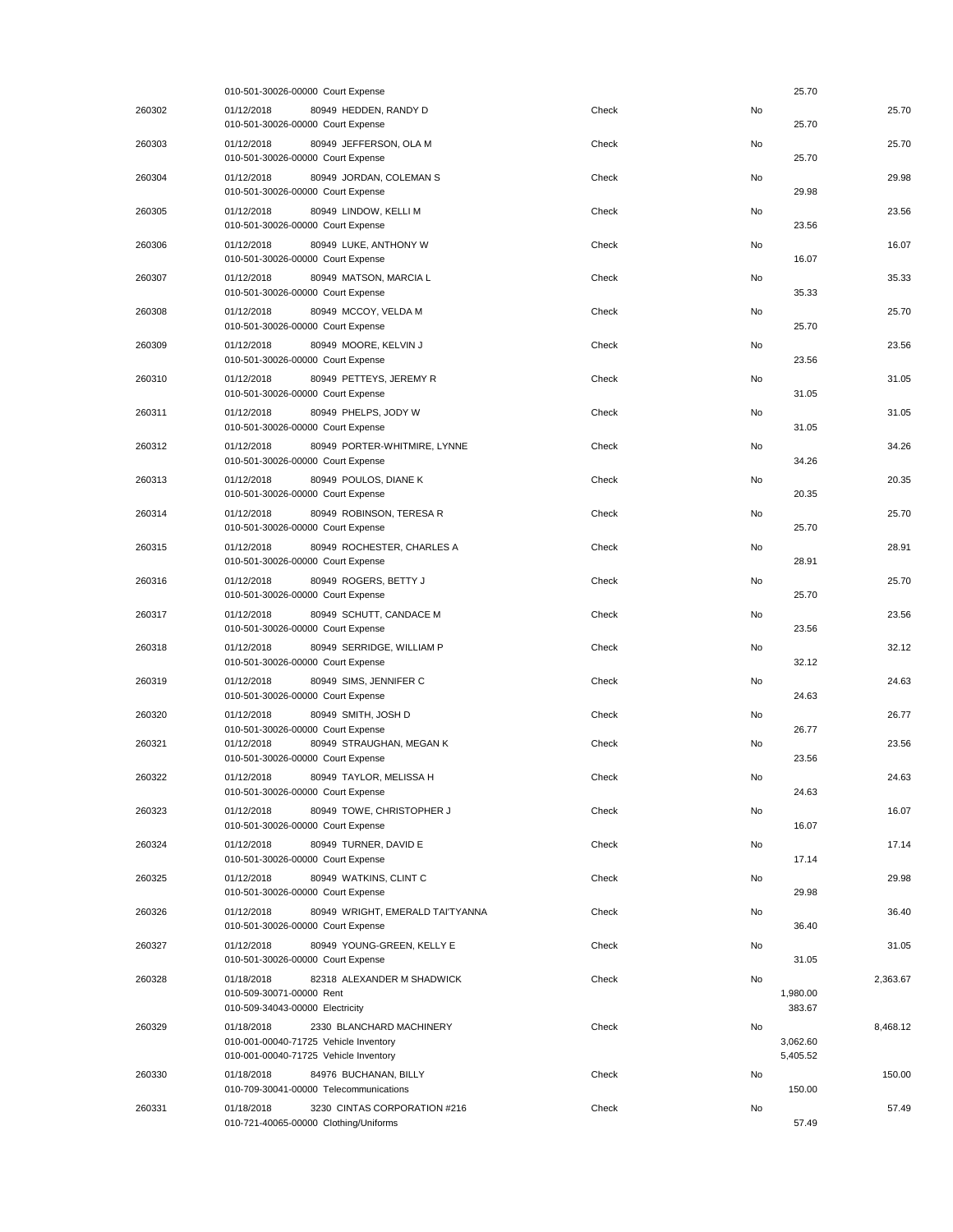|        | 010-501-30026-00000 Court Expense                                                                                        |       |    | 25.70                |          |
|--------|--------------------------------------------------------------------------------------------------------------------------|-------|----|----------------------|----------|
| 260302 | 01/12/2018<br>80949 HEDDEN, RANDY D<br>010-501-30026-00000 Court Expense                                                 | Check | No | 25.70                | 25.70    |
| 260303 | 01/12/2018<br>80949 JEFFERSON, OLA M<br>010-501-30026-00000 Court Expense                                                | Check | No | 25.70                | 25.70    |
| 260304 | 01/12/2018<br>80949 JORDAN, COLEMAN S<br>010-501-30026-00000 Court Expense                                               | Check | No | 29.98                | 29.98    |
| 260305 | 80949 LINDOW, KELLI M<br>01/12/2018<br>010-501-30026-00000 Court Expense                                                 | Check | No | 23.56                | 23.56    |
| 260306 | 80949 LUKE, ANTHONY W<br>01/12/2018<br>010-501-30026-00000 Court Expense                                                 | Check | No | 16.07                | 16.07    |
| 260307 | 01/12/2018<br>80949 MATSON, MARCIA L<br>010-501-30026-00000 Court Expense                                                | Check | No | 35.33                | 35.33    |
| 260308 | 01/12/2018<br>80949 MCCOY, VELDA M<br>010-501-30026-00000 Court Expense                                                  | Check | No | 25.70                | 25.70    |
| 260309 | 01/12/2018<br>80949 MOORE, KELVIN J<br>010-501-30026-00000 Court Expense                                                 | Check | No | 23.56                | 23.56    |
| 260310 | 80949 PETTEYS, JEREMY R<br>01/12/2018<br>010-501-30026-00000 Court Expense                                               | Check | No | 31.05                | 31.05    |
| 260311 | 80949 PHELPS, JODY W<br>01/12/2018<br>010-501-30026-00000 Court Expense                                                  | Check | No | 31.05                | 31.05    |
| 260312 | 01/12/2018<br>80949 PORTER-WHITMIRE, LYNNE<br>010-501-30026-00000 Court Expense                                          | Check | No | 34.26                | 34.26    |
| 260313 | 01/12/2018<br>80949 POULOS, DIANE K<br>010-501-30026-00000 Court Expense                                                 | Check | No | 20.35                | 20.35    |
| 260314 | 01/12/2018<br>80949 ROBINSON, TERESA R<br>010-501-30026-00000 Court Expense                                              | Check | No | 25.70                | 25.70    |
| 260315 | 80949 ROCHESTER, CHARLES A<br>01/12/2018<br>010-501-30026-00000 Court Expense                                            | Check | No | 28.91                | 28.91    |
| 260316 | 80949 ROGERS, BETTY J<br>01/12/2018<br>010-501-30026-00000 Court Expense                                                 | Check | No | 25.70                | 25.70    |
| 260317 | 01/12/2018<br>80949 SCHUTT, CANDACE M<br>010-501-30026-00000 Court Expense                                               | Check | No | 23.56                | 23.56    |
| 260318 | 01/12/2018<br>80949 SERRIDGE, WILLIAM P<br>010-501-30026-00000 Court Expense                                             | Check | No | 32.12                | 32.12    |
| 260319 | 80949 SIMS, JENNIFER C<br>01/12/2018                                                                                     | Check | No | 24.63                | 24.63    |
| 260320 | 010-501-30026-00000 Court Expense<br>01/12/2018<br>80949 SMITH, JOSH D                                                   | Check | No |                      | 26.77    |
| 260321 | 010-501-30026-00000 Court Expense<br>01/12/2018<br>80949 STRAUGHAN, MEGAN K<br>010-501-30026-00000 Court Expense         | Check | No | 26.77<br>23.56       | 23.56    |
| 260322 | 01/12/2018<br>80949 TAYLOR, MELISSA H<br>010-501-30026-00000 Court Expense                                               | Check | No | 24.63                | 24.63    |
| 260323 | 01/12/2018<br>80949 TOWE, CHRISTOPHER J<br>010-501-30026-00000 Court Expense                                             | Check | No | 16.07                | 16.07    |
| 260324 | 80949 TURNER, DAVID E<br>01/12/2018<br>010-501-30026-00000 Court Expense                                                 | Check | No | 17.14                | 17.14    |
| 260325 | 01/12/2018<br>80949 WATKINS, CLINT C<br>010-501-30026-00000 Court Expense                                                | Check | No | 29.98                | 29.98    |
| 260326 | 01/12/2018<br>80949 WRIGHT, EMERALD TAI'TYANNA<br>010-501-30026-00000 Court Expense                                      | Check | No | 36.40                | 36.40    |
| 260327 | 80949 YOUNG-GREEN, KELLY E<br>01/12/2018<br>010-501-30026-00000 Court Expense                                            | Check | No | 31.05                | 31.05    |
| 260328 | 01/18/2018<br>82318 ALEXANDER M SHADWICK<br>010-509-30071-00000 Rent                                                     | Check | No | 1,980.00             | 2,363.67 |
|        | 010-509-34043-00000 Electricity                                                                                          |       |    | 383.67               |          |
| 260329 | 01/18/2018<br>2330 BLANCHARD MACHINERY<br>010-001-00040-71725 Vehicle Inventory<br>010-001-00040-71725 Vehicle Inventory | Check | No | 3,062.60<br>5,405.52 | 8,468.12 |
| 260330 | 01/18/2018<br>84976 BUCHANAN, BILLY<br>010-709-30041-00000 Telecommunications                                            | Check | No | 150.00               | 150.00   |
| 260331 | 3230 CINTAS CORPORATION #216<br>01/18/2018<br>010-721-40065-00000 Clothing/Uniforms                                      | Check | No | 57.49                | 57.49    |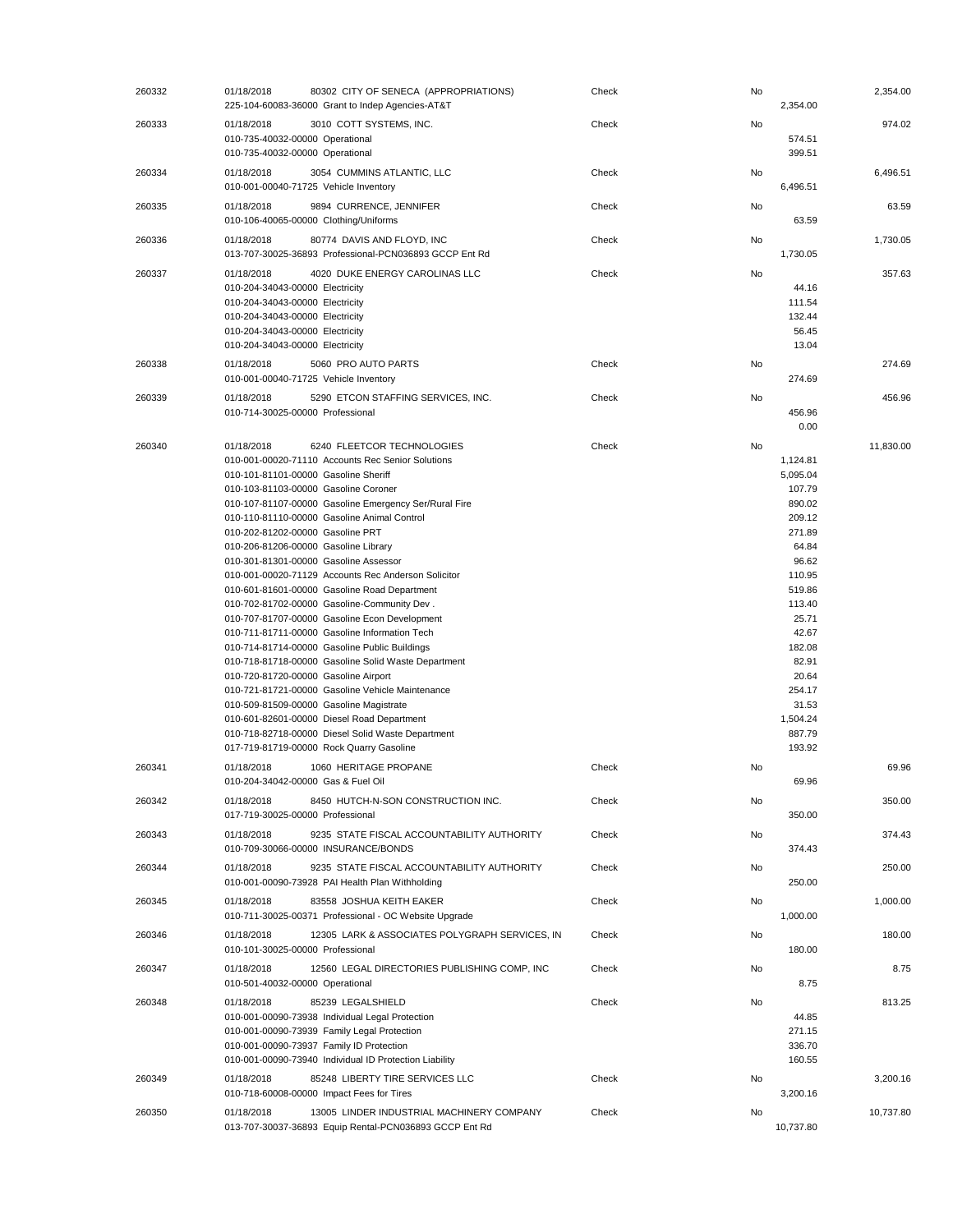| 260332 | 01/18/2018<br>80302 CITY OF SENECA (APPROPRIATIONS)<br>225-104-60083-36000 Grant to Indep Agencies-AT&T                                                                                                                                                                                                                                                                                                                                                                                                                                                                                                                                                                                                                                                                                                                                                                                                                                                                                                                                                          |                                                | Check | No | 2,354.00                                                                                                                                                                                                      | 2,354.00  |
|--------|------------------------------------------------------------------------------------------------------------------------------------------------------------------------------------------------------------------------------------------------------------------------------------------------------------------------------------------------------------------------------------------------------------------------------------------------------------------------------------------------------------------------------------------------------------------------------------------------------------------------------------------------------------------------------------------------------------------------------------------------------------------------------------------------------------------------------------------------------------------------------------------------------------------------------------------------------------------------------------------------------------------------------------------------------------------|------------------------------------------------|-------|----|---------------------------------------------------------------------------------------------------------------------------------------------------------------------------------------------------------------|-----------|
| 260333 | 01/18/2018<br>3010 COTT SYSTEMS, INC.<br>010-735-40032-00000 Operational<br>010-735-40032-00000 Operational                                                                                                                                                                                                                                                                                                                                                                                                                                                                                                                                                                                                                                                                                                                                                                                                                                                                                                                                                      |                                                | Check | No | 574.51<br>399.51                                                                                                                                                                                              | 974.02    |
| 260334 | 01/18/2018<br>3054 CUMMINS ATLANTIC, LLC<br>010-001-00040-71725 Vehicle Inventory                                                                                                                                                                                                                                                                                                                                                                                                                                                                                                                                                                                                                                                                                                                                                                                                                                                                                                                                                                                |                                                | Check | No | 6,496.51                                                                                                                                                                                                      | 6,496.51  |
| 260335 | 01/18/2018<br>9894 CURRENCE, JENNIFER<br>010-106-40065-00000 Clothing/Uniforms                                                                                                                                                                                                                                                                                                                                                                                                                                                                                                                                                                                                                                                                                                                                                                                                                                                                                                                                                                                   |                                                | Check | No | 63.59                                                                                                                                                                                                         | 63.59     |
| 260336 | 01/18/2018<br>80774 DAVIS AND FLOYD, INC<br>013-707-30025-36893 Professional-PCN036893 GCCP Ent Rd                                                                                                                                                                                                                                                                                                                                                                                                                                                                                                                                                                                                                                                                                                                                                                                                                                                                                                                                                               |                                                | Check | No | 1,730.05                                                                                                                                                                                                      | 1,730.05  |
| 260337 | 01/18/2018<br>4020 DUKE ENERGY CAROLINAS LLC<br>010-204-34043-00000 Electricity<br>010-204-34043-00000 Electricity<br>010-204-34043-00000 Electricity<br>010-204-34043-00000 Electricity<br>010-204-34043-00000 Electricity                                                                                                                                                                                                                                                                                                                                                                                                                                                                                                                                                                                                                                                                                                                                                                                                                                      |                                                | Check | No | 44.16<br>111.54<br>132.44<br>56.45<br>13.04                                                                                                                                                                   | 357.63    |
| 260338 | 01/18/2018<br>5060 PRO AUTO PARTS<br>010-001-00040-71725 Vehicle Inventory                                                                                                                                                                                                                                                                                                                                                                                                                                                                                                                                                                                                                                                                                                                                                                                                                                                                                                                                                                                       |                                                | Check | No | 274.69                                                                                                                                                                                                        | 274.69    |
| 260339 | 01/18/2018<br>5290 ETCON STAFFING SERVICES, INC.<br>010-714-30025-00000 Professional                                                                                                                                                                                                                                                                                                                                                                                                                                                                                                                                                                                                                                                                                                                                                                                                                                                                                                                                                                             |                                                | Check | No | 456.96<br>0.00                                                                                                                                                                                                | 456.96    |
| 260340 | 01/18/2018<br>6240 FLEETCOR TECHNOLOGIES<br>010-001-00020-71110 Accounts Rec Senior Solutions<br>010-101-81101-00000 Gasoline Sheriff<br>010-103-81103-00000 Gasoline Coroner<br>010-107-81107-00000 Gasoline Emergency Ser/Rural Fire<br>010-110-81110-00000 Gasoline Animal Control<br>010-202-81202-00000 Gasoline PRT<br>010-206-81206-00000 Gasoline Library<br>010-301-81301-00000 Gasoline Assessor<br>010-001-00020-71129 Accounts Rec Anderson Solicitor<br>010-601-81601-00000 Gasoline Road Department<br>010-702-81702-00000 Gasoline-Community Dev.<br>010-707-81707-00000 Gasoline Econ Development<br>010-711-81711-00000 Gasoline Information Tech<br>010-714-81714-00000 Gasoline Public Buildings<br>010-718-81718-00000 Gasoline Solid Waste Department<br>010-720-81720-00000 Gasoline Airport<br>010-721-81721-00000 Gasoline Vehicle Maintenance<br>010-509-81509-00000 Gasoline Magistrate<br>010-601-82601-00000 Diesel Road Department<br>010-718-82718-00000 Diesel Solid Waste Department<br>017-719-81719-00000 Rock Quarry Gasoline |                                                | Check | No | 1,124.81<br>5,095.04<br>107.79<br>890.02<br>209.12<br>271.89<br>64.84<br>96.62<br>110.95<br>519.86<br>113.40<br>25.71<br>42.67<br>182.08<br>82.91<br>20.64<br>254.17<br>31.53<br>1,504.24<br>887.79<br>193.92 | 11.830.00 |
| 260341 | 1060 HERITAGE PROPANE<br>01/18/2018<br>010-204-34042-00000 Gas & Fuel Oil                                                                                                                                                                                                                                                                                                                                                                                                                                                                                                                                                                                                                                                                                                                                                                                                                                                                                                                                                                                        |                                                | Check | No | 69.96                                                                                                                                                                                                         | 69.96     |
| 260342 | 8450 HUTCH-N-SON CONSTRUCTION INC.<br>01/18/2018<br>017-719-30025-00000 Professional                                                                                                                                                                                                                                                                                                                                                                                                                                                                                                                                                                                                                                                                                                                                                                                                                                                                                                                                                                             |                                                | Check | No | 350.00                                                                                                                                                                                                        | 350.00    |
| 260343 | 01/18/2018<br>9235 STATE FISCAL ACCOUNTABILITY AUTHORITY<br>010-709-30066-00000 INSURANCE/BONDS                                                                                                                                                                                                                                                                                                                                                                                                                                                                                                                                                                                                                                                                                                                                                                                                                                                                                                                                                                  |                                                | Check | No | 374.43                                                                                                                                                                                                        | 374.43    |
| 260344 | 01/18/2018<br>9235 STATE FISCAL ACCOUNTABILITY AUTHORITY<br>010-001-00090-73928 PAI Health Plan Withholding                                                                                                                                                                                                                                                                                                                                                                                                                                                                                                                                                                                                                                                                                                                                                                                                                                                                                                                                                      |                                                | Check | No | 250.00                                                                                                                                                                                                        | 250.00    |
| 260345 | 01/18/2018<br>83558 JOSHUA KEITH EAKER<br>010-711-30025-00371 Professional - OC Website Upgrade                                                                                                                                                                                                                                                                                                                                                                                                                                                                                                                                                                                                                                                                                                                                                                                                                                                                                                                                                                  |                                                | Check | No | 1,000.00                                                                                                                                                                                                      | 1,000.00  |
| 260346 | 01/18/2018<br>010-101-30025-00000 Professional                                                                                                                                                                                                                                                                                                                                                                                                                                                                                                                                                                                                                                                                                                                                                                                                                                                                                                                                                                                                                   | 12305 LARK & ASSOCIATES POLYGRAPH SERVICES, IN | Check | No | 180.00                                                                                                                                                                                                        | 180.00    |
| 260347 | 01/18/2018<br>010-501-40032-00000 Operational                                                                                                                                                                                                                                                                                                                                                                                                                                                                                                                                                                                                                                                                                                                                                                                                                                                                                                                                                                                                                    | 12560 LEGAL DIRECTORIES PUBLISHING COMP, INC   | Check | No | 8.75                                                                                                                                                                                                          | 8.75      |
| 260348 | 01/18/2018<br>85239 LEGALSHIELD<br>010-001-00090-73938 Individual Legal Protection<br>010-001-00090-73939 Family Legal Protection<br>010-001-00090-73937 Family ID Protection<br>010-001-00090-73940 Individual ID Protection Liability                                                                                                                                                                                                                                                                                                                                                                                                                                                                                                                                                                                                                                                                                                                                                                                                                          |                                                | Check | No | 44.85<br>271.15<br>336.70<br>160.55                                                                                                                                                                           | 813.25    |
| 260349 | 01/18/2018<br>85248 LIBERTY TIRE SERVICES LLC<br>010-718-60008-00000 Impact Fees for Tires                                                                                                                                                                                                                                                                                                                                                                                                                                                                                                                                                                                                                                                                                                                                                                                                                                                                                                                                                                       |                                                | Check | No | 3,200.16                                                                                                                                                                                                      | 3,200.16  |
| 260350 | 01/18/2018<br>13005 LINDER INDUSTRIAL MACHINERY COMPANY<br>013-707-30037-36893 Equip Rental-PCN036893 GCCP Ent Rd                                                                                                                                                                                                                                                                                                                                                                                                                                                                                                                                                                                                                                                                                                                                                                                                                                                                                                                                                |                                                | Check | No | 10,737.80                                                                                                                                                                                                     | 10,737.80 |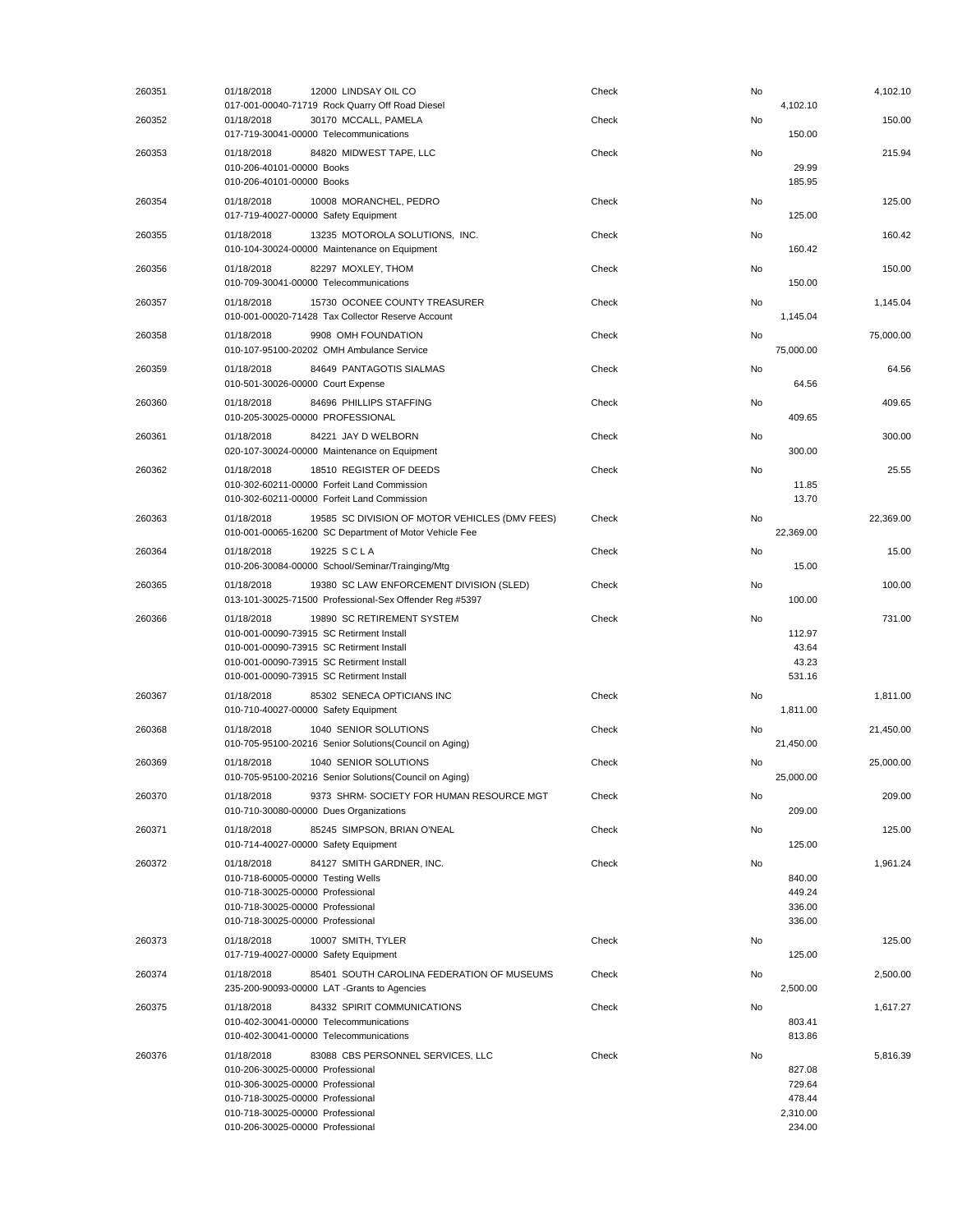| 260351 | 01/18/2018<br>12000 LINDSAY OIL CO<br>017-001-00040-71719 Rock Quarry Off Road Diesel                                                                                                                                               | Check | No | 4,102.10                                         | 4,102.10  |
|--------|-------------------------------------------------------------------------------------------------------------------------------------------------------------------------------------------------------------------------------------|-------|----|--------------------------------------------------|-----------|
| 260352 | 01/18/2018<br>30170 MCCALL, PAMELA<br>017-719-30041-00000 Telecommunications                                                                                                                                                        | Check | No | 150.00                                           | 150.00    |
| 260353 | 01/18/2018<br>84820 MIDWEST TAPE, LLC<br>010-206-40101-00000 Books<br>010-206-40101-00000 Books                                                                                                                                     | Check | No | 29.99<br>185.95                                  | 215.94    |
| 260354 | 01/18/2018<br>10008 MORANCHEL, PEDRO<br>017-719-40027-00000 Safety Equipment                                                                                                                                                        | Check | No | 125.00                                           | 125.00    |
| 260355 | 01/18/2018<br>13235 MOTOROLA SOLUTIONS. INC.<br>010-104-30024-00000 Maintenance on Equipment                                                                                                                                        | Check | No | 160.42                                           | 160.42    |
| 260356 | 01/18/2018<br>82297 MOXLEY, THOM<br>010-709-30041-00000 Telecommunications                                                                                                                                                          | Check | No | 150.00                                           | 150.00    |
| 260357 | 01/18/2018<br>15730 OCONEE COUNTY TREASURER<br>010-001-00020-71428 Tax Collector Reserve Account                                                                                                                                    | Check | No | 1,145.04                                         | 1,145.04  |
| 260358 | 01/18/2018<br>9908 OMH FOUNDATION<br>010-107-95100-20202 OMH Ambulance Service                                                                                                                                                      | Check | No | 75,000.00                                        | 75,000.00 |
| 260359 | 01/18/2018<br>84649 PANTAGOTIS SIALMAS<br>010-501-30026-00000 Court Expense                                                                                                                                                         | Check | No | 64.56                                            | 64.56     |
| 260360 | 01/18/2018<br>84696 PHILLIPS STAFFING<br>010-205-30025-00000 PROFESSIONAL                                                                                                                                                           | Check | No | 409.65                                           | 409.65    |
| 260361 | 01/18/2018<br>84221 JAY D WELBORN<br>020-107-30024-00000 Maintenance on Equipment                                                                                                                                                   | Check | No | 300.00                                           | 300.00    |
| 260362 | 01/18/2018<br>18510 REGISTER OF DEEDS<br>010-302-60211-00000 Forfeit Land Commission<br>010-302-60211-00000 Forfeit Land Commission                                                                                                 | Check | No | 11.85<br>13.70                                   | 25.55     |
| 260363 | 01/18/2018<br>19585 SC DIVISION OF MOTOR VEHICLES (DMV FEES)<br>010-001-00065-16200 SC Department of Motor Vehicle Fee                                                                                                              | Check | No | 22,369.00                                        | 22,369.00 |
| 260364 | 01/18/2018<br>19225 SCLA<br>010-206-30084-00000 School/Seminar/Trainging/Mtg                                                                                                                                                        | Check | No | 15.00                                            | 15.00     |
| 260365 | 01/18/2018<br>19380 SC LAW ENFORCEMENT DIVISION (SLED)<br>013-101-30025-71500 Professional-Sex Offender Reg #5397                                                                                                                   | Check | No | 100.00                                           | 100.00    |
| 260366 | 01/18/2018<br>19890 SC RETIREMENT SYSTEM<br>010-001-00090-73915 SC Retirment Install<br>010-001-00090-73915 SC Retirment Install<br>010-001-00090-73915 SC Retirment Install<br>010-001-00090-73915 SC Retirment Install            | Check | No | 112.97<br>43.64<br>43.23<br>531.16               | 731.00    |
| 260367 | 01/18/2018<br>85302 SENECA OPTICIANS INC<br>010-710-40027-00000 Safety Equipment                                                                                                                                                    | Check | No | 1,811.00                                         | 1,811.00  |
| 260368 | 01/18/2018<br>1040 SENIOR SOLUTIONS<br>010-705-95100-20216 Senior Solutions(Council on Aging)                                                                                                                                       | Check | No | 21,450.00                                        | 21,450.00 |
| 260369 | 1040 SENIOR SOLUTIONS<br>01/18/2018<br>010-705-95100-20216 Senior Solutions(Council on Aging)                                                                                                                                       | Check | No | 25,000.00                                        | 25,000.00 |
| 260370 | 01/18/2018<br>9373 SHRM- SOCIETY FOR HUMAN RESOURCE MGT<br>010-710-30080-00000 Dues Organizations                                                                                                                                   | Check | No | 209.00                                           | 209.00    |
| 260371 | 01/18/2018<br>85245 SIMPSON, BRIAN O'NEAL<br>010-714-40027-00000 Safety Equipment                                                                                                                                                   | Check | No | 125.00                                           | 125.00    |
| 260372 | 01/18/2018<br>84127 SMITH GARDNER, INC.<br>010-718-60005-00000 Testing Wells<br>010-718-30025-00000 Professional<br>010-718-30025-00000 Professional<br>010-718-30025-00000 Professional                                            | Check | No | 840.00<br>449.24<br>336.00<br>336.00             | 1,961.24  |
| 260373 | 10007 SMITH, TYLER<br>01/18/2018<br>017-719-40027-00000 Safety Equipment                                                                                                                                                            | Check | No | 125.00                                           | 125.00    |
| 260374 | 01/18/2018<br>85401 SOUTH CAROLINA FEDERATION OF MUSEUMS<br>235-200-90093-00000 LAT -Grants to Agencies                                                                                                                             | Check | No | 2,500.00                                         | 2,500.00  |
| 260375 | 01/18/2018<br>84332 SPIRIT COMMUNICATIONS<br>010-402-30041-00000 Telecommunications<br>010-402-30041-00000 Telecommunications                                                                                                       | Check | No | 803.41<br>813.86                                 | 1,617.27  |
| 260376 | 01/18/2018<br>83088 CBS PERSONNEL SERVICES, LLC<br>010-206-30025-00000 Professional<br>010-306-30025-00000 Professional<br>010-718-30025-00000 Professional<br>010-718-30025-00000 Professional<br>010-206-30025-00000 Professional | Check | No | 827.08<br>729.64<br>478.44<br>2,310.00<br>234.00 | 5,816.39  |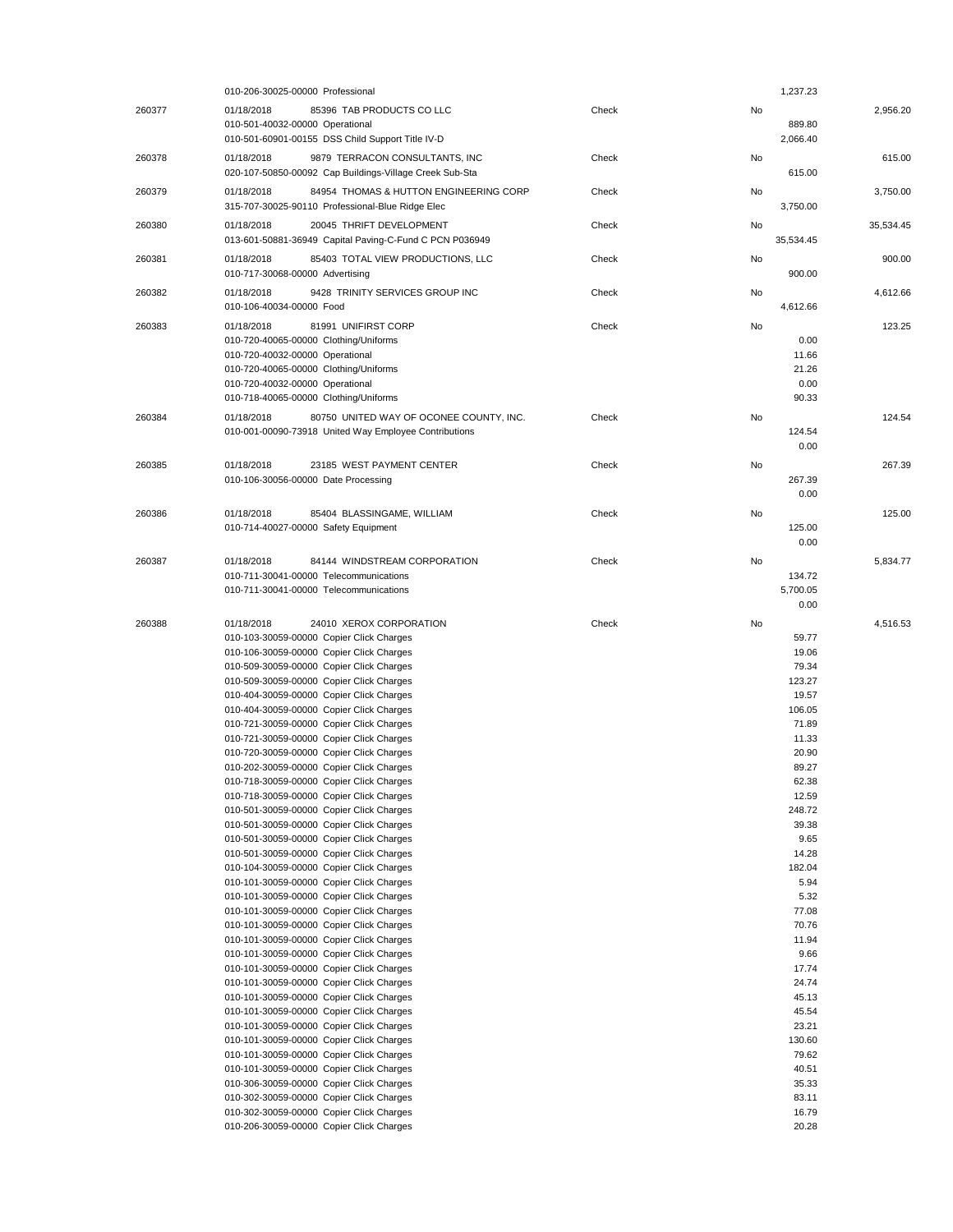|        | 010-206-30025-00000 Professional                                                     |       |    | 1,237.23         |           |
|--------|--------------------------------------------------------------------------------------|-------|----|------------------|-----------|
| 260377 | 85396 TAB PRODUCTS CO LLC<br>01/18/2018                                              | Check | No |                  | 2,956.20  |
|        | 010-501-40032-00000 Operational                                                      |       |    | 889.80           |           |
|        | 010-501-60901-00155 DSS Child Support Title IV-D                                     |       |    | 2,066.40         |           |
| 260378 | 9879 TERRACON CONSULTANTS, INC<br>01/18/2018                                         | Check | No |                  | 615.00    |
|        | 020-107-50850-00092 Cap Buildings-Village Creek Sub-Sta                              |       |    | 615.00           |           |
| 260379 | 01/18/2018<br>84954 THOMAS & HUTTON ENGINEERING CORP                                 | Check | No |                  | 3,750.00  |
|        | 315-707-30025-90110 Professional-Blue Ridge Elec                                     |       |    | 3,750.00         |           |
| 260380 | 01/18/2018<br>20045 THRIFT DEVELOPMENT                                               | Check | No |                  | 35,534.45 |
|        | 013-601-50881-36949 Capital Paving-C-Fund C PCN P036949                              |       |    | 35,534.45        |           |
|        | 01/18/2018                                                                           |       |    |                  | 900.00    |
| 260381 | 85403 TOTAL VIEW PRODUCTIONS, LLC<br>010-717-30068-00000 Advertising                 | Check | No | 900.00           |           |
|        |                                                                                      |       |    |                  |           |
| 260382 | 01/18/2018<br>9428 TRINITY SERVICES GROUP INC<br>010-106-40034-00000 Food            | Check | No |                  | 4,612.66  |
|        |                                                                                      |       |    | 4,612.66         |           |
| 260383 | 81991 UNIFIRST CORP<br>01/18/2018                                                    | Check | No |                  | 123.25    |
|        | 010-720-40065-00000 Clothing/Uniforms                                                |       |    | 0.00             |           |
|        | 010-720-40032-00000 Operational                                                      |       |    | 11.66<br>21.26   |           |
|        | 010-720-40065-00000 Clothing/Uniforms                                                |       |    |                  |           |
|        | 010-720-40032-00000 Operational<br>010-718-40065-00000 Clothing/Uniforms             |       |    | 0.00<br>90.33    |           |
|        |                                                                                      |       |    |                  |           |
| 260384 | 01/18/2018<br>80750 UNITED WAY OF OCONEE COUNTY, INC.                                | Check | No |                  | 124.54    |
|        | 010-001-00090-73918 United Way Employee Contributions                                |       |    | 124.54           |           |
|        |                                                                                      |       |    | 0.00             |           |
| 260385 | 01/18/2018<br>23185 WEST PAYMENT CENTER                                              | Check | No |                  | 267.39    |
|        | 010-106-30056-00000 Date Processing                                                  |       |    | 267.39           |           |
|        |                                                                                      |       |    | 0.00             |           |
| 260386 | 01/18/2018<br>85404 BLASSINGAME, WILLIAM                                             | Check | No |                  | 125.00    |
|        | 010-714-40027-00000 Safety Equipment                                                 |       |    | 125.00           |           |
|        |                                                                                      |       |    | 0.00             |           |
| 260387 | 01/18/2018<br>84144 WINDSTREAM CORPORATION                                           | Check | No |                  | 5,834.77  |
|        | 010-711-30041-00000 Telecommunications                                               |       |    | 134.72           |           |
|        | 010-711-30041-00000 Telecommunications                                               |       |    |                  |           |
|        |                                                                                      |       |    |                  |           |
|        |                                                                                      |       |    | 5,700.05<br>0.00 |           |
|        |                                                                                      |       |    |                  |           |
| 260388 | 24010 XEROX CORPORATION<br>01/18/2018                                                | Check | No |                  | 4,516.53  |
|        | 010-103-30059-00000 Copier Click Charges                                             |       |    | 59.77            |           |
|        | 010-106-30059-00000 Copier Click Charges                                             |       |    | 19.06            |           |
|        | 010-509-30059-00000 Copier Click Charges                                             |       |    | 79.34<br>123.27  |           |
|        | 010-509-30059-00000 Copier Click Charges<br>010-404-30059-00000 Copier Click Charges |       |    | 19.57            |           |
|        | 010-404-30059-00000 Copier Click Charges                                             |       |    | 106.05           |           |
|        | 010-721-30059-00000 Copier Click Charges                                             |       |    | 71.89            |           |
|        | 010-721-30059-00000 Copier Click Charges                                             |       |    | 11.33            |           |
|        | 010-720-30059-00000 Copier Click Charges                                             |       |    | 20.90            |           |
|        | 010-202-30059-00000 Copier Click Charges                                             |       |    | 89.27            |           |
|        | 010-718-30059-00000 Copier Click Charges                                             |       |    | 62.38            |           |
|        | 010-718-30059-00000 Copier Click Charges                                             |       |    | 12.59            |           |
|        | 010-501-30059-00000 Copier Click Charges                                             |       |    | 248.72           |           |
|        | 010-501-30059-00000 Copier Click Charges                                             |       |    | 39.38            |           |
|        | 010-501-30059-00000 Copier Click Charges                                             |       |    | 9.65             |           |
|        | 010-501-30059-00000 Copier Click Charges                                             |       |    | 14.28            |           |
|        | 010-104-30059-00000 Copier Click Charges                                             |       |    | 182.04           |           |
|        | 010-101-30059-00000 Copier Click Charges                                             |       |    | 5.94             |           |
|        | 010-101-30059-00000 Copier Click Charges                                             |       |    | 5.32             |           |
|        | 010-101-30059-00000 Copier Click Charges                                             |       |    | 77.08            |           |
|        | 010-101-30059-00000 Copier Click Charges                                             |       |    | 70.76            |           |
|        | 010-101-30059-00000 Copier Click Charges<br>010-101-30059-00000 Copier Click Charges |       |    | 11.94<br>9.66    |           |
|        | 010-101-30059-00000 Copier Click Charges                                             |       |    | 17.74            |           |
|        | 010-101-30059-00000 Copier Click Charges                                             |       |    | 24.74            |           |
|        | 010-101-30059-00000 Copier Click Charges                                             |       |    | 45.13            |           |
|        | 010-101-30059-00000 Copier Click Charges                                             |       |    | 45.54            |           |
|        | 010-101-30059-00000 Copier Click Charges                                             |       |    | 23.21            |           |
|        | 010-101-30059-00000 Copier Click Charges                                             |       |    | 130.60           |           |
|        | 010-101-30059-00000 Copier Click Charges                                             |       |    | 79.62            |           |
|        | 010-101-30059-00000 Copier Click Charges                                             |       |    | 40.51            |           |
|        | 010-306-30059-00000 Copier Click Charges                                             |       |    | 35.33            |           |
|        | 010-302-30059-00000 Copier Click Charges                                             |       |    | 83.11            |           |
|        | 010-302-30059-00000 Copier Click Charges<br>010-206-30059-00000 Copier Click Charges |       |    | 16.79<br>20.28   |           |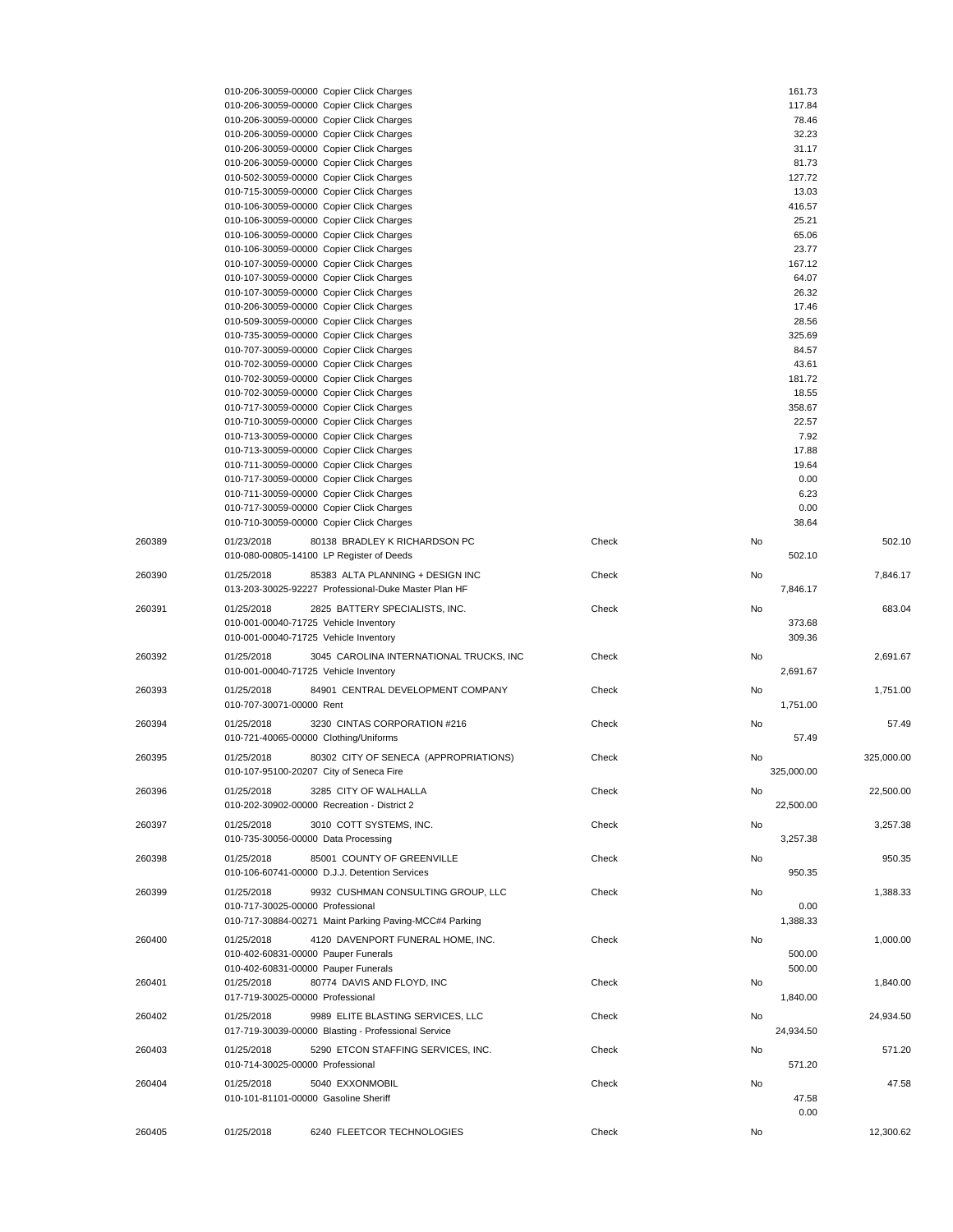|        | 010-206-30059-00000 Copier Click Charges               |       |    | 161.73     |            |
|--------|--------------------------------------------------------|-------|----|------------|------------|
|        | 010-206-30059-00000 Copier Click Charges               |       |    | 117.84     |            |
|        | 010-206-30059-00000 Copier Click Charges               |       |    | 78.46      |            |
|        | 010-206-30059-00000 Copier Click Charges               |       |    | 32.23      |            |
|        | 010-206-30059-00000 Copier Click Charges               |       |    | 31.17      |            |
|        | 010-206-30059-00000 Copier Click Charges               |       |    | 81.73      |            |
|        | 010-502-30059-00000 Copier Click Charges               |       |    | 127.72     |            |
|        | 010-715-30059-00000 Copier Click Charges               |       |    | 13.03      |            |
|        | 010-106-30059-00000 Copier Click Charges               |       |    | 416.57     |            |
|        | 010-106-30059-00000 Copier Click Charges               |       |    | 25.21      |            |
|        | 010-106-30059-00000 Copier Click Charges               |       |    | 65.06      |            |
|        | 010-106-30059-00000 Copier Click Charges               |       |    | 23.77      |            |
|        | 010-107-30059-00000 Copier Click Charges               |       |    | 167.12     |            |
|        | 010-107-30059-00000 Copier Click Charges               |       |    | 64.07      |            |
|        | 010-107-30059-00000 Copier Click Charges               |       |    | 26.32      |            |
|        | 010-206-30059-00000 Copier Click Charges               |       |    | 17.46      |            |
|        | 010-509-30059-00000 Copier Click Charges               |       |    | 28.56      |            |
|        | 010-735-30059-00000 Copier Click Charges               |       |    | 325.69     |            |
|        | 010-707-30059-00000 Copier Click Charges               |       |    | 84.57      |            |
|        | 010-702-30059-00000 Copier Click Charges               |       |    | 43.61      |            |
|        |                                                        |       |    |            |            |
|        | 010-702-30059-00000 Copier Click Charges               |       |    | 181.72     |            |
|        | 010-702-30059-00000 Copier Click Charges               |       |    | 18.55      |            |
|        | 010-717-30059-00000 Copier Click Charges               |       |    | 358.67     |            |
|        | 010-710-30059-00000 Copier Click Charges               |       |    | 22.57      |            |
|        | 010-713-30059-00000 Copier Click Charges               |       |    | 7.92       |            |
|        | 010-713-30059-00000 Copier Click Charges               |       |    | 17.88      |            |
|        | 010-711-30059-00000 Copier Click Charges               |       |    | 19.64      |            |
|        | 010-717-30059-00000 Copier Click Charges               |       |    | 0.00       |            |
|        | 010-711-30059-00000 Copier Click Charges               |       |    | 6.23       |            |
|        | 010-717-30059-00000 Copier Click Charges               |       |    | 0.00       |            |
|        | 010-710-30059-00000 Copier Click Charges               |       |    | 38.64      |            |
| 260389 | 01/23/2018<br>80138 BRADLEY K RICHARDSON PC            | Check | No |            | 502.10     |
|        | 010-080-00805-14100 LP Register of Deeds               |       |    | 502.10     |            |
|        |                                                        |       |    |            |            |
| 260390 | 01/25/2018<br>85383 ALTA PLANNING + DESIGN INC         | Check | No |            | 7,846.17   |
|        | 013-203-30025-92227 Professional-Duke Master Plan HF   |       |    | 7,846.17   |            |
| 260391 | 01/25/2018<br>2825 BATTERY SPECIALISTS, INC.           | Check | No |            | 683.04     |
|        | 010-001-00040-71725 Vehicle Inventory                  |       |    | 373.68     |            |
|        | 010-001-00040-71725 Vehicle Inventory                  |       |    | 309.36     |            |
|        |                                                        |       |    |            |            |
| 260392 | 01/25/2018<br>3045 CAROLINA INTERNATIONAL TRUCKS, INC  | Check | No |            | 2,691.67   |
|        | 010-001-00040-71725 Vehicle Inventory                  |       |    | 2,691.67   |            |
| 260393 | 01/25/2018<br>84901 CENTRAL DEVELOPMENT COMPANY        | Check | No |            | 1.751.00   |
|        | 010-707-30071-00000 Rent                               |       |    | 1,751.00   |            |
|        |                                                        |       |    |            |            |
| 260394 | 3230 CINTAS CORPORATION #216<br>01/25/2018             | Check | No |            | 57.49      |
|        | 010-721-40065-00000 Clothing/Uniforms                  |       |    | 57.49      |            |
| 260395 | 01/25/2018<br>80302 CITY OF SENECA (APPROPRIATIONS)    | Check | No |            | 325,000.00 |
|        | 010-107-95100-20207 City of Seneca Fire                |       |    | 325,000.00 |            |
|        |                                                        |       |    |            |            |
| 260396 | 3285 CITY OF WALHALLA<br>01/25/2018                    | Check | No |            | 22,500.00  |
|        | 010-202-30902-00000 Recreation - District 2            |       |    | 22,500.00  |            |
| 260397 | 01/25/2018<br>3010 COTT SYSTEMS, INC.                  | Check | No |            | 3,257.38   |
|        | 010-735-30056-00000 Data Processing                    |       |    | 3,257.38   |            |
|        | 85001 COUNTY OF GREENVILLE                             |       |    |            |            |
| 260398 | 01/25/2018                                             | Check | No |            | 950.35     |
|        | 010-106-60741-00000 D.J.J. Detention Services          |       |    | 950.35     |            |
| 260399 | 01/25/2018<br>9932 CUSHMAN CONSULTING GROUP, LLC       | Check | No |            | 1,388.33   |
|        | 010-717-30025-00000 Professional                       |       |    | 0.00       |            |
|        | 010-717-30884-00271 Maint Parking Paving-MCC#4 Parking |       |    | 1,388.33   |            |
| 260400 | 01/25/2018<br>4120 DAVENPORT FUNERAL HOME, INC.        | Check | No |            |            |
|        |                                                        |       |    |            | 1,000.00   |
|        | 010-402-60831-00000 Pauper Funerals                    |       |    | 500.00     |            |
|        | 010-402-60831-00000 Pauper Funerals                    |       |    | 500.00     |            |
| 260401 | 01/25/2018<br>80774 DAVIS AND FLOYD, INC               | Check | No |            | 1,840.00   |
|        | 017-719-30025-00000 Professional                       |       |    | 1,840.00   |            |
| 260402 | 01/25/2018<br>9989 ELITE BLASTING SERVICES, LLC        | Check | No |            | 24,934.50  |
|        | 017-719-30039-00000 Blasting - Professional Service    |       |    | 24,934.50  |            |
| 260403 | 01/25/2018<br>5290 ETCON STAFFING SERVICES, INC.       | Check | No |            | 571.20     |
|        | 010-714-30025-00000 Professional                       |       |    |            |            |
|        |                                                        |       |    | 571.20     |            |
| 260404 | 01/25/2018<br>5040 EXXONMOBIL                          | Check | No |            | 47.58      |
|        | 010-101-81101-00000 Gasoline Sheriff                   |       |    | 47.58      |            |
|        |                                                        |       |    | 0.00       |            |
| 260405 | 6240 FLEETCOR TECHNOLOGIES<br>01/25/2018               | Check | No |            | 12,300.62  |
|        |                                                        |       |    |            |            |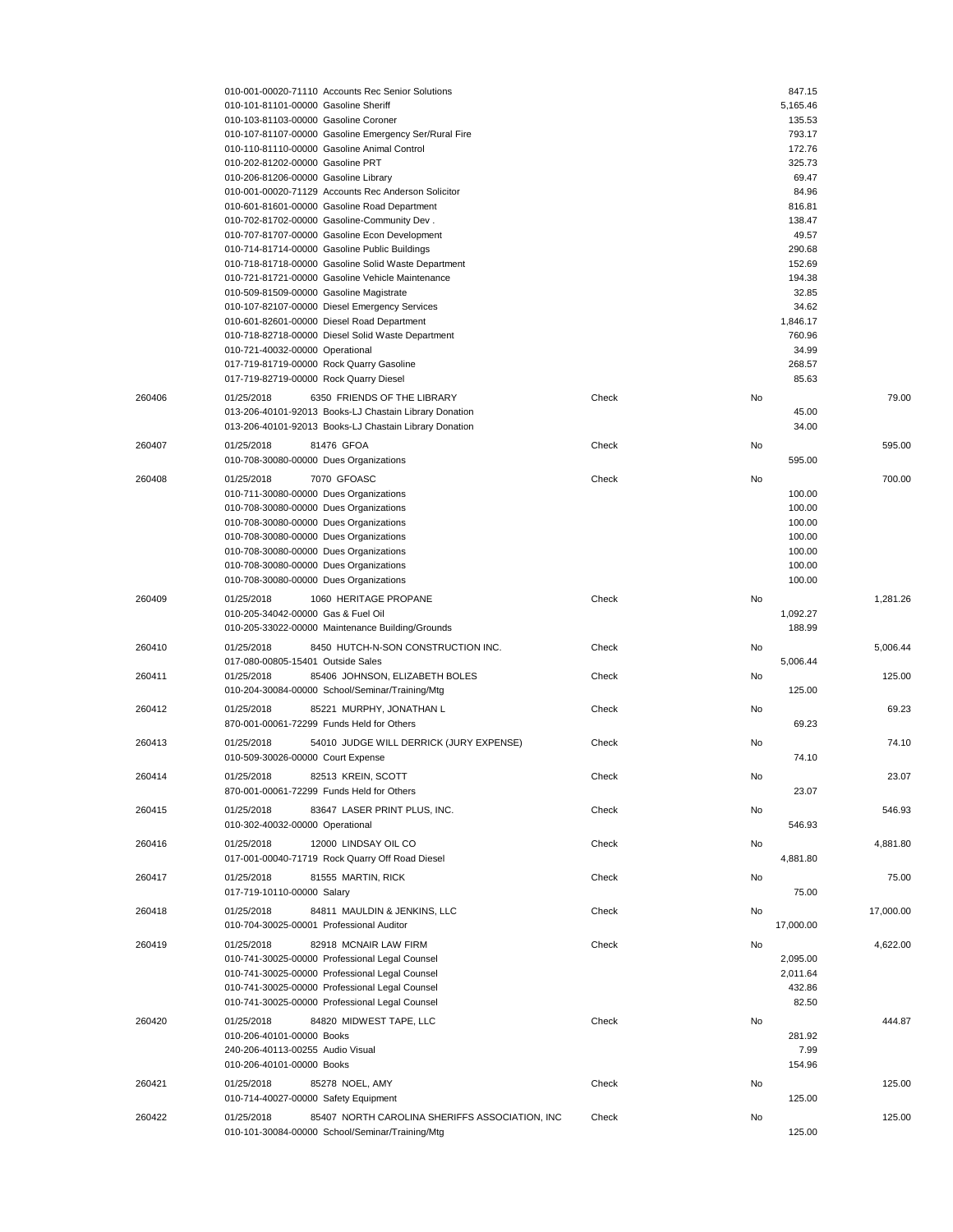|        | 010-001-00020-71110 Accounts Rec Senior Solutions                                           |       |    | 847.15          |           |
|--------|---------------------------------------------------------------------------------------------|-------|----|-----------------|-----------|
|        | 010-101-81101-00000 Gasoline Sheriff                                                        |       |    | 5,165.46        |           |
|        | 010-103-81103-00000 Gasoline Coroner                                                        |       |    | 135.53          |           |
|        | 010-107-81107-00000 Gasoline Emergency Ser/Rural Fire                                       |       |    | 793.17          |           |
|        | 010-110-81110-00000 Gasoline Animal Control                                                 |       |    | 172.76          |           |
|        | 010-202-81202-00000 Gasoline PRT                                                            |       |    | 325.73<br>69.47 |           |
|        | 010-206-81206-00000 Gasoline Library<br>010-001-00020-71129 Accounts Rec Anderson Solicitor |       |    | 84.96           |           |
|        | 010-601-81601-00000 Gasoline Road Department                                                |       |    | 816.81          |           |
|        | 010-702-81702-00000 Gasoline-Community Dev.                                                 |       |    | 138.47          |           |
|        | 010-707-81707-00000 Gasoline Econ Development                                               |       |    | 49.57           |           |
|        | 010-714-81714-00000 Gasoline Public Buildings                                               |       |    | 290.68          |           |
|        | 010-718-81718-00000 Gasoline Solid Waste Department                                         |       |    | 152.69          |           |
|        | 010-721-81721-00000 Gasoline Vehicle Maintenance                                            |       |    | 194.38          |           |
|        | 010-509-81509-00000 Gasoline Magistrate                                                     |       |    | 32.85           |           |
|        | 010-107-82107-00000 Diesel Emergency Services                                               |       |    | 34.62           |           |
|        | 010-601-82601-00000 Diesel Road Department                                                  |       |    | 1,846.17        |           |
|        | 010-718-82718-00000 Diesel Solid Waste Department                                           |       |    | 760.96          |           |
|        | 010-721-40032-00000 Operational                                                             |       |    | 34.99           |           |
|        | 017-719-81719-00000 Rock Quarry Gasoline                                                    |       |    | 268.57          |           |
|        | 017-719-82719-00000 Rock Quarry Diesel                                                      |       |    | 85.63           |           |
| 260406 | 01/25/2018<br>6350 FRIENDS OF THE LIBRARY                                                   | Check | No |                 | 79.00     |
|        | 013-206-40101-92013 Books-LJ Chastain Library Donation                                      |       |    | 45.00           |           |
|        | 013-206-40101-92013 Books-LJ Chastain Library Donation                                      |       |    | 34.00           |           |
| 260407 | 01/25/2018<br>81476 GFOA                                                                    | Check | No |                 | 595.00    |
|        | 010-708-30080-00000 Dues Organizations                                                      |       |    | 595.00          |           |
| 260408 | 01/25/2018<br>7070 GFOASC                                                                   | Check | No |                 | 700.00    |
|        | 010-711-30080-00000 Dues Organizations                                                      |       |    | 100.00          |           |
|        | 010-708-30080-00000 Dues Organizations                                                      |       |    | 100.00          |           |
|        | 010-708-30080-00000 Dues Organizations                                                      |       |    | 100.00          |           |
|        | 010-708-30080-00000 Dues Organizations                                                      |       |    | 100.00          |           |
|        | 010-708-30080-00000 Dues Organizations                                                      |       |    | 100.00          |           |
|        | 010-708-30080-00000 Dues Organizations                                                      |       |    | 100.00          |           |
|        | 010-708-30080-00000 Dues Organizations                                                      |       |    | 100.00          |           |
| 260409 | 01/25/2018<br>1060 HERITAGE PROPANE                                                         | Check | No |                 | 1,281.26  |
|        | 010-205-34042-00000 Gas & Fuel Oil                                                          |       |    | 1,092.27        |           |
|        | 010-205-33022-00000 Maintenance Building/Grounds                                            |       |    | 188.99          |           |
| 260410 | 01/25/2018<br>8450 HUTCH-N-SON CONSTRUCTION INC.                                            | Check | No |                 | 5,006.44  |
|        | 017-080-00805-15401 Outside Sales                                                           |       |    | 5,006.44        |           |
| 260411 | 01/25/2018<br>85406 JOHNSON, ELIZABETH BOLES                                                | Check | No |                 | 125.00    |
|        | 010-204-30084-00000 School/Seminar/Training/Mtg                                             |       |    | 125.00          |           |
| 260412 | 01/25/2018<br>85221 MURPHY, JONATHAN L                                                      | Check | No |                 | 69.23     |
|        | 870-001-00061-72299 Funds Held for Others                                                   |       |    | 69.23           |           |
| 260413 | 01/25/2018<br>54010 JUDGE WILL DERRICK (JURY EXPENSE)                                       | Check | No |                 | 74.10     |
|        | 010-509-30026-00000 Court Expense                                                           |       |    | 74.10           |           |
| 260414 | 01/25/2018<br>82513 KREIN, SCOTT                                                            | Check | No |                 | 23.07     |
|        | 870-001-00061-72299 Funds Held for Others                                                   |       |    | 23.07           |           |
| 260415 | 01/25/2018                                                                                  |       |    |                 | 546.93    |
|        | 83647 LASER PRINT PLUS, INC.<br>010-302-40032-00000 Operational                             | Check | No | 546.93          |           |
|        |                                                                                             |       |    |                 |           |
| 260416 | 01/25/2018<br>12000 LINDSAY OIL CO                                                          | Check | No |                 | 4.881.80  |
|        | 017-001-00040-71719 Rock Quarry Off Road Diesel                                             |       |    | 4,881.80        |           |
| 260417 | 01/25/2018<br>81555 MARTIN, RICK                                                            | Check | No |                 | 75.00     |
|        | 017-719-10110-00000 Salary                                                                  |       |    | 75.00           |           |
| 260418 | 84811 MAULDIN & JENKINS, LLC<br>01/25/2018                                                  | Check | No |                 | 17,000.00 |
|        | 010-704-30025-00001 Professional Auditor                                                    |       |    | 17,000.00       |           |
| 260419 | 01/25/2018<br>82918 MCNAIR LAW FIRM                                                         | Check | No |                 | 4,622.00  |
|        | 010-741-30025-00000 Professional Legal Counsel                                              |       |    | 2,095.00        |           |
|        | 010-741-30025-00000 Professional Legal Counsel                                              |       |    | 2,011.64        |           |
|        | 010-741-30025-00000 Professional Legal Counsel                                              |       |    | 432.86          |           |
|        | 010-741-30025-00000 Professional Legal Counsel                                              |       |    | 82.50           |           |
| 260420 | 84820 MIDWEST TAPE, LLC<br>01/25/2018                                                       | Check | No |                 | 444.87    |
|        | 010-206-40101-00000 Books                                                                   |       |    | 281.92          |           |
|        | 240-206-40113-00255 Audio Visual                                                            |       |    | 7.99            |           |
|        | 010-206-40101-00000 Books                                                                   |       |    | 154.96          |           |
| 260421 | 85278 NOEL, AMY<br>01/25/2018                                                               | Check | No |                 | 125.00    |
|        | 010-714-40027-00000 Safety Equipment                                                        |       |    | 125.00          |           |
| 260422 | 01/25/2018<br>85407 NORTH CAROLINA SHERIFFS ASSOCIATION, INC                                | Check | No |                 | 125.00    |
|        | 010-101-30084-00000 School/Seminar/Training/Mtg                                             |       |    | 125.00          |           |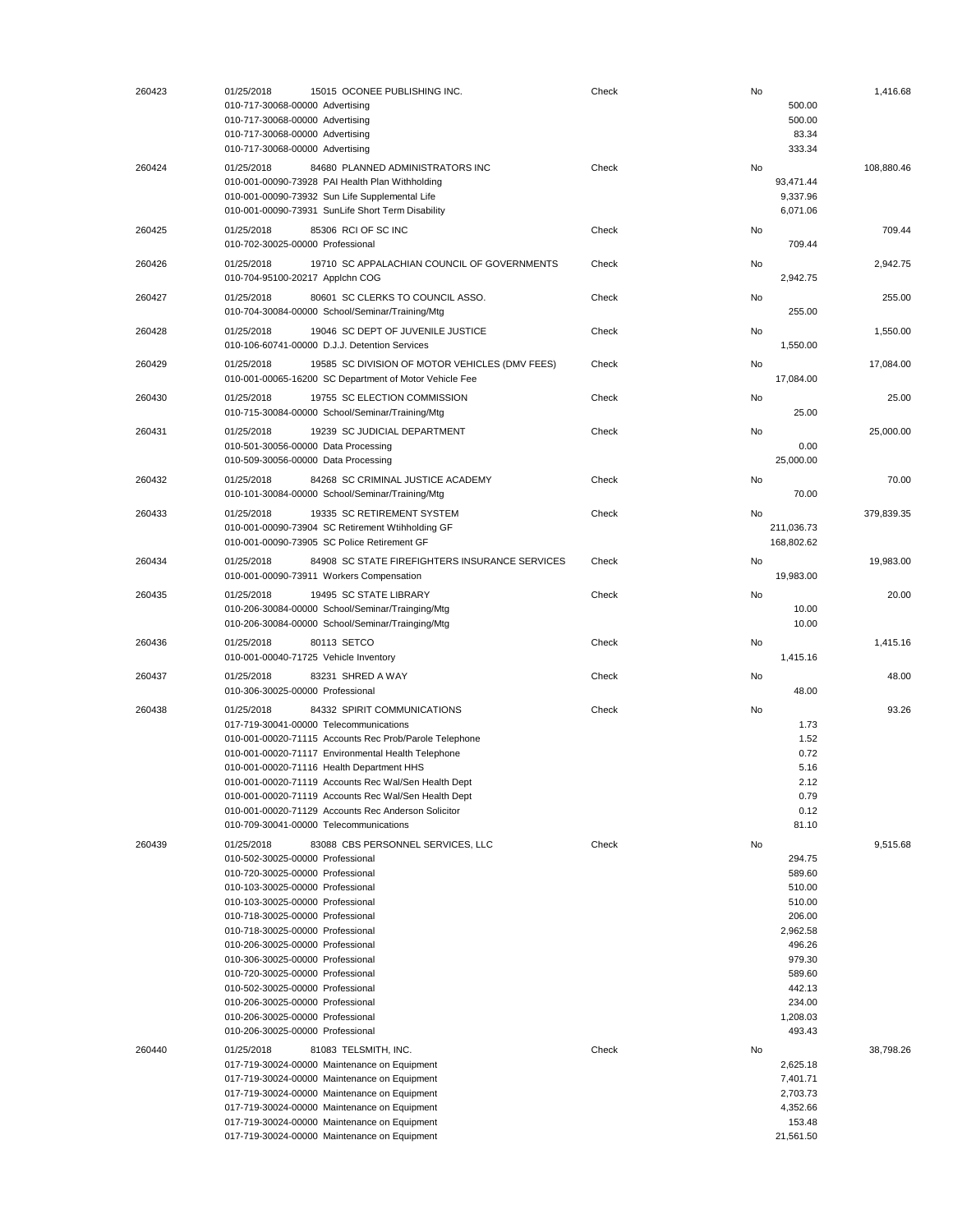| 260423 | 01/25/2018<br>15015 OCONEE PUBLISHING INC.<br>010-717-30068-00000 Advertising<br>010-717-30068-00000 Advertising<br>010-717-30068-00000 Advertising<br>010-717-30068-00000 Advertising                                                                                                                                                                                                                                                                                                                                              | Check | No<br>500.00<br>500.00<br>83.34<br>333.34                                                                                                | 1,416.68   |
|--------|-------------------------------------------------------------------------------------------------------------------------------------------------------------------------------------------------------------------------------------------------------------------------------------------------------------------------------------------------------------------------------------------------------------------------------------------------------------------------------------------------------------------------------------|-------|------------------------------------------------------------------------------------------------------------------------------------------|------------|
| 260424 | 01/25/2018<br>84680 PLANNED ADMINISTRATORS INC<br>010-001-00090-73928 PAI Health Plan Withholding<br>010-001-00090-73932 Sun Life Supplemental Life<br>010-001-00090-73931 SunLife Short Term Disability                                                                                                                                                                                                                                                                                                                            | Check | No<br>93,471.44<br>9,337.96<br>6,071.06                                                                                                  | 108,880.46 |
| 260425 | 01/25/2018<br>85306 RCI OF SC INC<br>010-702-30025-00000 Professional                                                                                                                                                                                                                                                                                                                                                                                                                                                               | Check | No<br>709.44                                                                                                                             | 709.44     |
| 260426 | 01/25/2018<br>19710 SC APPALACHIAN COUNCIL OF GOVERNMENTS<br>010-704-95100-20217 Applchn COG                                                                                                                                                                                                                                                                                                                                                                                                                                        | Check | No<br>2,942.75                                                                                                                           | 2,942.75   |
| 260427 | 01/25/2018<br>80601 SC CLERKS TO COUNCIL ASSO.<br>010-704-30084-00000 School/Seminar/Training/Mtg                                                                                                                                                                                                                                                                                                                                                                                                                                   | Check | No<br>255.00                                                                                                                             | 255.00     |
| 260428 | 01/25/2018<br>19046 SC DEPT OF JUVENILE JUSTICE<br>010-106-60741-00000 D.J.J. Detention Services                                                                                                                                                                                                                                                                                                                                                                                                                                    | Check | No<br>1,550.00                                                                                                                           | 1,550.00   |
| 260429 | 01/25/2018<br>19585 SC DIVISION OF MOTOR VEHICLES (DMV FEES)<br>010-001-00065-16200 SC Department of Motor Vehicle Fee                                                                                                                                                                                                                                                                                                                                                                                                              | Check | No<br>17,084.00                                                                                                                          | 17,084.00  |
| 260430 | 01/25/2018<br>19755 SC ELECTION COMMISSION<br>010-715-30084-00000 School/Seminar/Training/Mtg                                                                                                                                                                                                                                                                                                                                                                                                                                       | Check | No<br>25.00                                                                                                                              | 25.00      |
| 260431 | 01/25/2018<br>19239 SC JUDICIAL DEPARTMENT<br>010-501-30056-00000 Data Processing<br>010-509-30056-00000 Data Processing                                                                                                                                                                                                                                                                                                                                                                                                            | Check | No<br>0.00<br>25,000.00                                                                                                                  | 25,000.00  |
| 260432 | 01/25/2018<br>84268 SC CRIMINAL JUSTICE ACADEMY<br>010-101-30084-00000 School/Seminar/Training/Mtg                                                                                                                                                                                                                                                                                                                                                                                                                                  | Check | No<br>70.00                                                                                                                              | 70.00      |
| 260433 | 01/25/2018<br>19335 SC RETIREMENT SYSTEM<br>010-001-00090-73904 SC Retirement Wtihholding GF<br>010-001-00090-73905 SC Police Retirement GF                                                                                                                                                                                                                                                                                                                                                                                         | Check | No<br>211,036.73<br>168,802.62                                                                                                           | 379,839.35 |
| 260434 | 84908 SC STATE FIREFIGHTERS INSURANCE SERVICES<br>01/25/2018<br>010-001-00090-73911 Workers Compensation                                                                                                                                                                                                                                                                                                                                                                                                                            | Check | No<br>19,983.00                                                                                                                          | 19,983.00  |
| 260435 | 01/25/2018<br>19495 SC STATE LIBRARY<br>010-206-30084-00000 School/Seminar/Trainging/Mtg<br>010-206-30084-00000 School/Seminar/Trainging/Mtg                                                                                                                                                                                                                                                                                                                                                                                        | Check | No<br>10.00<br>10.00                                                                                                                     | 20.00      |
| 260436 | 01/25/2018<br>80113 SETCO<br>010-001-00040-71725 Vehicle Inventory                                                                                                                                                                                                                                                                                                                                                                                                                                                                  | Check | No<br>1,415.16                                                                                                                           | 1,415.16   |
| 260437 | 01/25/2018<br>83231 SHRED A WAY<br>010-306-30025-00000 Professional                                                                                                                                                                                                                                                                                                                                                                                                                                                                 | Check | No<br>48.00                                                                                                                              | 48.00      |
| 260438 | 84332 SPIRIT COMMUNICATIONS<br>01/25/2018<br>017-719-30041-00000 Telecommunications<br>010-001-00020-71115 Accounts Rec Prob/Parole Telephone<br>010-001-00020-71117 Environmental Health Telephone<br>010-001-00020-71116 Health Department HHS<br>010-001-00020-71119 Accounts Rec Wal/Sen Health Dept<br>010-001-00020-71119 Accounts Rec Wal/Sen Health Dept<br>010-001-00020-71129 Accounts Rec Anderson Solicitor<br>010-709-30041-00000 Telecommunications                                                                   | Check | No<br>1.73<br>1.52<br>0.72<br>5.16<br>2.12<br>0.79<br>0.12<br>81.10                                                                      | 93.26      |
| 260439 | 01/25/2018<br>83088 CBS PERSONNEL SERVICES, LLC<br>010-502-30025-00000 Professional<br>010-720-30025-00000 Professional<br>010-103-30025-00000 Professional<br>010-103-30025-00000 Professional<br>010-718-30025-00000 Professional<br>010-718-30025-00000 Professional<br>010-206-30025-00000 Professional<br>010-306-30025-00000 Professional<br>010-720-30025-00000 Professional<br>010-502-30025-00000 Professional<br>010-206-30025-00000 Professional<br>010-206-30025-00000 Professional<br>010-206-30025-00000 Professional | Check | No<br>294.75<br>589.60<br>510.00<br>510.00<br>206.00<br>2,962.58<br>496.26<br>979.30<br>589.60<br>442.13<br>234.00<br>1,208.03<br>493.43 | 9,515.68   |
| 260440 | 01/25/2018<br>81083 TELSMITH, INC.<br>017-719-30024-00000 Maintenance on Equipment<br>017-719-30024-00000 Maintenance on Equipment<br>017-719-30024-00000 Maintenance on Equipment<br>017-719-30024-00000 Maintenance on Equipment<br>017-719-30024-00000 Maintenance on Equipment<br>017-719-30024-00000 Maintenance on Equipment                                                                                                                                                                                                  | Check | No<br>2,625.18<br>7,401.71<br>2,703.73<br>4,352.66<br>153.48<br>21,561.50                                                                | 38,798.26  |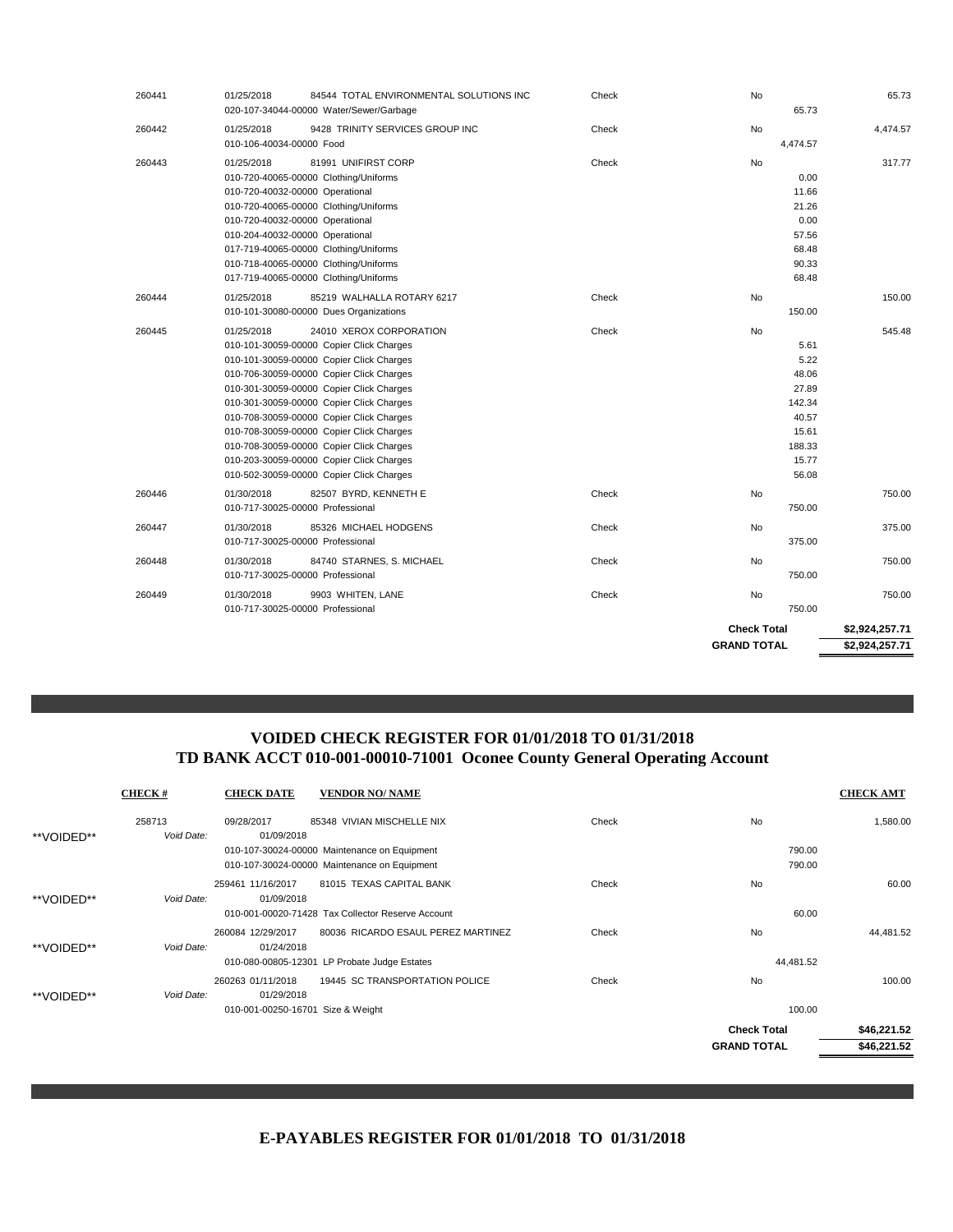| 260441 | 01/25/2018<br>84544 TOTAL ENVIRONMENTAL SOLUTIONS INC<br>020-107-34044-00000 Water/Sewer/Garbage                                                                                                                                                                                                                                                                                                                                                                                              | Check | No<br>65.73                                                                                         | 65.73                            |
|--------|-----------------------------------------------------------------------------------------------------------------------------------------------------------------------------------------------------------------------------------------------------------------------------------------------------------------------------------------------------------------------------------------------------------------------------------------------------------------------------------------------|-------|-----------------------------------------------------------------------------------------------------|----------------------------------|
| 260442 | 9428 TRINITY SERVICES GROUP INC<br>01/25/2018<br>010-106-40034-00000 Food                                                                                                                                                                                                                                                                                                                                                                                                                     | Check | No<br>4,474.57                                                                                      | 4,474.57                         |
| 260443 | 81991 UNIFIRST CORP<br>01/25/2018<br>010-720-40065-00000 Clothing/Uniforms<br>010-720-40032-00000 Operational<br>010-720-40065-00000 Clothing/Uniforms<br>010-720-40032-00000 Operational<br>010-204-40032-00000 Operational<br>017-719-40065-00000 Clothing/Uniforms<br>010-718-40065-00000 Clothing/Uniforms<br>017-719-40065-00000 Clothing/Uniforms                                                                                                                                       | Check | <b>No</b><br>0.00<br>11.66<br>21.26<br>0.00<br>57.56<br>68.48<br>90.33<br>68.48                     | 317.77                           |
| 260444 | 01/25/2018<br>85219 WALHALLA ROTARY 6217<br>010-101-30080-00000 Dues Organizations                                                                                                                                                                                                                                                                                                                                                                                                            | Check | <b>No</b><br>150.00                                                                                 | 150.00                           |
| 260445 | 01/25/2018<br>24010 XEROX CORPORATION<br>010-101-30059-00000 Copier Click Charges<br>010-101-30059-00000 Copier Click Charges<br>010-706-30059-00000 Copier Click Charges<br>010-301-30059-00000 Copier Click Charges<br>010-301-30059-00000 Copier Click Charges<br>010-708-30059-00000 Copier Click Charges<br>010-708-30059-00000 Copier Click Charges<br>010-708-30059-00000 Copier Click Charges<br>010-203-30059-00000 Copier Click Charges<br>010-502-30059-00000 Copier Click Charges | Check | <b>No</b><br>5.61<br>5.22<br>48.06<br>27.89<br>142.34<br>40.57<br>15.61<br>188.33<br>15.77<br>56.08 | 545.48                           |
| 260446 | 01/30/2018<br>82507 BYRD, KENNETH E<br>010-717-30025-00000 Professional                                                                                                                                                                                                                                                                                                                                                                                                                       | Check | No<br>750.00                                                                                        | 750.00                           |
| 260447 | 85326 MICHAEL HODGENS<br>01/30/2018<br>010-717-30025-00000 Professional                                                                                                                                                                                                                                                                                                                                                                                                                       | Check | No<br>375.00                                                                                        | 375.00                           |
| 260448 | 84740 STARNES, S. MICHAEL<br>01/30/2018<br>010-717-30025-00000 Professional                                                                                                                                                                                                                                                                                                                                                                                                                   | Check | No<br>750.00                                                                                        | 750.00                           |
| 260449 | 9903 WHITEN, LANE<br>01/30/2018<br>010-717-30025-00000 Professional                                                                                                                                                                                                                                                                                                                                                                                                                           | Check | <b>No</b><br>750.00                                                                                 | 750.00                           |
|        |                                                                                                                                                                                                                                                                                                                                                                                                                                                                                               |       | <b>Check Total</b><br><b>GRAND TOTAL</b>                                                            | \$2,924,257.71<br>\$2,924,257.71 |
|        |                                                                                                                                                                                                                                                                                                                                                                                                                                                                                               |       |                                                                                                     |                                  |

## **VOIDED CHECK REGISTER FOR 01/01/2018 TO 01/31/2018 TD BANK ACCT 010-001-00010-71001 Oconee County General Operating Account**

|            | <b>CHECK#</b>        | <b>CHECK DATE</b>                 | <b>VENDOR NO/ NAME</b>                                                     |       |                    | <b>CHECK AMT</b> |
|------------|----------------------|-----------------------------------|----------------------------------------------------------------------------|-------|--------------------|------------------|
| **VOIDED** | 258713<br>Void Date: | 09/28/2017<br>01/09/2018          | 85348 VIVIAN MISCHELLE NIX<br>010-107-30024-00000 Maintenance on Equipment | Check | No<br>790.00       | 1,580.00         |
|            |                      |                                   | 010-107-30024-00000 Maintenance on Equipment                               |       | 790.00             |                  |
| **VOIDED** | Void Date:           | 259461 11/16/2017<br>01/09/2018   | 81015 TEXAS CAPITAL BANK                                                   | Check | No                 | 60.00            |
|            |                      |                                   | 010-001-00020-71428 Tax Collector Reserve Account                          |       | 60.00              |                  |
| **VOIDED** | Void Date:           | 260084 12/29/2017<br>01/24/2018   | 80036 RICARDO ESAUL PEREZ MARTINEZ                                         | Check | No                 | 44,481.52        |
|            |                      |                                   | 010-080-00805-12301 LP Probate Judge Estates                               |       | 44,481.52          |                  |
| **VOIDED** | Void Date:           | 260263 01/11/2018<br>01/29/2018   | 19445 SC TRANSPORTATION POLICE                                             | Check | <b>No</b>          | 100.00           |
|            |                      | 010-001-00250-16701 Size & Weight |                                                                            |       | 100.00             |                  |
|            |                      |                                   |                                                                            |       | <b>Check Total</b> | \$46,221.52      |
|            |                      |                                   |                                                                            |       | <b>GRAND TOTAL</b> | \$46,221.52      |

### **E-PAYABLES REGISTER FOR 01/01/2018 TO 01/31/2018**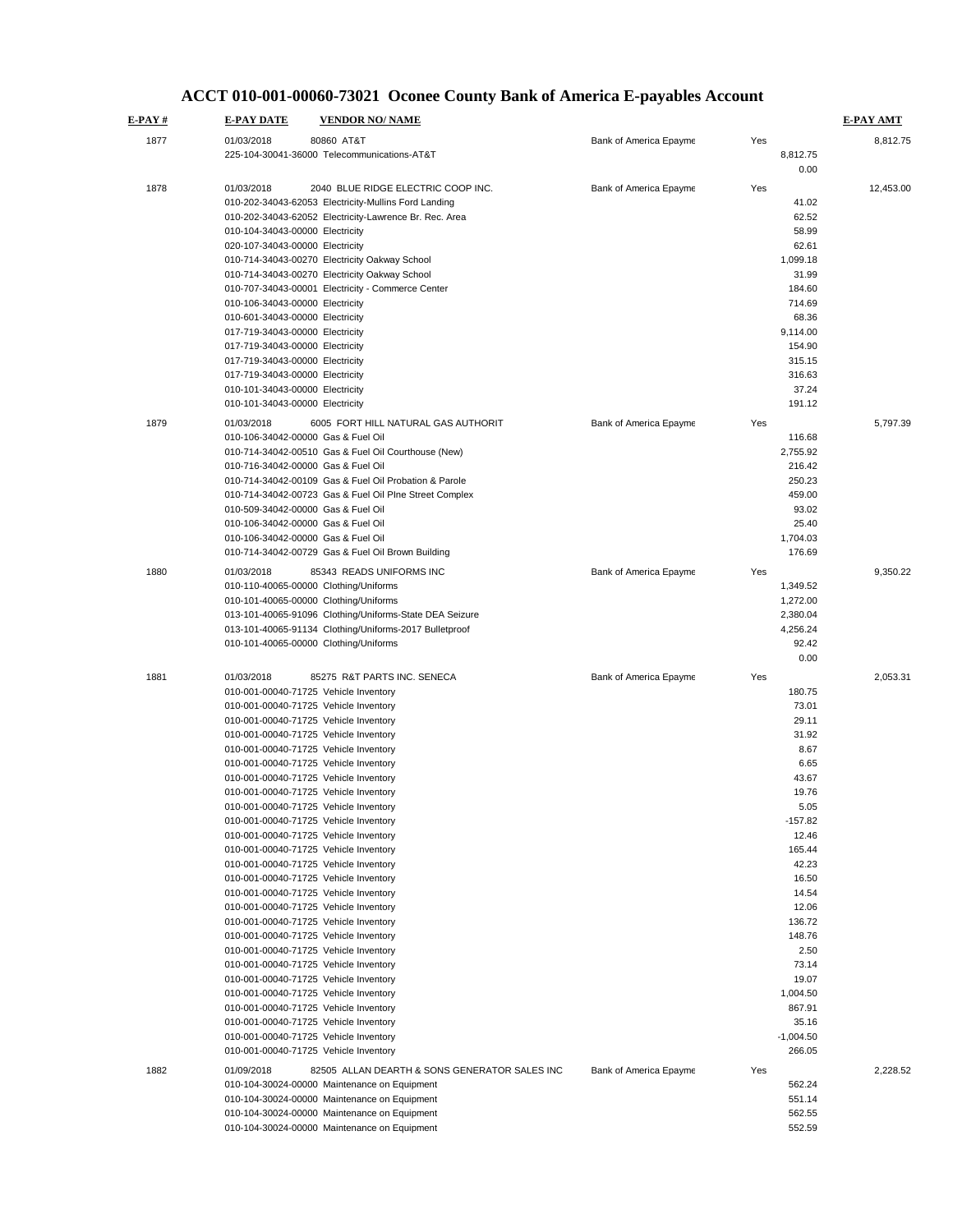#### 010-104-30024-00000 Maintenance on Equipment 552.59 010-001-00040-71725 Vehicle Inventory 35.16<br>010-001-00040-71725 Vehicle Inventory 35.16<br>1.004.50 -1.0040-71725 Vehicle Inventory 010-001-00040-71725 Vehicle Inventory 010-001-00040-71725 Vehicle Inventory 266.05 1882 01/09/2018 82505 ALLAN DEARTH & SONS GENERATOR SALES INC Bank of America Epayme Yes 2,228.52 010-104-30024-00000 Maintenance on Equipment 562.24 010-104-30024-00000 Maintenance on Equipment 551.14 010-104-30024-00000 Maintenance on Equipment 562.55 010-001-00040-71725 Vehicle Inventory 14.54 010-001-00040-71725 Vehicle Inventory 12.06 010-001-00040-71725 Vehicle Inventory 136.72 010-001-00040-71725 Vehicle Inventory 148.76<br>119.001-00040-71725 Vehicle Inventory 158.76 010-001-00040-71725 Vehicle Inventory 010-001-00040-71725 Vehicle Inventory 73.14 010-001-00040-71725 Vehicle Inventory 19.07 010-001-00040-71725 Vehicle Inventory 1,004.50 010-001-00040-71725 Vehicle Inventory 867.91 010-001-00040-71725 Vehicle Inventory 6.65 010-001-00040-71725 Vehicle Inventory 43.67 010-001-00040-71725 Vehicle Inventory 19.76 010-001-00040-71725 Vehicle Inventory 5.05 010-001-00040-71725 Vehicle Inventory -157.82 010-001-00040-71725 Vehicle Inventory 12.46 010-001-00040-71725 Vehicle Inventory 165.44 010-001-00040-71725 Vehicle Inventory 42.23 010-001-00040-71725 Vehicle Inventory 16.50 0.00 1881 01/03/2018 85275 R&T PARTS INC. SENECA Bank of America Epayme Yes 7,053.31 010-001-00040-71725 Vehicle Inventory 180.75 010-001-00040-71725 Vehicle Inventory 73.01<br>010-001-00040-71725 Vehicle Inventory 73.01<br>29.11 010-001-00040-71725 Vehicle Inventory 010-001-00040-71725 Vehicle Inventory 31.92 010-001-00040-71725 Vehicle Inventory 8.67 010-714-34042-00729 Gas & Fuel Oil Brown Building 176.69 1880 01/03/2018 85343 READS UNIFORMS INC Bank of America Epayme Yes 9,350.22 010-110-40065-00000 Clothing/Uniforms 1,349.52 010-101-40065-00000 Clothing/Uniforms 1,272.00 013-101-40065-91096 Clothing/Uniforms-State DEA Seizure 2,380.04 013-101-40065-91134 Clothing/Uniforms-2017 Bulletproof 4,256.24 010-101-40065-00000 Clothing/Uniforms 92.42 5,797.39 010-106-34042-00000 Gas & Fuel Oil (116.68)<br>010-714-34042-00510 Gas & Fuel Oil Courthouse (New) (116.68) (116.68) 010-714-34042-00510 Gas & Fuel Oil Courthouse (New) 010-716-34042-00000 Gas & Fuel Oil 216.42 010-714-34042-00109 Gas & Fuel Oil Probation & Parole 250.23 010-714-34042-00723 Gas & Fuel Oil PIne Street Complex 459.00 010-509-34042-00000 Gas & Fuel Oil 93.02 010-106-34042-00000 Gas & Fuel Oil 25.40 010-106-34042-00000 Gas & Fuel Oil 010-601-34043-00000 Electricity 68.36 017-719-34043-00000 Electricity 017-719-34043-00000 Electricity 315.15<br>017-719-34043-00000 Electricity 316.63 017-719-34043-00000 Electricity 010-101-34043-00000 Electricity 37.24<br>010-101-34043-00000 Electricity 191.12 010-101-34043-00000 Electricity 1879 01/03/2018 6005 FORT HILL NATURAL GAS AUTHORIT Bank of America Epayme Yes 010-202-34043-62052 Electricity-Lawrence Br. Rec. Area 62.52<br>010-104-34043-00000 Electricity 62.52 010-104-34043-00000 Electricity 58.99<br>020-107-34043-00000 Electricity 62.61 010-714-34043-00270 Electricity Oakway School 1,099.18 and 1,099.18 and 1,099.18 010-714-34043-00270 Electricity Oakway School 31.99<br>010-707-34043-00001 Electricity - Commerce Center 31.99 **E-PAY # E-PAY DATE VENDOR NO/ NAME E-PAY AMT** 1877 01/03/2018 80860 AT&T Bank of America Epayme Yes 8,812.75 225-104-30041-36000 Telecommunications-AT&T 8,812.75 0.00 1878 01/03/2018 2040 BLUE RIDGE ELECTRIC COOP INC.<br>
010-202-34043-62053 Electricity-Mullins Ford Landing<br>
010-202-34043-62053 Electricity-Mullins Ford Landing 010-202-34043-62053 Electricity-Mullins Ford Landing 020-107-34043-00000 Electricity 010-707-34043-00001 Electricity - Commerce Center 010-106-34043-00000 Electricity 714.69 017-719-34043-00000 Electricity 154.90

### **ACCT 010-001-00060-73021 Oconee County Bank of America E-payables Account**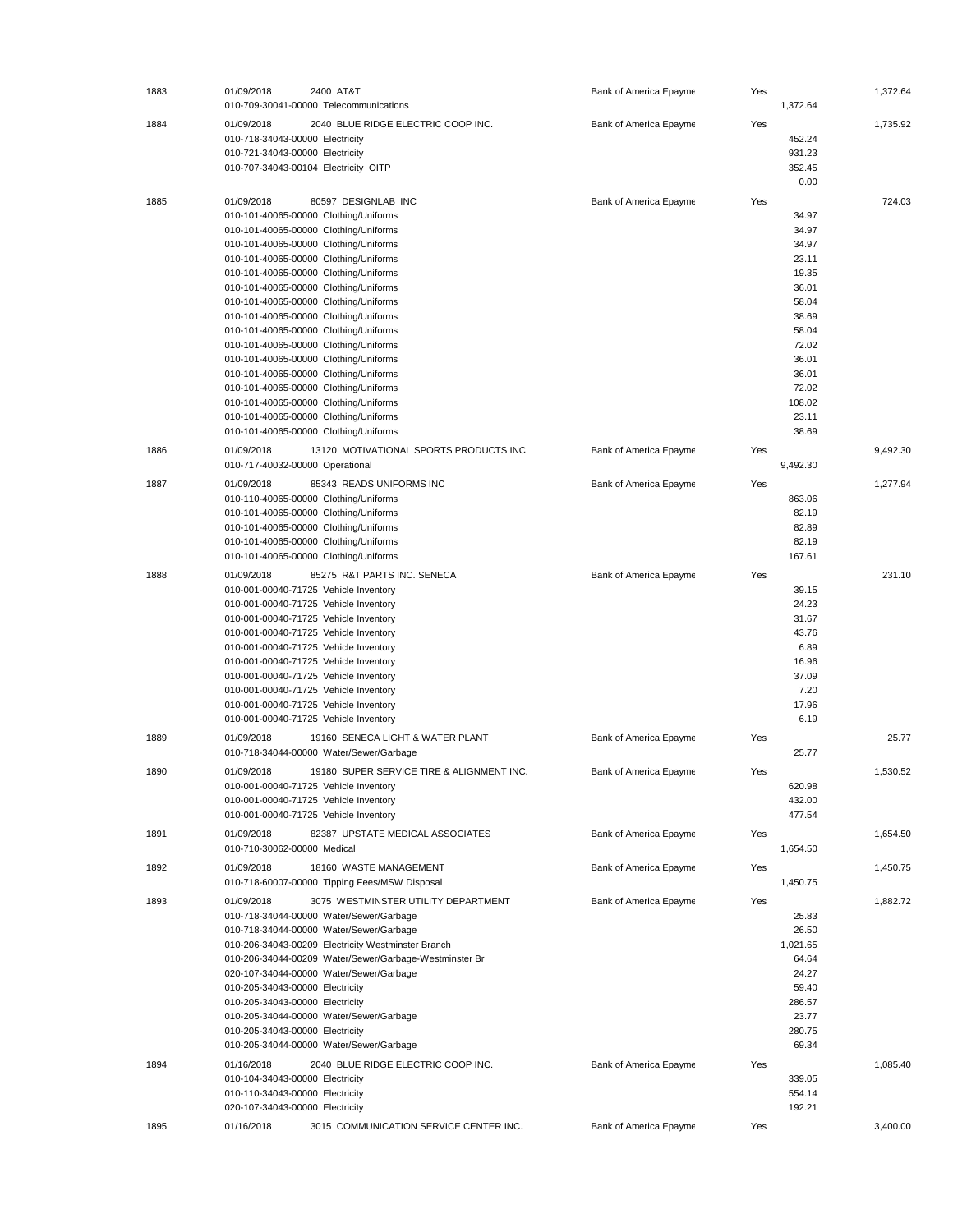| 1883 | 01/09/2018                                                                                                                                                                                                                                                                                                                                                                                                                                                                                                                                                                                                                                                                                 | 2400 AT&T<br>010-709-30041-00000 Telecommunications                                                                                                                                                                                                                                                                                                                        | Bank of America Epayme | Yes | 1,372.64                                                                                                                                      | 1,372.64 |
|------|--------------------------------------------------------------------------------------------------------------------------------------------------------------------------------------------------------------------------------------------------------------------------------------------------------------------------------------------------------------------------------------------------------------------------------------------------------------------------------------------------------------------------------------------------------------------------------------------------------------------------------------------------------------------------------------------|----------------------------------------------------------------------------------------------------------------------------------------------------------------------------------------------------------------------------------------------------------------------------------------------------------------------------------------------------------------------------|------------------------|-----|-----------------------------------------------------------------------------------------------------------------------------------------------|----------|
| 1884 | 01/09/2018<br>010-718-34043-00000 Electricity<br>010-721-34043-00000 Electricity<br>010-707-34043-00104 Electricity OITP                                                                                                                                                                                                                                                                                                                                                                                                                                                                                                                                                                   | 2040 BLUE RIDGE ELECTRIC COOP INC.                                                                                                                                                                                                                                                                                                                                         | Bank of America Epayme | Yes | 452.24<br>931.23<br>352.45<br>0.00                                                                                                            | 1,735.92 |
| 1885 | 01/09/2018<br>010-101-40065-00000 Clothing/Uniforms<br>010-101-40065-00000 Clothing/Uniforms<br>010-101-40065-00000 Clothing/Uniforms<br>010-101-40065-00000 Clothing/Uniforms<br>010-101-40065-00000 Clothing/Uniforms<br>010-101-40065-00000 Clothing/Uniforms<br>010-101-40065-00000 Clothing/Uniforms<br>010-101-40065-00000 Clothing/Uniforms<br>010-101-40065-00000 Clothing/Uniforms<br>010-101-40065-00000 Clothing/Uniforms<br>010-101-40065-00000 Clothing/Uniforms<br>010-101-40065-00000 Clothing/Uniforms<br>010-101-40065-00000 Clothing/Uniforms<br>010-101-40065-00000 Clothing/Uniforms<br>010-101-40065-00000 Clothing/Uniforms<br>010-101-40065-00000 Clothing/Uniforms | 80597 DESIGNLAB INC                                                                                                                                                                                                                                                                                                                                                        | Bank of America Epayme | Yes | 34.97<br>34.97<br>34.97<br>23.11<br>19.35<br>36.01<br>58.04<br>38.69<br>58.04<br>72.02<br>36.01<br>36.01<br>72.02<br>108.02<br>23.11<br>38.69 | 724.03   |
| 1886 | 01/09/2018<br>010-717-40032-00000 Operational                                                                                                                                                                                                                                                                                                                                                                                                                                                                                                                                                                                                                                              | 13120 MOTIVATIONAL SPORTS PRODUCTS INC                                                                                                                                                                                                                                                                                                                                     | Bank of America Epayme | Yes | 9.492.30                                                                                                                                      | 9,492.30 |
| 1887 | 01/09/2018<br>010-110-40065-00000 Clothing/Uniforms<br>010-101-40065-00000 Clothing/Uniforms<br>010-101-40065-00000 Clothing/Uniforms<br>010-101-40065-00000 Clothing/Uniforms<br>010-101-40065-00000 Clothing/Uniforms                                                                                                                                                                                                                                                                                                                                                                                                                                                                    | 85343 READS UNIFORMS INC                                                                                                                                                                                                                                                                                                                                                   | Bank of America Epayme | Yes | 863.06<br>82.19<br>82.89<br>82.19<br>167.61                                                                                                   | 1.277.94 |
| 1888 | 01/09/2018<br>010-001-00040-71725 Vehicle Inventory<br>010-001-00040-71725 Vehicle Inventory<br>010-001-00040-71725 Vehicle Inventory<br>010-001-00040-71725 Vehicle Inventory<br>010-001-00040-71725 Vehicle Inventory<br>010-001-00040-71725 Vehicle Inventory<br>010-001-00040-71725 Vehicle Inventory<br>010-001-00040-71725 Vehicle Inventory<br>010-001-00040-71725 Vehicle Inventory<br>010-001-00040-71725 Vehicle Inventory                                                                                                                                                                                                                                                       | 85275 R&T PARTS INC. SENECA                                                                                                                                                                                                                                                                                                                                                | Bank of America Epayme | Yes | 39.15<br>24.23<br>31.67<br>43.76<br>6.89<br>16.96<br>37.09<br>7.20<br>17.96<br>6.19                                                           | 231.10   |
| 1889 | 01/09/2018                                                                                                                                                                                                                                                                                                                                                                                                                                                                                                                                                                                                                                                                                 | 19160 SENECA LIGHT & WATER PLANT<br>010-718-34044-00000 Water/Sewer/Garbage                                                                                                                                                                                                                                                                                                | Bank of America Epayme | Yes | 25.77                                                                                                                                         | 25.77    |
| 1890 | 01/09/2018<br>010-001-00040-71725 Vehicle Inventory<br>010-001-00040-71725 Vehicle Inventory<br>010-001-00040-71725 Vehicle Inventory                                                                                                                                                                                                                                                                                                                                                                                                                                                                                                                                                      | 19180 SUPER SERVICE TIRE & ALIGNMENT INC.                                                                                                                                                                                                                                                                                                                                  | Bank of America Epayme | Yes | 620.98<br>432.00<br>477.54                                                                                                                    | 1,530.52 |
| 1891 | 01/09/2018<br>010-710-30062-00000 Medical                                                                                                                                                                                                                                                                                                                                                                                                                                                                                                                                                                                                                                                  | 82387 UPSTATE MEDICAL ASSOCIATES                                                                                                                                                                                                                                                                                                                                           | Bank of America Epayme | Yes | 1,654.50                                                                                                                                      | 1,654.50 |
| 1892 | 01/09/2018                                                                                                                                                                                                                                                                                                                                                                                                                                                                                                                                                                                                                                                                                 | 18160 WASTE MANAGEMENT<br>010-718-60007-00000 Tipping Fees/MSW Disposal                                                                                                                                                                                                                                                                                                    | Bank of America Epayme | Yes | 1,450.75                                                                                                                                      | 1,450.75 |
| 1893 | 01/09/2018<br>010-205-34043-00000 Electricity<br>010-205-34043-00000 Electricity<br>010-205-34043-00000 Electricity                                                                                                                                                                                                                                                                                                                                                                                                                                                                                                                                                                        | 3075 WESTMINSTER UTILITY DEPARTMENT<br>010-718-34044-00000 Water/Sewer/Garbage<br>010-718-34044-00000 Water/Sewer/Garbage<br>010-206-34043-00209 Electricity Westminster Branch<br>010-206-34044-00209 Water/Sewer/Garbage-Westminster Br<br>020-107-34044-00000 Water/Sewer/Garbage<br>010-205-34044-00000 Water/Sewer/Garbage<br>010-205-34044-00000 Water/Sewer/Garbage | Bank of America Epayme | Yes | 25.83<br>26.50<br>1,021.65<br>64.64<br>24.27<br>59.40<br>286.57<br>23.77<br>280.75<br>69.34                                                   | 1,882.72 |
| 1894 | 01/16/2018<br>010-104-34043-00000 Electricity<br>010-110-34043-00000 Electricity<br>020-107-34043-00000 Electricity                                                                                                                                                                                                                                                                                                                                                                                                                                                                                                                                                                        | 2040 BLUE RIDGE ELECTRIC COOP INC.                                                                                                                                                                                                                                                                                                                                         | Bank of America Epayme | Yes | 339.05<br>554.14<br>192.21                                                                                                                    | 1,085.40 |
| 1895 | 01/16/2018                                                                                                                                                                                                                                                                                                                                                                                                                                                                                                                                                                                                                                                                                 | 3015 COMMUNICATION SERVICE CENTER INC.                                                                                                                                                                                                                                                                                                                                     | Bank of America Epayme | Yes |                                                                                                                                               | 3,400.00 |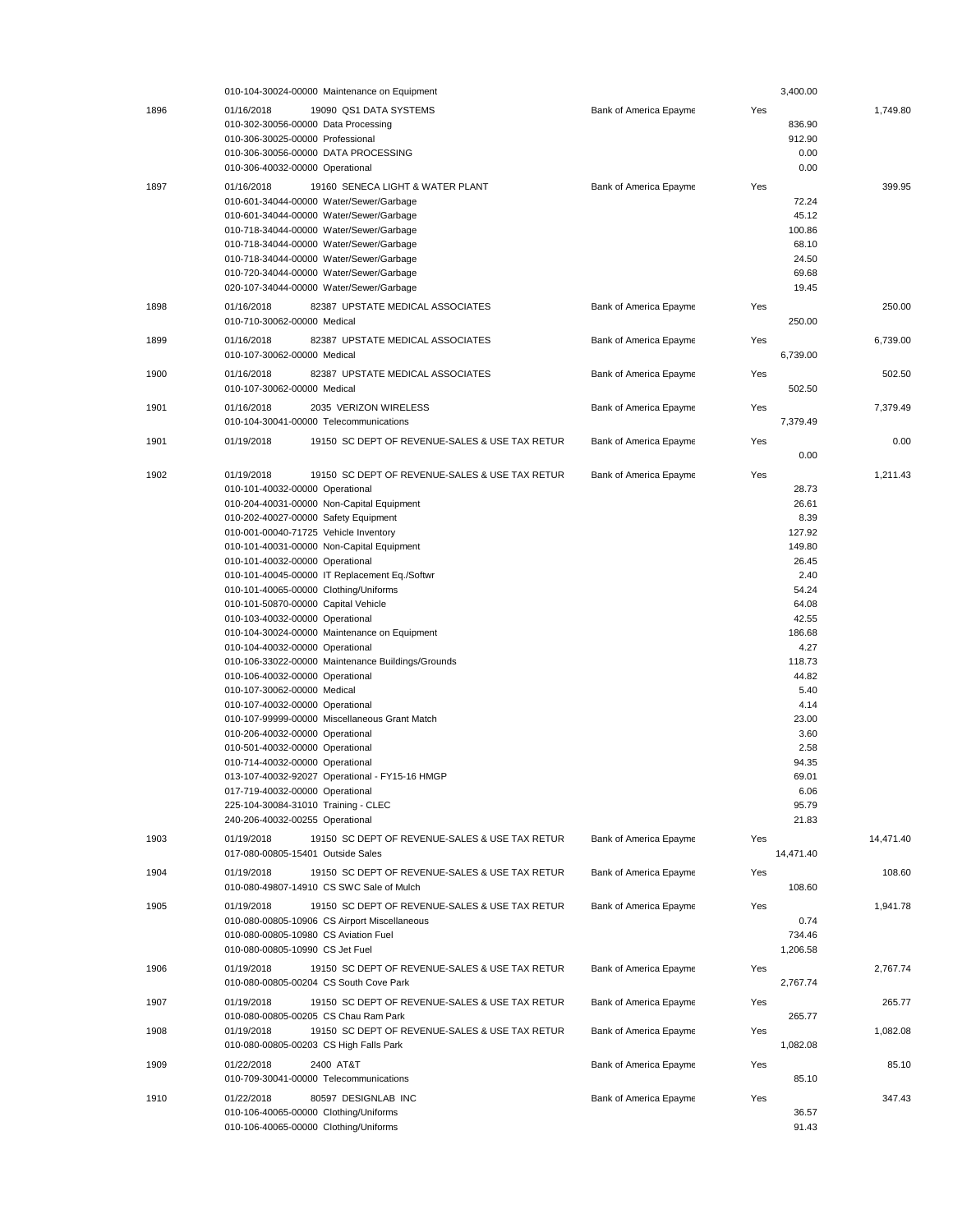|      | 010-104-30024-00000 Maintenance on Equipment                                                                                                                                                                                                                                                                                                                                                                                                                                                                                                                                                                                                                                                                                                                                                                                                                                                                                                                                                                                                            |                        | 3,400.00                                                                                                                                                                                                                |           |
|------|---------------------------------------------------------------------------------------------------------------------------------------------------------------------------------------------------------------------------------------------------------------------------------------------------------------------------------------------------------------------------------------------------------------------------------------------------------------------------------------------------------------------------------------------------------------------------------------------------------------------------------------------------------------------------------------------------------------------------------------------------------------------------------------------------------------------------------------------------------------------------------------------------------------------------------------------------------------------------------------------------------------------------------------------------------|------------------------|-------------------------------------------------------------------------------------------------------------------------------------------------------------------------------------------------------------------------|-----------|
| 1896 | 01/16/2018<br>19090 QS1 DATA SYSTEMS<br>010-302-30056-00000 Data Processing<br>010-306-30025-00000 Professional<br>010-306-30056-00000 DATA PROCESSING<br>010-306-40032-00000 Operational                                                                                                                                                                                                                                                                                                                                                                                                                                                                                                                                                                                                                                                                                                                                                                                                                                                               | Bank of America Epayme | Yes<br>836.90<br>912.90<br>0.00<br>0.00                                                                                                                                                                                 | 1.749.80  |
| 1897 | 01/16/2018<br>19160 SENECA LIGHT & WATER PLANT<br>010-601-34044-00000 Water/Sewer/Garbage<br>010-601-34044-00000 Water/Sewer/Garbage<br>010-718-34044-00000 Water/Sewer/Garbage<br>010-718-34044-00000 Water/Sewer/Garbage<br>010-718-34044-00000 Water/Sewer/Garbage<br>010-720-34044-00000 Water/Sewer/Garbage<br>020-107-34044-00000 Water/Sewer/Garbage                                                                                                                                                                                                                                                                                                                                                                                                                                                                                                                                                                                                                                                                                             | Bank of America Epayme | Yes<br>72.24<br>45.12<br>100.86<br>68.10<br>24.50<br>69.68<br>19.45                                                                                                                                                     | 399.95    |
| 1898 | 82387 UPSTATE MEDICAL ASSOCIATES<br>01/16/2018<br>010-710-30062-00000 Medical                                                                                                                                                                                                                                                                                                                                                                                                                                                                                                                                                                                                                                                                                                                                                                                                                                                                                                                                                                           | Bank of America Epayme | Yes<br>250.00                                                                                                                                                                                                           | 250.00    |
| 1899 | 82387 UPSTATE MEDICAL ASSOCIATES<br>01/16/2018<br>010-107-30062-00000 Medical                                                                                                                                                                                                                                                                                                                                                                                                                                                                                                                                                                                                                                                                                                                                                                                                                                                                                                                                                                           | Bank of America Epayme | Yes<br>6,739.00                                                                                                                                                                                                         | 6,739.00  |
| 1900 | 01/16/2018<br>82387 UPSTATE MEDICAL ASSOCIATES<br>010-107-30062-00000 Medical                                                                                                                                                                                                                                                                                                                                                                                                                                                                                                                                                                                                                                                                                                                                                                                                                                                                                                                                                                           | Bank of America Epayme | Yes<br>502.50                                                                                                                                                                                                           | 502.50    |
| 1901 | 01/16/2018<br>2035 VERIZON WIRELESS<br>010-104-30041-00000 Telecommunications                                                                                                                                                                                                                                                                                                                                                                                                                                                                                                                                                                                                                                                                                                                                                                                                                                                                                                                                                                           | Bank of America Epayme | Yes<br>7.379.49                                                                                                                                                                                                         | 7,379.49  |
| 1901 | 01/19/2018<br>19150 SC DEPT OF REVENUE-SALES & USE TAX RETUR                                                                                                                                                                                                                                                                                                                                                                                                                                                                                                                                                                                                                                                                                                                                                                                                                                                                                                                                                                                            | Bank of America Epayme | Yes<br>0.00                                                                                                                                                                                                             | 0.00      |
| 1902 | 19150 SC DEPT OF REVENUE-SALES & USE TAX RETUR<br>01/19/2018<br>010-101-40032-00000 Operational<br>010-204-40031-00000 Non-Capital Equipment<br>010-202-40027-00000 Safety Equipment<br>010-001-00040-71725 Vehicle Inventory<br>010-101-40031-00000 Non-Capital Equipment<br>010-101-40032-00000 Operational<br>010-101-40045-00000 IT Replacement Eq./Softwr<br>010-101-40065-00000 Clothing/Uniforms<br>010-101-50870-00000 Capital Vehicle<br>010-103-40032-00000 Operational<br>010-104-30024-00000 Maintenance on Equipment<br>010-104-40032-00000 Operational<br>010-106-33022-00000 Maintenance Buildings/Grounds<br>010-106-40032-00000 Operational<br>010-107-30062-00000 Medical<br>010-107-40032-00000 Operational<br>010-107-99999-00000 Miscellaneous Grant Match<br>010-206-40032-00000 Operational<br>010-501-40032-00000 Operational<br>010-714-40032-00000 Operational<br>013-107-40032-92027 Operational - FY15-16 HMGP<br>017-719-40032-00000 Operational<br>225-104-30084-31010 Training - CLEC<br>240-206-40032-00255 Operational | Bank of America Epayme | Yes<br>28.73<br>26.61<br>8.39<br>127.92<br>149.80<br>26.45<br>2.40<br>54.24<br>64.08<br>42.55<br>186.68<br>4.27<br>118.73<br>44.82<br>5.40<br>4.14<br>23.00<br>3.60<br>2.58<br>94.35<br>69.01<br>6.06<br>95.79<br>21.83 | 1.211.43  |
| 1903 | 19150 SC DEPT OF REVENUE-SALES & USE TAX RETUR<br>01/19/2018<br>017-080-00805-15401 Outside Sales                                                                                                                                                                                                                                                                                                                                                                                                                                                                                                                                                                                                                                                                                                                                                                                                                                                                                                                                                       | Bank of America Epayme | Yes<br>14,471.40                                                                                                                                                                                                        | 14,471.40 |
| 1904 | 01/19/2018<br>19150 SC DEPT OF REVENUE-SALES & USE TAX RETUR<br>010-080-49807-14910 CS SWC Sale of Mulch                                                                                                                                                                                                                                                                                                                                                                                                                                                                                                                                                                                                                                                                                                                                                                                                                                                                                                                                                | Bank of America Epayme | Yes<br>108.60                                                                                                                                                                                                           | 108.60    |
| 1905 | 01/19/2018<br>19150 SC DEPT OF REVENUE-SALES & USE TAX RETUR<br>010-080-00805-10906 CS Airport Miscellaneous<br>010-080-00805-10980 CS Aviation Fuel<br>010-080-00805-10990 CS Jet Fuel                                                                                                                                                                                                                                                                                                                                                                                                                                                                                                                                                                                                                                                                                                                                                                                                                                                                 | Bank of America Epayme | Yes<br>0.74<br>734.46<br>1,206.58                                                                                                                                                                                       | 1.941.78  |
| 1906 | 01/19/2018<br>19150 SC DEPT OF REVENUE-SALES & USE TAX RETUR<br>010-080-00805-00204 CS South Cove Park                                                                                                                                                                                                                                                                                                                                                                                                                                                                                                                                                                                                                                                                                                                                                                                                                                                                                                                                                  | Bank of America Epayme | Yes<br>2,767.74                                                                                                                                                                                                         | 2,767.74  |
| 1907 | 19150 SC DEPT OF REVENUE-SALES & USE TAX RETUR<br>01/19/2018<br>010-080-00805-00205 CS Chau Ram Park                                                                                                                                                                                                                                                                                                                                                                                                                                                                                                                                                                                                                                                                                                                                                                                                                                                                                                                                                    | Bank of America Epayme | Yes<br>265.77                                                                                                                                                                                                           | 265.77    |
| 1908 | 19150 SC DEPT OF REVENUE-SALES & USE TAX RETUR<br>01/19/2018<br>010-080-00805-00203 CS High Falls Park                                                                                                                                                                                                                                                                                                                                                                                                                                                                                                                                                                                                                                                                                                                                                                                                                                                                                                                                                  | Bank of America Epayme | Yes<br>1,082.08                                                                                                                                                                                                         | 1,082.08  |
| 1909 | 01/22/2018<br>2400 AT&T<br>010-709-30041-00000 Telecommunications                                                                                                                                                                                                                                                                                                                                                                                                                                                                                                                                                                                                                                                                                                                                                                                                                                                                                                                                                                                       | Bank of America Epayme | Yes<br>85.10                                                                                                                                                                                                            | 85.10     |
| 1910 | 80597 DESIGNLAB INC<br>01/22/2018<br>010-106-40065-00000 Clothing/Uniforms<br>010-106-40065-00000 Clothing/Uniforms                                                                                                                                                                                                                                                                                                                                                                                                                                                                                                                                                                                                                                                                                                                                                                                                                                                                                                                                     | Bank of America Epayme | Yes<br>36.57<br>91.43                                                                                                                                                                                                   | 347.43    |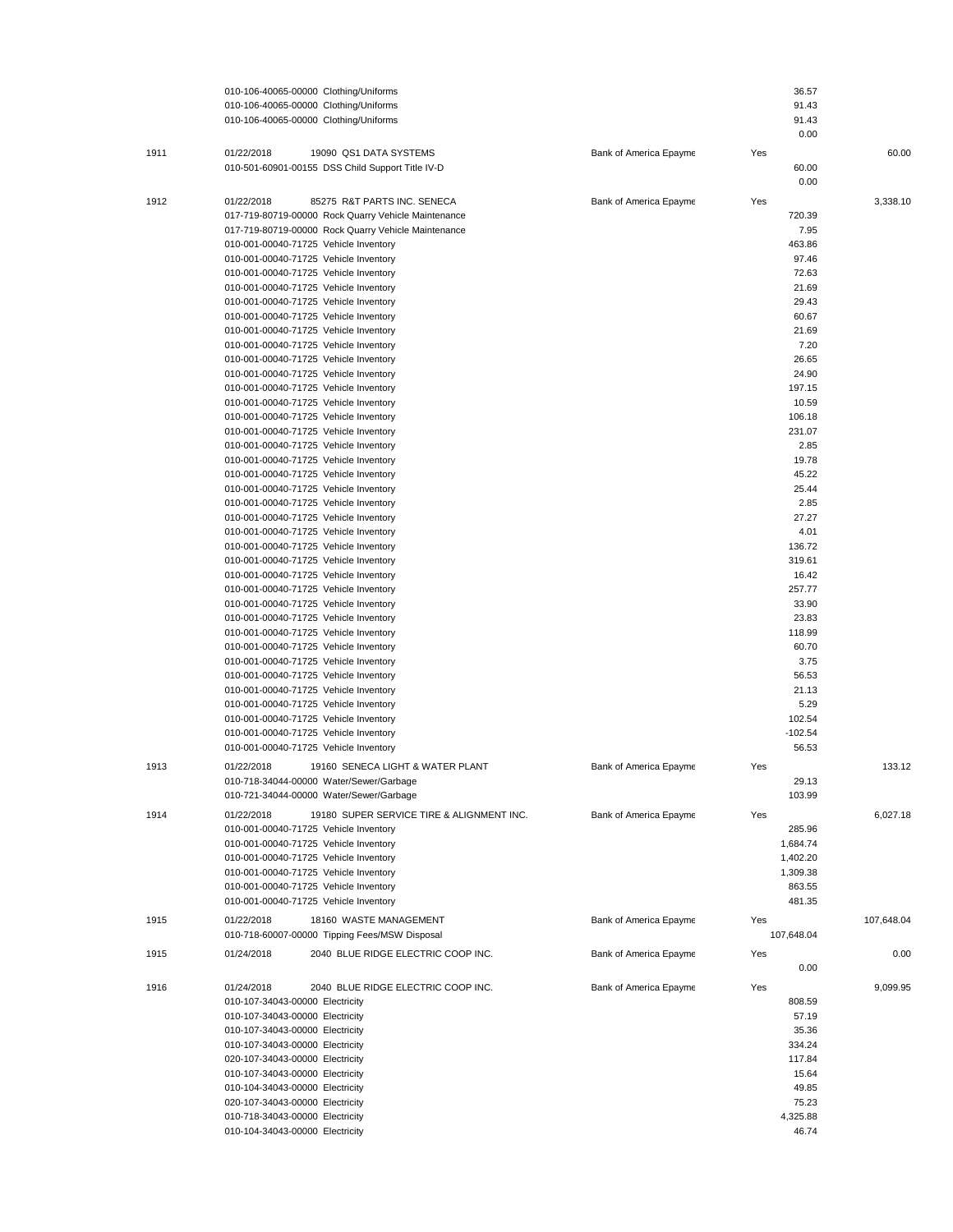|      | 010-106-40065-00000 Clothing/Uniforms                                              |                        | 36.57                |            |
|------|------------------------------------------------------------------------------------|------------------------|----------------------|------------|
|      | 010-106-40065-00000 Clothing/Uniforms                                              |                        | 91.43                |            |
|      | 010-106-40065-00000 Clothing/Uniforms                                              |                        | 91.43                |            |
|      |                                                                                    |                        | 0.00                 |            |
| 1911 | 01/22/2018<br>19090 QS1 DATA SYSTEMS                                               | Bank of America Epayme | Yes                  | 60.00      |
|      | 010-501-60901-00155 DSS Child Support Title IV-D                                   |                        | 60.00                |            |
|      |                                                                                    |                        | 0.00                 |            |
| 1912 | 01/22/2018<br>85275 R&T PARTS INC. SENECA                                          | Bank of America Epayme | Yes                  | 3,338.10   |
|      | 017-719-80719-00000 Rock Quarry Vehicle Maintenance                                |                        | 720.39               |            |
|      | 017-719-80719-00000 Rock Quarry Vehicle Maintenance                                |                        | 7.95                 |            |
|      | 010-001-00040-71725 Vehicle Inventory                                              |                        | 463.86               |            |
|      | 010-001-00040-71725 Vehicle Inventory                                              |                        | 97.46                |            |
|      | 010-001-00040-71725 Vehicle Inventory                                              |                        | 72.63                |            |
|      | 010-001-00040-71725 Vehicle Inventory                                              |                        | 21.69                |            |
|      | 010-001-00040-71725 Vehicle Inventory                                              |                        | 29.43                |            |
|      | 010-001-00040-71725 Vehicle Inventory                                              |                        | 60.67                |            |
|      | 010-001-00040-71725 Vehicle Inventory                                              |                        | 21.69                |            |
|      | 010-001-00040-71725 Vehicle Inventory                                              |                        | 7.20                 |            |
|      | 010-001-00040-71725 Vehicle Inventory                                              |                        | 26.65                |            |
|      | 010-001-00040-71725 Vehicle Inventory                                              |                        | 24.90                |            |
|      | 010-001-00040-71725 Vehicle Inventory                                              |                        | 197.15               |            |
|      | 010-001-00040-71725 Vehicle Inventory                                              |                        | 10.59                |            |
|      | 010-001-00040-71725 Vehicle Inventory<br>010-001-00040-71725 Vehicle Inventory     |                        | 106.18<br>231.07     |            |
|      | 010-001-00040-71725 Vehicle Inventory                                              |                        | 2.85                 |            |
|      | 010-001-00040-71725 Vehicle Inventory                                              |                        | 19.78                |            |
|      | 010-001-00040-71725 Vehicle Inventory                                              |                        | 45.22                |            |
|      | 010-001-00040-71725 Vehicle Inventory                                              |                        | 25.44                |            |
|      | 010-001-00040-71725 Vehicle Inventory                                              |                        | 2.85                 |            |
|      | 010-001-00040-71725 Vehicle Inventory                                              |                        | 27.27                |            |
|      | 010-001-00040-71725 Vehicle Inventory                                              |                        | 4.01                 |            |
|      | 010-001-00040-71725 Vehicle Inventory                                              |                        | 136.72               |            |
|      | 010-001-00040-71725 Vehicle Inventory                                              |                        | 319.61               |            |
|      | 010-001-00040-71725 Vehicle Inventory                                              |                        | 16.42                |            |
|      | 010-001-00040-71725 Vehicle Inventory                                              |                        | 257.77               |            |
|      | 010-001-00040-71725 Vehicle Inventory                                              |                        | 33.90                |            |
|      | 010-001-00040-71725 Vehicle Inventory                                              |                        | 23.83                |            |
|      | 010-001-00040-71725 Vehicle Inventory                                              |                        | 118.99               |            |
|      | 010-001-00040-71725 Vehicle Inventory                                              |                        | 60.70                |            |
|      | 010-001-00040-71725 Vehicle Inventory                                              |                        | 3.75                 |            |
|      | 010-001-00040-71725 Vehicle Inventory                                              |                        | 56.53                |            |
|      | 010-001-00040-71725 Vehicle Inventory<br>010-001-00040-71725 Vehicle Inventory     |                        | 21.13<br>5.29        |            |
|      | 010-001-00040-71725 Vehicle Inventory                                              |                        | 102.54               |            |
|      | 010-001-00040-71725 Vehicle Inventory                                              |                        | $-102.54$            |            |
|      | 010-001-00040-71725 Vehicle Inventory                                              |                        | 56.53                |            |
|      |                                                                                    |                        |                      |            |
| 1913 | 19160 SENECA LIGHT & WATER PLANT<br>01/22/2018                                     | Bank of America Epayme | Yes                  | 133.12     |
|      | 010-718-34044-00000 Water/Sewer/Garbage<br>010-721-34044-00000 Water/Sewer/Garbage |                        | 29.13<br>103.99      |            |
|      |                                                                                    |                        |                      |            |
| 1914 | 01/22/2018<br>19180 SUPER SERVICE TIRE & ALIGNMENT INC.                            | Bank of America Epayme | Yes                  | 6,027.18   |
|      | 010-001-00040-71725 Vehicle Inventory                                              |                        | 285.96               |            |
|      | 010-001-00040-71725 Vehicle Inventory                                              |                        | 1,684.74             |            |
|      | 010-001-00040-71725 Vehicle Inventory                                              |                        | 1,402.20<br>1,309.38 |            |
|      | 010-001-00040-71725 Vehicle Inventory<br>010-001-00040-71725 Vehicle Inventory     |                        | 863.55               |            |
|      | 010-001-00040-71725 Vehicle Inventory                                              |                        | 481.35               |            |
|      |                                                                                    |                        |                      |            |
| 1915 | 01/22/2018<br>18160 WASTE MANAGEMENT                                               | Bank of America Epayme | Yes                  | 107,648.04 |
|      | 010-718-60007-00000 Tipping Fees/MSW Disposal                                      |                        | 107,648.04           |            |
| 1915 | 01/24/2018<br>2040 BLUE RIDGE ELECTRIC COOP INC.                                   | Bank of America Epayme | Yes                  | 0.00       |
|      |                                                                                    |                        | 0.00                 |            |
| 1916 | 01/24/2018<br>2040 BLUE RIDGE ELECTRIC COOP INC.                                   | Bank of America Epayme | Yes                  | 9,099.95   |
|      | 010-107-34043-00000 Electricity                                                    |                        | 808.59               |            |
|      | 010-107-34043-00000 Electricity                                                    |                        | 57.19                |            |
|      | 010-107-34043-00000 Electricity                                                    |                        | 35.36                |            |
|      | 010-107-34043-00000 Electricity                                                    |                        | 334.24               |            |
|      | 020-107-34043-00000 Electricity                                                    |                        | 117.84               |            |
|      | 010-107-34043-00000 Electricity                                                    |                        | 15.64                |            |
|      | 010-104-34043-00000 Electricity                                                    |                        | 49.85                |            |
|      | 020-107-34043-00000 Electricity                                                    |                        | 75.23                |            |
|      | 010-718-34043-00000 Electricity<br>010-104-34043-00000 Electricity                 |                        | 4,325.88<br>46.74    |            |
|      |                                                                                    |                        |                      |            |